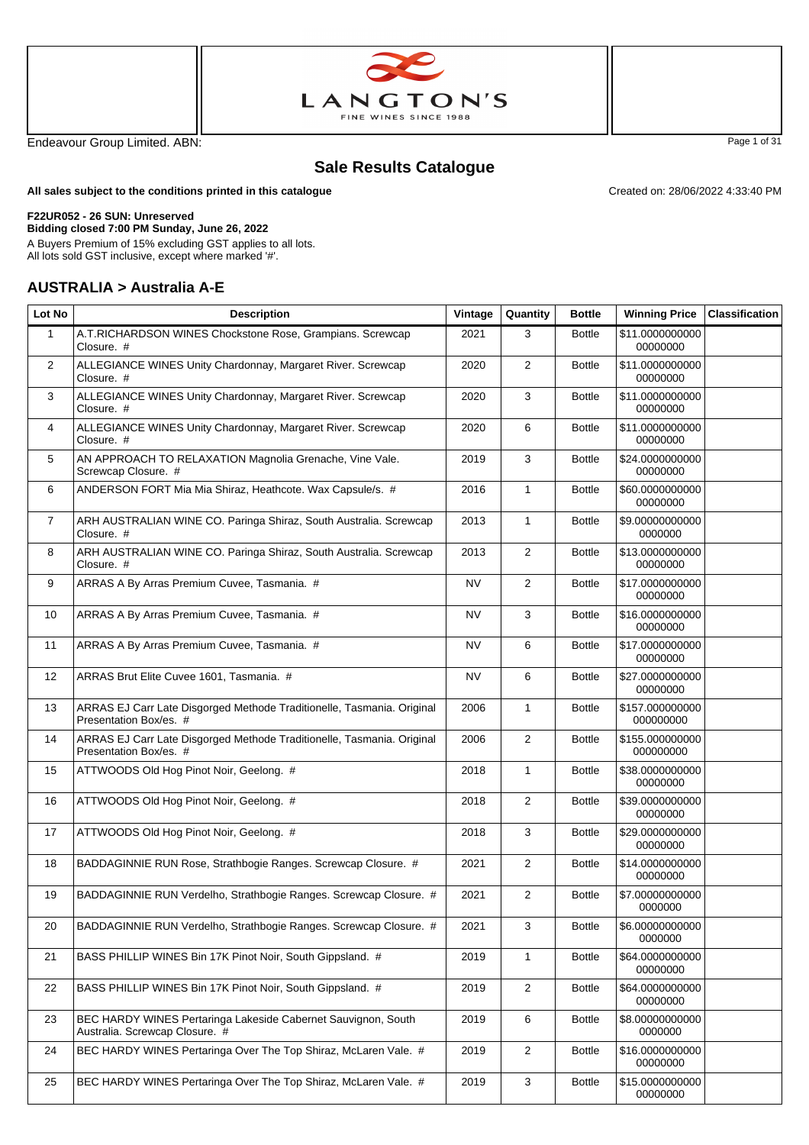



Endeavour Group Limited. ABN: Page 1 of 31

# **Sale Results Catalogue**

**All sales subject to the conditions printed in this catalogue**

#### **F22UR052 - 26 SUN: Unreserved**

**Bidding closed 7:00 PM Sunday, June 26, 2022** A Buyers Premium of 15% excluding GST applies to all lots.

All lots sold GST inclusive, except where marked '#'.

#### **AUSTRALIA > Australia A-E**

| Lot No         | <b>Description</b>                                                                               | Vintage   | Quantity       | <b>Bottle</b> | <b>Winning Price</b>         | <b>Classification</b> |
|----------------|--------------------------------------------------------------------------------------------------|-----------|----------------|---------------|------------------------------|-----------------------|
| $\mathbf{1}$   | A.T.RICHARDSON WINES Chockstone Rose, Grampians. Screwcap<br>Closure. #                          | 2021      | 3              | <b>Bottle</b> | \$11.0000000000<br>00000000  |                       |
| $\overline{2}$ | ALLEGIANCE WINES Unity Chardonnay, Margaret River. Screwcap<br>Closure. #                        | 2020      | $\overline{2}$ | <b>Bottle</b> | \$11.0000000000<br>00000000  |                       |
| 3              | ALLEGIANCE WINES Unity Chardonnay, Margaret River. Screwcap<br>Closure. #                        | 2020      | 3              | <b>Bottle</b> | \$11.0000000000<br>00000000  |                       |
| 4              | ALLEGIANCE WINES Unity Chardonnay, Margaret River. Screwcap<br>Closure. #                        | 2020      | 6              | <b>Bottle</b> | \$11.0000000000<br>00000000  |                       |
| 5              | AN APPROACH TO RELAXATION Magnolia Grenache, Vine Vale.<br>Screwcap Closure. #                   | 2019      | 3              | <b>Bottle</b> | \$24.0000000000<br>00000000  |                       |
| 6              | ANDERSON FORT Mia Mia Shiraz, Heathcote. Wax Capsule/s. #                                        | 2016      | $\mathbf{1}$   | <b>Bottle</b> | \$60.0000000000<br>00000000  |                       |
| $\overline{7}$ | ARH AUSTRALIAN WINE CO. Paringa Shiraz, South Australia. Screwcap<br>Closure. #                  | 2013      | $\mathbf{1}$   | <b>Bottle</b> | \$9.00000000000<br>0000000   |                       |
| 8              | ARH AUSTRALIAN WINE CO. Paringa Shiraz, South Australia. Screwcap<br>Closure. #                  | 2013      | 2              | <b>Bottle</b> | \$13.0000000000<br>00000000  |                       |
| 9              | ARRAS A By Arras Premium Cuvee, Tasmania. #                                                      | NV        | $\overline{2}$ | <b>Bottle</b> | \$17.0000000000<br>00000000  |                       |
| 10             | ARRAS A By Arras Premium Cuvee, Tasmania. #                                                      | NV        | 3              | <b>Bottle</b> | \$16.0000000000<br>00000000  |                       |
| 11             | ARRAS A By Arras Premium Cuvee, Tasmania. #                                                      | <b>NV</b> | 6              | <b>Bottle</b> | \$17.0000000000<br>00000000  |                       |
| 12             | ARRAS Brut Elite Cuvee 1601, Tasmania. #                                                         | <b>NV</b> | 6              | <b>Bottle</b> | \$27.0000000000<br>00000000  |                       |
| 13             | ARRAS EJ Carr Late Disgorged Methode Traditionelle, Tasmania. Original<br>Presentation Box/es. # | 2006      | $\mathbf{1}$   | <b>Bottle</b> | \$157.000000000<br>000000000 |                       |
| 14             | ARRAS EJ Carr Late Disgorged Methode Traditionelle, Tasmania. Original<br>Presentation Box/es. # | 2006      | 2              | <b>Bottle</b> | \$155.000000000<br>000000000 |                       |
| 15             | ATTWOODS Old Hog Pinot Noir, Geelong. #                                                          | 2018      | $\mathbf{1}$   | <b>Bottle</b> | \$38.0000000000<br>00000000  |                       |
| 16             | ATTWOODS Old Hog Pinot Noir, Geelong. #                                                          | 2018      | 2              | <b>Bottle</b> | \$39.0000000000<br>00000000  |                       |
| 17             | ATTWOODS Old Hog Pinot Noir, Geelong. #                                                          | 2018      | 3              | <b>Bottle</b> | \$29.0000000000<br>00000000  |                       |
| 18             | BADDAGINNIE RUN Rose, Strathbogie Ranges. Screwcap Closure. #                                    | 2021      | 2              | <b>Bottle</b> | \$14.0000000000<br>00000000  |                       |
| 19             | BADDAGINNIE RUN Verdelho, Strathbogie Ranges. Screwcap Closure. #                                | 2021      | 2              | <b>Bottle</b> | \$7.00000000000<br>0000000   |                       |
| 20             | BADDAGINNIE RUN Verdelho, Strathbogie Ranges. Screwcap Closure. #                                | 2021      | 3              | <b>Bottle</b> | \$6.00000000000<br>0000000   |                       |
| 21             | BASS PHILLIP WINES Bin 17K Pinot Noir, South Gippsland. #                                        | 2019      | $\mathbf{1}$   | <b>Bottle</b> | \$64.0000000000<br>00000000  |                       |
| 22             | BASS PHILLIP WINES Bin 17K Pinot Noir, South Gippsland. #                                        | 2019      | $\overline{2}$ | <b>Bottle</b> | \$64.0000000000<br>00000000  |                       |
| 23             | BEC HARDY WINES Pertaringa Lakeside Cabernet Sauvignon, South<br>Australia. Screwcap Closure. #  | 2019      | 6              | <b>Bottle</b> | \$8.00000000000<br>0000000   |                       |
| 24             | BEC HARDY WINES Pertaringa Over The Top Shiraz, McLaren Vale. #                                  | 2019      | $\overline{2}$ | <b>Bottle</b> | \$16.0000000000<br>00000000  |                       |
| 25             | BEC HARDY WINES Pertaringa Over The Top Shiraz, McLaren Vale. #                                  | 2019      | 3              | <b>Bottle</b> | \$15.0000000000<br>00000000  |                       |

Created on: 28/06/2022 4:33:40 PM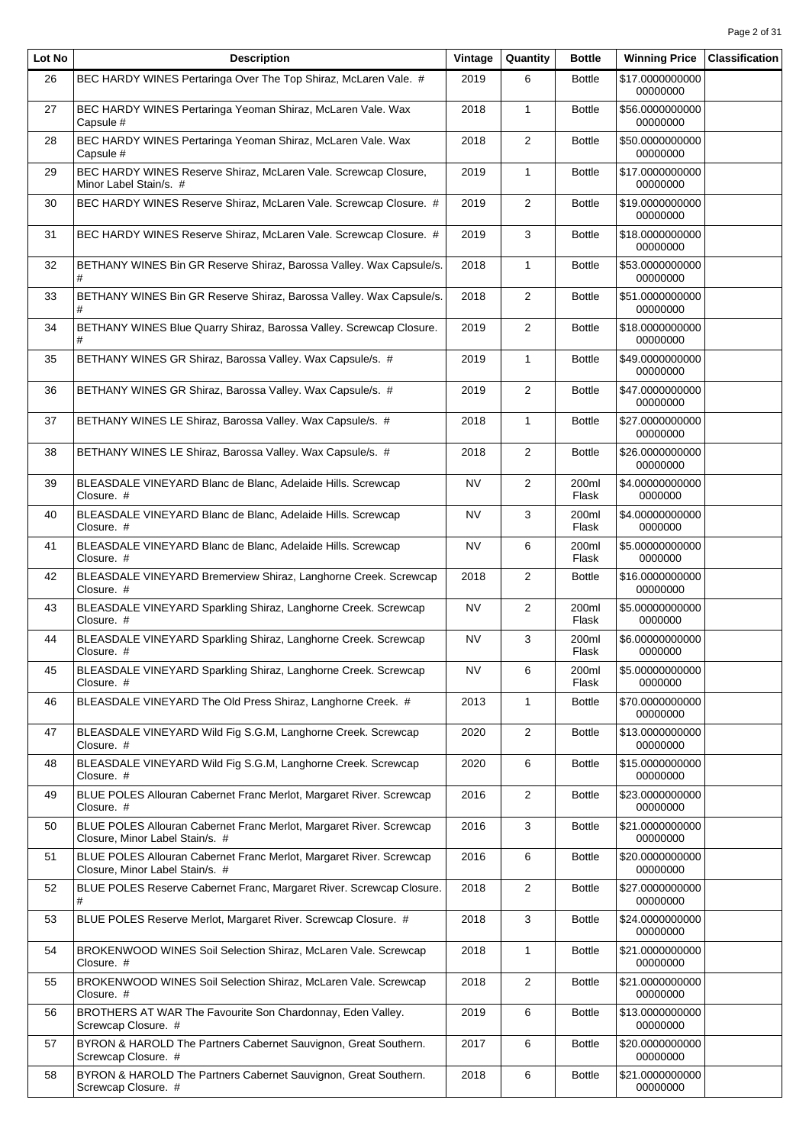| Lot No | <b>Description</b>                                                                                     | Vintage   | Quantity       | <b>Bottle</b>  | <b>Winning Price</b>        | <b>Classification</b> |
|--------|--------------------------------------------------------------------------------------------------------|-----------|----------------|----------------|-----------------------------|-----------------------|
| 26     | BEC HARDY WINES Pertaringa Over The Top Shiraz, McLaren Vale. #                                        | 2019      | 6              | <b>Bottle</b>  | \$17.0000000000<br>00000000 |                       |
| 27     | BEC HARDY WINES Pertaringa Yeoman Shiraz, McLaren Vale. Wax<br>Capsule #                               | 2018      | $\mathbf{1}$   | <b>Bottle</b>  | \$56.0000000000<br>00000000 |                       |
| 28     | BEC HARDY WINES Pertaringa Yeoman Shiraz, McLaren Vale. Wax<br>Capsule #                               | 2018      | $\overline{2}$ | <b>Bottle</b>  | \$50.0000000000<br>00000000 |                       |
| 29     | BEC HARDY WINES Reserve Shiraz, McLaren Vale. Screwcap Closure,<br>Minor Label Stain/s. #              | 2019      | $\mathbf{1}$   | <b>Bottle</b>  | \$17.0000000000<br>00000000 |                       |
| 30     | BEC HARDY WINES Reserve Shiraz, McLaren Vale. Screwcap Closure. #                                      | 2019      | $\overline{2}$ | <b>Bottle</b>  | \$19.0000000000<br>00000000 |                       |
| 31     | BEC HARDY WINES Reserve Shiraz, McLaren Vale. Screwcap Closure. #                                      | 2019      | 3              | <b>Bottle</b>  | \$18.0000000000<br>00000000 |                       |
| 32     | BETHANY WINES Bin GR Reserve Shiraz, Barossa Valley. Wax Capsule/s.<br>#                               | 2018      | $\mathbf{1}$   | <b>Bottle</b>  | \$53.0000000000<br>00000000 |                       |
| 33     | BETHANY WINES Bin GR Reserve Shiraz, Barossa Valley. Wax Capsule/s.<br>#                               | 2018      | $\overline{2}$ | <b>Bottle</b>  | \$51.0000000000<br>00000000 |                       |
| 34     | BETHANY WINES Blue Quarry Shiraz, Barossa Valley. Screwcap Closure.                                    | 2019      | $\overline{2}$ | <b>Bottle</b>  | \$18.0000000000<br>00000000 |                       |
| 35     | BETHANY WINES GR Shiraz, Barossa Valley. Wax Capsule/s. #                                              | 2019      | $\mathbf{1}$   | <b>Bottle</b>  | \$49.0000000000<br>00000000 |                       |
| 36     | BETHANY WINES GR Shiraz, Barossa Valley. Wax Capsule/s. #                                              | 2019      | $\overline{2}$ | <b>Bottle</b>  | \$47.0000000000<br>00000000 |                       |
| 37     | BETHANY WINES LE Shiraz, Barossa Valley. Wax Capsule/s. #                                              | 2018      | $\mathbf{1}$   | <b>Bottle</b>  | \$27.0000000000<br>00000000 |                       |
| 38     | BETHANY WINES LE Shiraz, Barossa Valley. Wax Capsule/s. #                                              | 2018      | $\overline{2}$ | <b>Bottle</b>  | \$26.0000000000<br>00000000 |                       |
| 39     | BLEASDALE VINEYARD Blanc de Blanc, Adelaide Hills. Screwcap<br>Closure. #                              | NV        | $\overline{2}$ | 200ml<br>Flask | \$4.00000000000<br>0000000  |                       |
| 40     | BLEASDALE VINEYARD Blanc de Blanc, Adelaide Hills. Screwcap<br>Closure. #                              | NV        | 3              | 200ml<br>Flask | \$4.00000000000<br>0000000  |                       |
| 41     | BLEASDALE VINEYARD Blanc de Blanc, Adelaide Hills. Screwcap<br>Closure. #                              | NV        | 6              | 200ml<br>Flask | \$5.00000000000<br>0000000  |                       |
| 42     | BLEASDALE VINEYARD Bremerview Shiraz, Langhorne Creek. Screwcap<br>Closure. #                          | 2018      | $\overline{2}$ | <b>Bottle</b>  | \$16.0000000000<br>00000000 |                       |
| 43     | BLEASDALE VINEYARD Sparkling Shiraz, Langhorne Creek. Screwcap<br>Closure. #                           | NV        | $\overline{2}$ | 200ml<br>Flask | \$5.00000000000<br>0000000  |                       |
| 44     | BLEASDALE VINEYARD Sparkling Shiraz, Langhorne Creek. Screwcap<br>Closure. #                           | <b>NV</b> | 3              | 200ml<br>Flask | \$6.00000000000<br>0000000  |                       |
| 45     | BLEASDALE VINEYARD Sparkling Shiraz, Langhorne Creek. Screwcap<br>Closure. #                           | <b>NV</b> | 6              | 200ml<br>Flask | \$5.00000000000<br>0000000  |                       |
| 46     | BLEASDALE VINEYARD The Old Press Shiraz, Langhorne Creek. #                                            | 2013      | $\mathbf{1}$   | <b>Bottle</b>  | \$70.0000000000<br>00000000 |                       |
| 47     | BLEASDALE VINEYARD Wild Fig S.G.M, Langhorne Creek. Screwcap<br>Closure. #                             | 2020      | $\overline{c}$ | <b>Bottle</b>  | \$13.0000000000<br>00000000 |                       |
| 48     | BLEASDALE VINEYARD Wild Fig S.G.M, Langhorne Creek. Screwcap<br>Closure. #                             | 2020      | 6              | <b>Bottle</b>  | \$15.0000000000<br>00000000 |                       |
| 49     | BLUE POLES Allouran Cabernet Franc Merlot, Margaret River. Screwcap<br>Closure. #                      | 2016      | $\overline{2}$ | <b>Bottle</b>  | \$23.0000000000<br>00000000 |                       |
| 50     | BLUE POLES Allouran Cabernet Franc Merlot, Margaret River. Screwcap<br>Closure, Minor Label Stain/s. # | 2016      | 3              | <b>Bottle</b>  | \$21.0000000000<br>00000000 |                       |
| 51     | BLUE POLES Allouran Cabernet Franc Merlot, Margaret River. Screwcap<br>Closure, Minor Label Stain/s. # | 2016      | 6              | <b>Bottle</b>  | \$20.0000000000<br>00000000 |                       |
| 52     | BLUE POLES Reserve Cabernet Franc, Margaret River. Screwcap Closure.<br>#                              | 2018      | $\overline{2}$ | <b>Bottle</b>  | \$27.0000000000<br>00000000 |                       |
| 53     | BLUE POLES Reserve Merlot, Margaret River. Screwcap Closure. #                                         | 2018      | 3              | <b>Bottle</b>  | \$24.0000000000<br>00000000 |                       |
| 54     | BROKENWOOD WINES Soil Selection Shiraz, McLaren Vale. Screwcap<br>Closure. #                           | 2018      | $\mathbf{1}$   | <b>Bottle</b>  | \$21.0000000000<br>00000000 |                       |
| 55     | BROKENWOOD WINES Soil Selection Shiraz, McLaren Vale. Screwcap<br>Closure. #                           | 2018      | $\overline{2}$ | <b>Bottle</b>  | \$21.0000000000<br>00000000 |                       |
| 56     | BROTHERS AT WAR The Favourite Son Chardonnay, Eden Valley.<br>Screwcap Closure. #                      | 2019      | 6              | <b>Bottle</b>  | \$13.0000000000<br>00000000 |                       |
| 57     | BYRON & HAROLD The Partners Cabernet Sauvignon, Great Southern.<br>Screwcap Closure. #                 | 2017      | 6              | <b>Bottle</b>  | \$20.0000000000<br>00000000 |                       |
| 58     | BYRON & HAROLD The Partners Cabernet Sauvignon, Great Southern.<br>Screwcap Closure. #                 | 2018      | 6              | <b>Bottle</b>  | \$21.0000000000<br>00000000 |                       |
|        |                                                                                                        |           |                |                |                             |                       |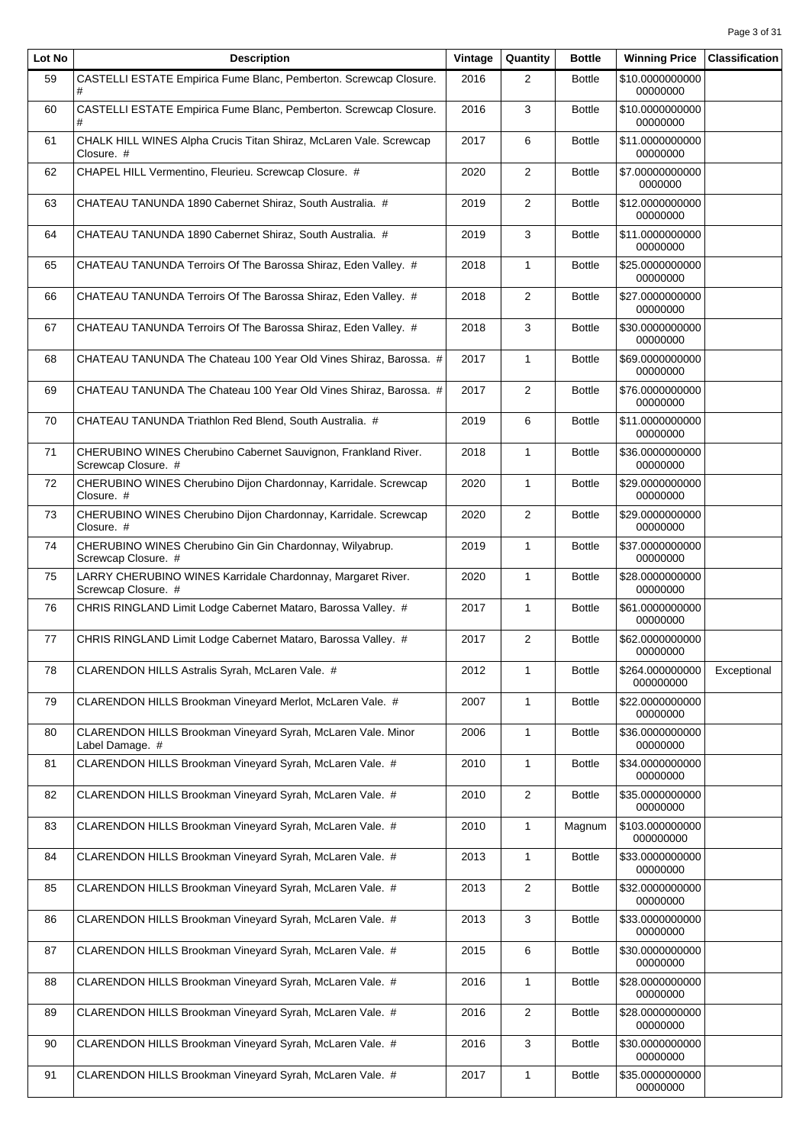| Lot No | <b>Description</b>                                                                    | Vintage | Quantity       | <b>Bottle</b> | <b>Winning Price</b>         | <b>Classification</b> |
|--------|---------------------------------------------------------------------------------------|---------|----------------|---------------|------------------------------|-----------------------|
| 59     | CASTELLI ESTATE Empirica Fume Blanc, Pemberton. Screwcap Closure.<br>#                | 2016    | $\overline{2}$ | <b>Bottle</b> | \$10.0000000000<br>00000000  |                       |
| 60     | CASTELLI ESTATE Empirica Fume Blanc, Pemberton. Screwcap Closure.<br>#                | 2016    | 3              | <b>Bottle</b> | \$10.0000000000<br>00000000  |                       |
| 61     | CHALK HILL WINES Alpha Crucis Titan Shiraz, McLaren Vale. Screwcap<br>Closure. #      | 2017    | 6              | <b>Bottle</b> | \$11.0000000000<br>00000000  |                       |
| 62     | CHAPEL HILL Vermentino, Fleurieu. Screwcap Closure. #                                 | 2020    | $\overline{2}$ | <b>Bottle</b> | \$7.00000000000<br>0000000   |                       |
| 63     | CHATEAU TANUNDA 1890 Cabernet Shiraz, South Australia. #                              | 2019    | $\overline{2}$ | <b>Bottle</b> | \$12.0000000000<br>00000000  |                       |
| 64     | CHATEAU TANUNDA 1890 Cabernet Shiraz, South Australia. #                              | 2019    | 3              | <b>Bottle</b> | \$11.0000000000<br>00000000  |                       |
| 65     | CHATEAU TANUNDA Terroirs Of The Barossa Shiraz, Eden Valley. #                        | 2018    | $\mathbf{1}$   | <b>Bottle</b> | \$25.0000000000<br>00000000  |                       |
| 66     | CHATEAU TANUNDA Terroirs Of The Barossa Shiraz, Eden Valley. #                        | 2018    | $\overline{2}$ | <b>Bottle</b> | \$27.0000000000<br>00000000  |                       |
| 67     | CHATEAU TANUNDA Terroirs Of The Barossa Shiraz, Eden Valley. #                        | 2018    | 3              | <b>Bottle</b> | \$30.0000000000<br>00000000  |                       |
| 68     | CHATEAU TANUNDA The Chateau 100 Year Old Vines Shiraz, Barossa. #                     | 2017    | $\mathbf{1}$   | <b>Bottle</b> | \$69.0000000000<br>00000000  |                       |
| 69     | CHATEAU TANUNDA The Chateau 100 Year Old Vines Shiraz, Barossa. #                     | 2017    | $\overline{2}$ | <b>Bottle</b> | \$76.0000000000<br>00000000  |                       |
| 70     | CHATEAU TANUNDA Triathlon Red Blend, South Australia. #                               | 2019    | 6              | <b>Bottle</b> | \$11.0000000000<br>00000000  |                       |
| 71     | CHERUBINO WINES Cherubino Cabernet Sauvignon, Frankland River.<br>Screwcap Closure. # | 2018    | $\mathbf{1}$   | <b>Bottle</b> | \$36.0000000000<br>00000000  |                       |
| 72     | CHERUBINO WINES Cherubino Dijon Chardonnay, Karridale. Screwcap<br>Closure. #         | 2020    | $\mathbf{1}$   | <b>Bottle</b> | \$29.0000000000<br>00000000  |                       |
| 73     | CHERUBINO WINES Cherubino Dijon Chardonnay, Karridale. Screwcap<br>Closure. #         | 2020    | $\overline{2}$ | <b>Bottle</b> | \$29.0000000000<br>00000000  |                       |
| 74     | CHERUBINO WINES Cherubino Gin Gin Chardonnay, Wilyabrup.<br>Screwcap Closure. #       | 2019    | 1              | <b>Bottle</b> | \$37.0000000000<br>00000000  |                       |
| 75     | LARRY CHERUBINO WINES Karridale Chardonnay, Margaret River.<br>Screwcap Closure. #    | 2020    | $\mathbf{1}$   | <b>Bottle</b> | \$28.0000000000<br>00000000  |                       |
| 76     | CHRIS RINGLAND Limit Lodge Cabernet Mataro, Barossa Valley. #                         | 2017    | $\mathbf{1}$   | <b>Bottle</b> | \$61.0000000000<br>00000000  |                       |
| 77     | CHRIS RINGLAND Limit Lodge Cabernet Mataro, Barossa Valley. #                         | 2017    | $\overline{2}$ | <b>Bottle</b> | \$62.0000000000<br>00000000  |                       |
| 78     | CLARENDON HILLS Astralis Syrah, McLaren Vale. #                                       | 2012    | $\mathbf{1}$   | <b>Bottle</b> | \$264.000000000<br>000000000 | Exceptional           |
| 79     | CLARENDON HILLS Brookman Vineyard Merlot, McLaren Vale. #                             | 2007    | $\mathbf{1}$   | <b>Bottle</b> | \$22.0000000000<br>00000000  |                       |
| 80     | CLARENDON HILLS Brookman Vineyard Syrah, McLaren Vale. Minor<br>Label Damage. #       | 2006    | 1              | <b>Bottle</b> | \$36.0000000000<br>00000000  |                       |
| 81     | CLARENDON HILLS Brookman Vineyard Syrah, McLaren Vale. #                              | 2010    | $\mathbf{1}$   | <b>Bottle</b> | \$34.0000000000<br>00000000  |                       |
| 82     | CLARENDON HILLS Brookman Vineyard Syrah, McLaren Vale. #                              | 2010    | $\overline{2}$ | <b>Bottle</b> | \$35.0000000000<br>00000000  |                       |
| 83     | CLARENDON HILLS Brookman Vineyard Syrah, McLaren Vale. #                              | 2010    | $\mathbf{1}$   | Magnum        | \$103.000000000<br>000000000 |                       |
| 84     | CLARENDON HILLS Brookman Vineyard Syrah, McLaren Vale. #                              | 2013    | $\mathbf{1}$   | <b>Bottle</b> | \$33.0000000000<br>00000000  |                       |
| 85     | CLARENDON HILLS Brookman Vineyard Syrah, McLaren Vale. #                              | 2013    | $\overline{2}$ | <b>Bottle</b> | \$32.0000000000<br>00000000  |                       |
| 86     | CLARENDON HILLS Brookman Vineyard Syrah, McLaren Vale. #                              | 2013    | 3              | <b>Bottle</b> | \$33.0000000000<br>00000000  |                       |
| 87     | CLARENDON HILLS Brookman Vineyard Syrah, McLaren Vale. #                              | 2015    | 6              | <b>Bottle</b> | \$30.0000000000<br>00000000  |                       |
| 88     | CLARENDON HILLS Brookman Vineyard Syrah, McLaren Vale. #                              | 2016    | $\mathbf{1}$   | <b>Bottle</b> | \$28.0000000000<br>00000000  |                       |
| 89     | CLARENDON HILLS Brookman Vineyard Syrah, McLaren Vale. #                              | 2016    | $\overline{c}$ | <b>Bottle</b> | \$28.0000000000<br>00000000  |                       |
| 90     | CLARENDON HILLS Brookman Vineyard Syrah, McLaren Vale. #                              | 2016    | 3              | <b>Bottle</b> | \$30.0000000000<br>00000000  |                       |
| 91     | CLARENDON HILLS Brookman Vineyard Syrah, McLaren Vale. #                              | 2017    | 1              | <b>Bottle</b> | \$35.0000000000<br>00000000  |                       |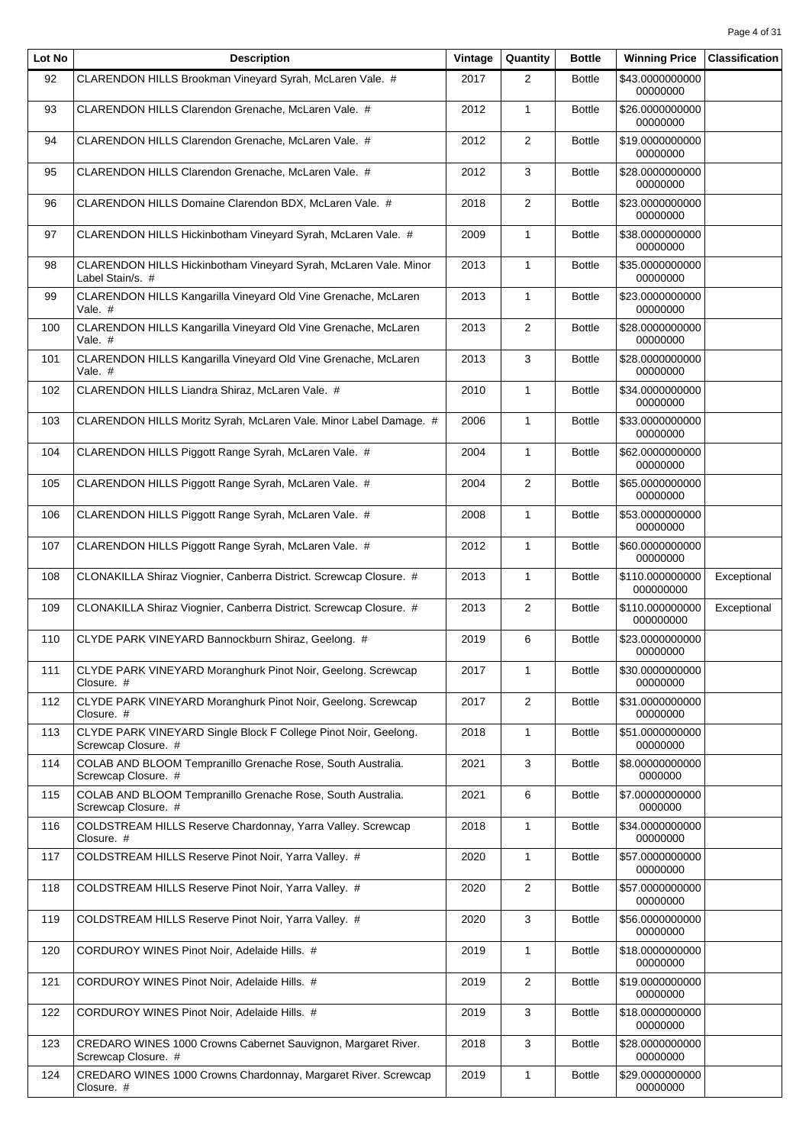| Lot No | <b>Description</b>                                                                     | Vintage | Quantity       | <b>Bottle</b> | <b>Winning Price</b>         | <b>Classification</b> |
|--------|----------------------------------------------------------------------------------------|---------|----------------|---------------|------------------------------|-----------------------|
| 92     | CLARENDON HILLS Brookman Vineyard Syrah, McLaren Vale. #                               | 2017    | $\overline{2}$ | <b>Bottle</b> | \$43.0000000000<br>00000000  |                       |
| 93     | CLARENDON HILLS Clarendon Grenache, McLaren Vale. #                                    | 2012    | $\mathbf{1}$   | <b>Bottle</b> | \$26.0000000000<br>00000000  |                       |
| 94     | CLARENDON HILLS Clarendon Grenache, McLaren Vale. #                                    | 2012    | $\mathbf{2}$   | <b>Bottle</b> | \$19.0000000000<br>00000000  |                       |
| 95     | CLARENDON HILLS Clarendon Grenache, McLaren Vale. #                                    | 2012    | 3              | <b>Bottle</b> | \$28.0000000000<br>00000000  |                       |
| 96     | CLARENDON HILLS Domaine Clarendon BDX, McLaren Vale. #                                 | 2018    | $\overline{2}$ | <b>Bottle</b> | \$23.0000000000<br>00000000  |                       |
| 97     | CLARENDON HILLS Hickinbotham Vineyard Syrah, McLaren Vale. #                           | 2009    | $\mathbf{1}$   | <b>Bottle</b> | \$38.0000000000<br>00000000  |                       |
| 98     | CLARENDON HILLS Hickinbotham Vineyard Syrah, McLaren Vale. Minor<br>Label Stain/s. #   | 2013    | $\mathbf{1}$   | <b>Bottle</b> | \$35.0000000000<br>00000000  |                       |
| 99     | CLARENDON HILLS Kangarilla Vineyard Old Vine Grenache, McLaren<br>Vale. #              | 2013    | $\mathbf{1}$   | <b>Bottle</b> | \$23.0000000000<br>00000000  |                       |
| 100    | CLARENDON HILLS Kangarilla Vineyard Old Vine Grenache, McLaren<br>Vale. #              | 2013    | $\overline{2}$ | <b>Bottle</b> | \$28.0000000000<br>00000000  |                       |
| 101    | CLARENDON HILLS Kangarilla Vineyard Old Vine Grenache, McLaren<br>Vale. #              | 2013    | 3              | <b>Bottle</b> | \$28.0000000000<br>00000000  |                       |
| 102    | CLARENDON HILLS Liandra Shiraz, McLaren Vale. #                                        | 2010    | $\mathbf{1}$   | <b>Bottle</b> | \$34.0000000000<br>00000000  |                       |
| 103    | CLARENDON HILLS Moritz Syrah, McLaren Vale. Minor Label Damage. #                      | 2006    | $\mathbf{1}$   | <b>Bottle</b> | \$33.0000000000<br>00000000  |                       |
| 104    | CLARENDON HILLS Piggott Range Syrah, McLaren Vale. #                                   | 2004    | $\mathbf{1}$   | <b>Bottle</b> | \$62.0000000000<br>00000000  |                       |
| 105    | CLARENDON HILLS Piggott Range Syrah, McLaren Vale. #                                   | 2004    | 2              | <b>Bottle</b> | \$65.0000000000<br>00000000  |                       |
| 106    | CLARENDON HILLS Piggott Range Syrah, McLaren Vale. #                                   | 2008    | $\mathbf{1}$   | <b>Bottle</b> | \$53.0000000000<br>00000000  |                       |
| 107    | CLARENDON HILLS Piggott Range Syrah, McLaren Vale. #                                   | 2012    | $\mathbf{1}$   | <b>Bottle</b> | \$60.0000000000<br>00000000  |                       |
| 108    | CLONAKILLA Shiraz Viognier, Canberra District. Screwcap Closure. #                     | 2013    | $\mathbf{1}$   | <b>Bottle</b> | \$110.000000000<br>000000000 | Exceptional           |
| 109    | CLONAKILLA Shiraz Viognier, Canberra District. Screwcap Closure. #                     | 2013    | 2              | <b>Bottle</b> | \$110.000000000<br>000000000 | Exceptional           |
| 110    | CLYDE PARK VINEYARD Bannockburn Shiraz, Geelong. #                                     | 2019    | 6              | <b>Bottle</b> | \$23.0000000000<br>00000000  |                       |
| 111    | CLYDE PARK VINEYARD Moranghurk Pinot Noir, Geelong. Screwcap<br>Closure. #             | 2017    | 1              | <b>Bottle</b> | \$30.0000000000<br>00000000  |                       |
| 112    | CLYDE PARK VINEYARD Moranghurk Pinot Noir, Geelong. Screwcap<br>Closure. #             | 2017    | $\overline{2}$ | <b>Bottle</b> | \$31.0000000000<br>00000000  |                       |
| 113    | CLYDE PARK VINEYARD Single Block F College Pinot Noir, Geelong.<br>Screwcap Closure. # | 2018    | $\mathbf{1}$   | <b>Bottle</b> | \$51.0000000000<br>00000000  |                       |
| 114    | COLAB AND BLOOM Tempranillo Grenache Rose, South Australia.<br>Screwcap Closure. #     | 2021    | 3              | <b>Bottle</b> | \$8.00000000000<br>0000000   |                       |
| 115    | COLAB AND BLOOM Tempranillo Grenache Rose, South Australia.<br>Screwcap Closure. #     | 2021    | 6              | <b>Bottle</b> | \$7.00000000000<br>0000000   |                       |
| 116    | COLDSTREAM HILLS Reserve Chardonnay, Yarra Valley. Screwcap<br>Closure. #              | 2018    | $\mathbf{1}$   | <b>Bottle</b> | \$34.0000000000<br>00000000  |                       |
| 117    | COLDSTREAM HILLS Reserve Pinot Noir, Yarra Valley. #                                   | 2020    | $\mathbf{1}$   | <b>Bottle</b> | \$57.0000000000<br>00000000  |                       |
| 118    | COLDSTREAM HILLS Reserve Pinot Noir, Yarra Valley. #                                   | 2020    | $\overline{2}$ | <b>Bottle</b> | \$57.0000000000<br>00000000  |                       |
| 119    | COLDSTREAM HILLS Reserve Pinot Noir, Yarra Valley. #                                   | 2020    | 3              | <b>Bottle</b> | \$56.0000000000<br>00000000  |                       |
| 120    | CORDUROY WINES Pinot Noir, Adelaide Hills. #                                           | 2019    | $\mathbf{1}$   | <b>Bottle</b> | \$18.0000000000<br>00000000  |                       |
| 121    | CORDUROY WINES Pinot Noir, Adelaide Hills. #                                           | 2019    | 2              | <b>Bottle</b> | \$19.0000000000<br>00000000  |                       |
| 122    | CORDUROY WINES Pinot Noir, Adelaide Hills. #                                           | 2019    | 3              | <b>Bottle</b> | \$18.0000000000<br>00000000  |                       |
| 123    | CREDARO WINES 1000 Crowns Cabernet Sauvignon, Margaret River.<br>Screwcap Closure. #   | 2018    | 3              | <b>Bottle</b> | \$28.0000000000<br>00000000  |                       |
| 124    | CREDARO WINES 1000 Crowns Chardonnay, Margaret River. Screwcap<br>Closure. #           | 2019    | $\mathbf{1}$   | <b>Bottle</b> | \$29.0000000000<br>00000000  |                       |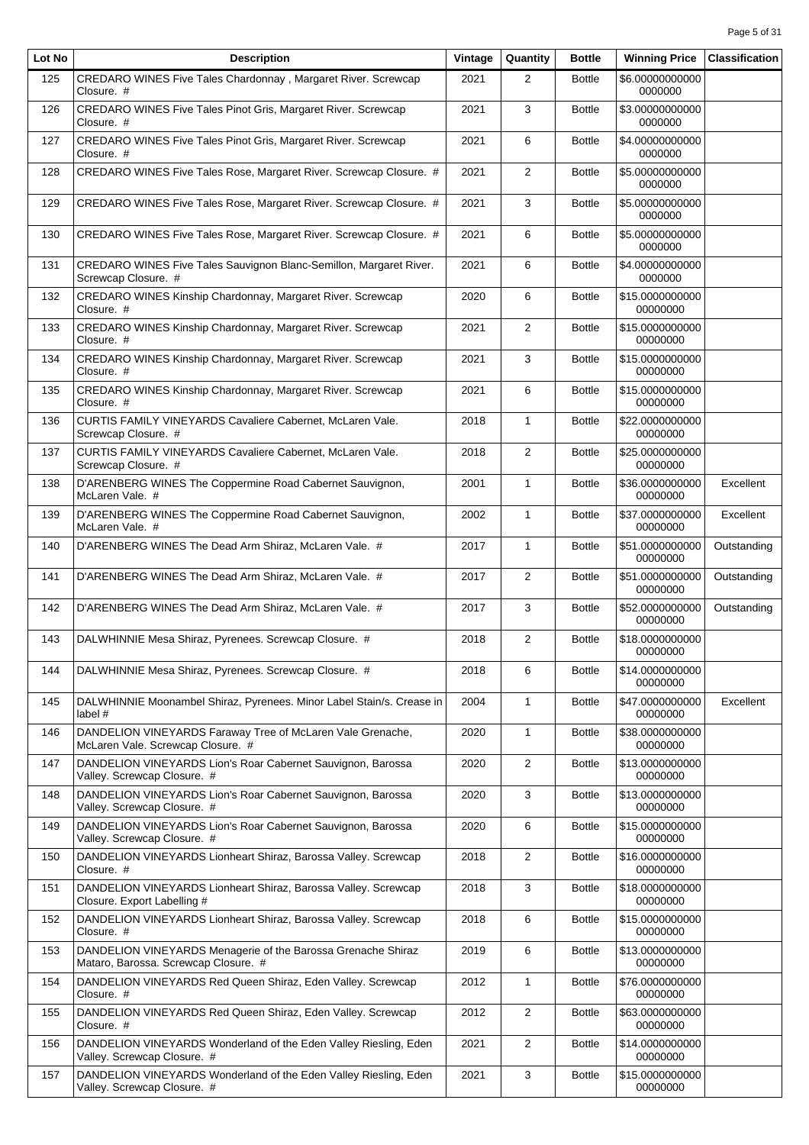| Lot No | <b>Description</b>                                                                                   | Vintage | Quantity       | <b>Bottle</b> | <b>Winning Price</b>        | <b>Classification</b> |
|--------|------------------------------------------------------------------------------------------------------|---------|----------------|---------------|-----------------------------|-----------------------|
| 125    | CREDARO WINES Five Tales Chardonnay, Margaret River. Screwcap<br>Closure. #                          | 2021    | 2              | <b>Bottle</b> | \$6.00000000000<br>0000000  |                       |
| 126    | CREDARO WINES Five Tales Pinot Gris, Margaret River. Screwcap<br>Closure. #                          | 2021    | 3              | <b>Bottle</b> | \$3.00000000000<br>0000000  |                       |
| 127    | CREDARO WINES Five Tales Pinot Gris, Margaret River. Screwcap<br>Closure. #                          | 2021    | 6              | <b>Bottle</b> | \$4.00000000000<br>0000000  |                       |
| 128    | CREDARO WINES Five Tales Rose, Margaret River. Screwcap Closure. #                                   | 2021    | 2              | <b>Bottle</b> | \$5.00000000000<br>0000000  |                       |
| 129    | CREDARO WINES Five Tales Rose, Margaret River. Screwcap Closure. #                                   | 2021    | 3              | <b>Bottle</b> | \$5.00000000000<br>0000000  |                       |
| 130    | CREDARO WINES Five Tales Rose, Margaret River. Screwcap Closure. #                                   | 2021    | 6              | <b>Bottle</b> | \$5.00000000000<br>0000000  |                       |
| 131    | CREDARO WINES Five Tales Sauvignon Blanc-Semillon, Margaret River.<br>Screwcap Closure. #            | 2021    | 6              | <b>Bottle</b> | \$4.00000000000<br>0000000  |                       |
| 132    | CREDARO WINES Kinship Chardonnay, Margaret River. Screwcap<br>Closure. #                             | 2020    | 6              | <b>Bottle</b> | \$15.0000000000<br>00000000 |                       |
| 133    | CREDARO WINES Kinship Chardonnay, Margaret River. Screwcap<br>Closure. #                             | 2021    | $\overline{2}$ | <b>Bottle</b> | \$15.0000000000<br>00000000 |                       |
| 134    | CREDARO WINES Kinship Chardonnay, Margaret River. Screwcap<br>Closure. #                             | 2021    | 3              | <b>Bottle</b> | \$15.0000000000<br>00000000 |                       |
| 135    | CREDARO WINES Kinship Chardonnay, Margaret River. Screwcap<br>Closure. #                             | 2021    | 6              | <b>Bottle</b> | \$15.0000000000<br>00000000 |                       |
| 136    | CURTIS FAMILY VINEYARDS Cavaliere Cabernet, McLaren Vale.<br>Screwcap Closure. #                     | 2018    | $\mathbf{1}$   | <b>Bottle</b> | \$22.0000000000<br>00000000 |                       |
| 137    | CURTIS FAMILY VINEYARDS Cavaliere Cabernet, McLaren Vale.<br>Screwcap Closure. #                     | 2018    | 2              | <b>Bottle</b> | \$25.0000000000<br>00000000 |                       |
| 138    | D'ARENBERG WINES The Coppermine Road Cabernet Sauvignon,<br>McLaren Vale. #                          | 2001    | $\mathbf{1}$   | <b>Bottle</b> | \$36.0000000000<br>00000000 | Excellent             |
| 139    | D'ARENBERG WINES The Coppermine Road Cabernet Sauvignon,<br>McLaren Vale. #                          | 2002    | $\mathbf{1}$   | <b>Bottle</b> | \$37.0000000000<br>00000000 | Excellent             |
| 140    | D'ARENBERG WINES The Dead Arm Shiraz, McLaren Vale. #                                                | 2017    | $\mathbf{1}$   | <b>Bottle</b> | \$51.0000000000<br>00000000 | Outstanding           |
| 141    | D'ARENBERG WINES The Dead Arm Shiraz, McLaren Vale. #                                                | 2017    | $\overline{2}$ | <b>Bottle</b> | \$51.0000000000<br>00000000 | Outstanding           |
| 142    | D'ARENBERG WINES The Dead Arm Shiraz, McLaren Vale. #                                                | 2017    | 3              | <b>Bottle</b> | \$52.0000000000<br>00000000 | Outstanding           |
| 143    | DALWHINNIE Mesa Shiraz, Pyrenees. Screwcap Closure. #                                                | 2018    | $\overline{2}$ | <b>Bottle</b> | \$18.0000000000<br>00000000 |                       |
| 144    | DALWHINNIE Mesa Shiraz, Pyrenees. Screwcap Closure. #                                                | 2018    | 6              | <b>Bottle</b> | \$14.0000000000<br>00000000 |                       |
| 145    | DALWHINNIE Moonambel Shiraz, Pyrenees. Minor Label Stain/s. Crease in<br>label #                     | 2004    | $\mathbf{1}$   | <b>Bottle</b> | \$47.0000000000<br>00000000 | Excellent             |
| 146    | DANDELION VINEYARDS Faraway Tree of McLaren Vale Grenache,<br>McLaren Vale. Screwcap Closure. #      | 2020    | 1              | <b>Bottle</b> | \$38.0000000000<br>00000000 |                       |
| 147    | DANDELION VINEYARDS Lion's Roar Cabernet Sauvignon, Barossa<br>Valley. Screwcap Closure. #           | 2020    | 2              | <b>Bottle</b> | \$13.0000000000<br>00000000 |                       |
| 148    | DANDELION VINEYARDS Lion's Roar Cabernet Sauvignon, Barossa<br>Valley. Screwcap Closure. #           | 2020    | 3              | <b>Bottle</b> | \$13.0000000000<br>00000000 |                       |
| 149    | DANDELION VINEYARDS Lion's Roar Cabernet Sauvignon, Barossa<br>Valley. Screwcap Closure. #           | 2020    | 6              | <b>Bottle</b> | \$15.0000000000<br>00000000 |                       |
| 150    | DANDELION VINEYARDS Lionheart Shiraz, Barossa Valley. Screwcap<br>Closure. #                         | 2018    | $\overline{2}$ | <b>Bottle</b> | \$16.0000000000<br>00000000 |                       |
| 151    | DANDELION VINEYARDS Lionheart Shiraz, Barossa Valley. Screwcap<br>Closure. Export Labelling #        | 2018    | 3              | <b>Bottle</b> | \$18.0000000000<br>00000000 |                       |
| 152    | DANDELION VINEYARDS Lionheart Shiraz, Barossa Valley. Screwcap<br>Closure. #                         | 2018    | 6              | <b>Bottle</b> | \$15.0000000000<br>00000000 |                       |
| 153    | DANDELION VINEYARDS Menagerie of the Barossa Grenache Shiraz<br>Mataro, Barossa. Screwcap Closure. # | 2019    | 6              | <b>Bottle</b> | \$13.0000000000<br>00000000 |                       |
| 154    | DANDELION VINEYARDS Red Queen Shiraz, Eden Valley. Screwcap<br>Closure. #                            | 2012    | $\mathbf{1}$   | <b>Bottle</b> | \$76.0000000000<br>00000000 |                       |
| 155    | DANDELION VINEYARDS Red Queen Shiraz, Eden Valley. Screwcap<br>Closure. #                            | 2012    | $\overline{c}$ | <b>Bottle</b> | \$63.0000000000<br>00000000 |                       |
| 156    | DANDELION VINEYARDS Wonderland of the Eden Valley Riesling, Eden<br>Valley. Screwcap Closure. #      | 2021    | $\overline{2}$ | <b>Bottle</b> | \$14.0000000000<br>00000000 |                       |
| 157    | DANDELION VINEYARDS Wonderland of the Eden Valley Riesling, Eden<br>Valley. Screwcap Closure. #      | 2021    | 3              | <b>Bottle</b> | \$15.0000000000<br>00000000 |                       |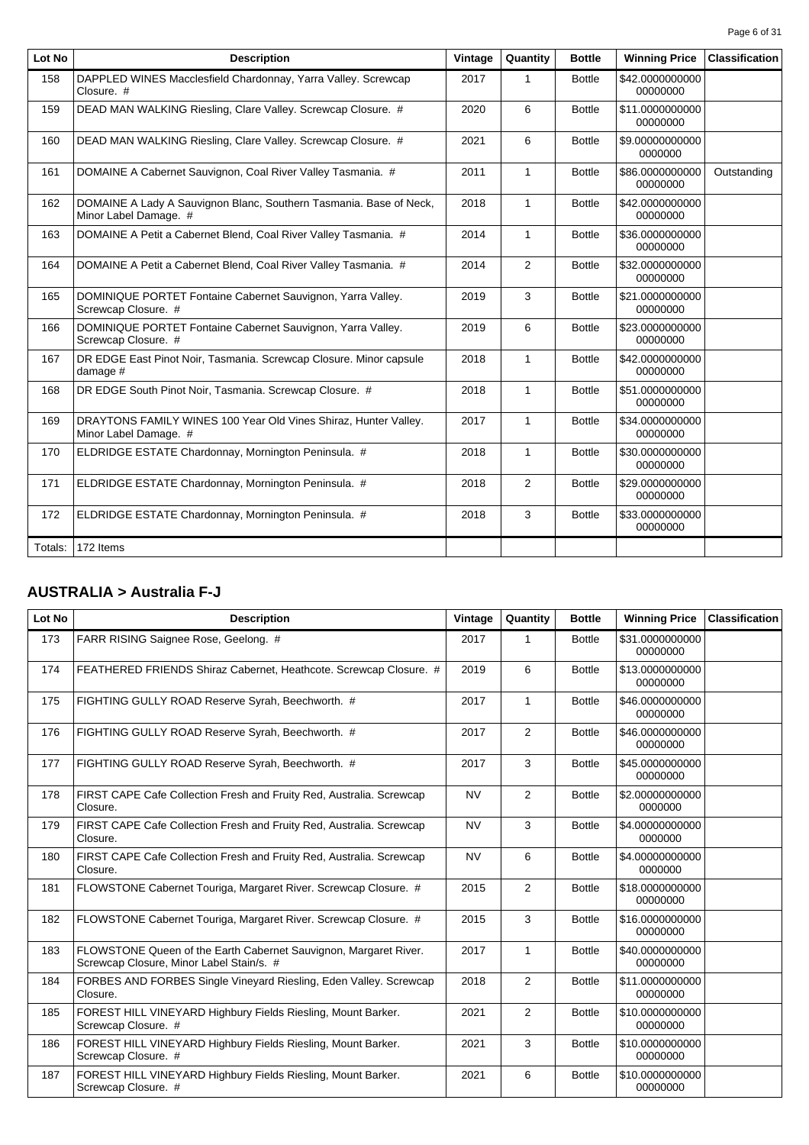| Page 6 of 31 |  |  |
|--------------|--|--|
|              |  |  |

| Lot No  | <b>Description</b>                                                                          | Vintage | Quantity     | <b>Bottle</b> | <b>Winning Price</b>        | <b>Classification</b> |
|---------|---------------------------------------------------------------------------------------------|---------|--------------|---------------|-----------------------------|-----------------------|
| 158     | DAPPLED WINES Macclesfield Chardonnay, Yarra Valley. Screwcap<br>Closure. #                 | 2017    | $\mathbf{1}$ | <b>Bottle</b> | \$42,0000000000<br>00000000 |                       |
| 159     | DEAD MAN WALKING Riesling, Clare Valley. Screwcap Closure. #                                | 2020    | 6            | <b>Bottle</b> | \$11.0000000000<br>00000000 |                       |
| 160     | DEAD MAN WALKING Riesling, Clare Valley. Screwcap Closure. #                                | 2021    | 6            | <b>Bottle</b> | \$9.00000000000<br>0000000  |                       |
| 161     | DOMAINE A Cabernet Sauvignon, Coal River Valley Tasmania. #                                 | 2011    | $\mathbf{1}$ | <b>Bottle</b> | \$86,0000000000<br>00000000 | Outstanding           |
| 162     | DOMAINE A Lady A Sauvignon Blanc, Southern Tasmania. Base of Neck,<br>Minor Label Damage. # | 2018    | $\mathbf{1}$ | <b>Bottle</b> | \$42,0000000000<br>00000000 |                       |
| 163     | DOMAINE A Petit a Cabernet Blend, Coal River Valley Tasmania. #                             | 2014    | $\mathbf{1}$ | <b>Bottle</b> | \$36,0000000000<br>00000000 |                       |
| 164     | DOMAINE A Petit a Cabernet Blend, Coal River Valley Tasmania. #                             | 2014    | 2            | <b>Bottle</b> | \$32,0000000000<br>00000000 |                       |
| 165     | DOMINIQUE PORTET Fontaine Cabernet Sauvignon, Yarra Valley.<br>Screwcap Closure. #          | 2019    | 3            | <b>Bottle</b> | \$21.0000000000<br>00000000 |                       |
| 166     | DOMINIQUE PORTET Fontaine Cabernet Sauvignon, Yarra Valley.<br>Screwcap Closure. #          | 2019    | 6            | <b>Bottle</b> | \$23.0000000000<br>00000000 |                       |
| 167     | DR EDGE East Pinot Noir, Tasmania. Screwcap Closure. Minor capsule<br>damage #              | 2018    | $\mathbf{1}$ | <b>Bottle</b> | \$42.0000000000<br>00000000 |                       |
| 168     | DR EDGE South Pinot Noir, Tasmania. Screwcap Closure. #                                     | 2018    | $\mathbf{1}$ | <b>Bottle</b> | \$51.0000000000<br>00000000 |                       |
| 169     | DRAYTONS FAMILY WINES 100 Year Old Vines Shiraz, Hunter Valley.<br>Minor Label Damage. #    | 2017    | $\mathbf{1}$ | <b>Bottle</b> | \$34.0000000000<br>00000000 |                       |
| 170     | ELDRIDGE ESTATE Chardonnay, Mornington Peninsula. #                                         | 2018    | $\mathbf{1}$ | <b>Bottle</b> | \$30.0000000000<br>00000000 |                       |
| 171     | ELDRIDGE ESTATE Chardonnay, Mornington Peninsula. #                                         | 2018    | 2            | <b>Bottle</b> | \$29.0000000000<br>00000000 |                       |
| 172     | ELDRIDGE ESTATE Chardonnay, Mornington Peninsula. #                                         | 2018    | 3            | <b>Bottle</b> | \$33.0000000000<br>00000000 |                       |
| Totals: | 172 Items                                                                                   |         |              |               |                             |                       |

# **AUSTRALIA > Australia F-J**

| Lot No | <b>Description</b>                                                                                           | Vintage   | Quantity     | <b>Bottle</b> | <b>Winning Price</b>        | <b>Classification</b> |
|--------|--------------------------------------------------------------------------------------------------------------|-----------|--------------|---------------|-----------------------------|-----------------------|
| 173    | FARR RISING Saignee Rose, Geelong. #                                                                         | 2017      | 1            | <b>Bottle</b> | \$31.0000000000<br>00000000 |                       |
| 174    | FEATHERED FRIENDS Shiraz Cabernet, Heathcote. Screwcap Closure. #                                            | 2019      | 6            | <b>Bottle</b> | \$13.0000000000<br>00000000 |                       |
| 175    | FIGHTING GULLY ROAD Reserve Syrah, Beechworth. #                                                             | 2017      | $\mathbf{1}$ | <b>Bottle</b> | \$46.0000000000<br>00000000 |                       |
| 176    | FIGHTING GULLY ROAD Reserve Syrah, Beechworth. #                                                             | 2017      | 2            | <b>Bottle</b> | \$46.0000000000<br>00000000 |                       |
| 177    | FIGHTING GULLY ROAD Reserve Syrah, Beechworth. #                                                             | 2017      | 3            | <b>Bottle</b> | \$45.0000000000<br>00000000 |                       |
| 178    | FIRST CAPE Cafe Collection Fresh and Fruity Red, Australia. Screwcap<br>Closure.                             | <b>NV</b> | 2            | <b>Bottle</b> | \$2.00000000000<br>0000000  |                       |
| 179    | FIRST CAPE Cafe Collection Fresh and Fruity Red, Australia. Screwcap<br>Closure.                             | <b>NV</b> | 3            | <b>Bottle</b> | \$4.00000000000<br>0000000  |                       |
| 180    | FIRST CAPE Cafe Collection Fresh and Fruity Red, Australia. Screwcap<br>Closure.                             | <b>NV</b> | 6            | <b>Bottle</b> | \$4.00000000000<br>0000000  |                       |
| 181    | FLOWSTONE Cabernet Touriga, Margaret River. Screwcap Closure. #                                              | 2015      | 2            | <b>Bottle</b> | \$18,0000000000<br>00000000 |                       |
| 182    | FLOWSTONE Cabernet Touriga, Margaret River. Screwcap Closure. #                                              | 2015      | 3            | <b>Bottle</b> | \$16.0000000000<br>00000000 |                       |
| 183    | FLOWSTONE Queen of the Earth Cabernet Sauvignon, Margaret River.<br>Screwcap Closure, Minor Label Stain/s. # | 2017      | $\mathbf{1}$ | <b>Bottle</b> | \$40.0000000000<br>00000000 |                       |
| 184    | FORBES AND FORBES Single Vineyard Riesling, Eden Valley. Screwcap<br>Closure.                                | 2018      | 2            | <b>Bottle</b> | \$11.0000000000<br>00000000 |                       |
| 185    | FOREST HILL VINEYARD Highbury Fields Riesling, Mount Barker.<br>Screwcap Closure. #                          | 2021      | 2            | <b>Bottle</b> | \$10.0000000000<br>00000000 |                       |
| 186    | FOREST HILL VINEYARD Highbury Fields Riesling, Mount Barker.<br>Screwcap Closure. #                          | 2021      | 3            | <b>Bottle</b> | \$10.0000000000<br>00000000 |                       |
| 187    | FOREST HILL VINEYARD Highbury Fields Riesling, Mount Barker.<br>Screwcap Closure. #                          | 2021      | 6            | <b>Bottle</b> | \$10.0000000000<br>00000000 |                       |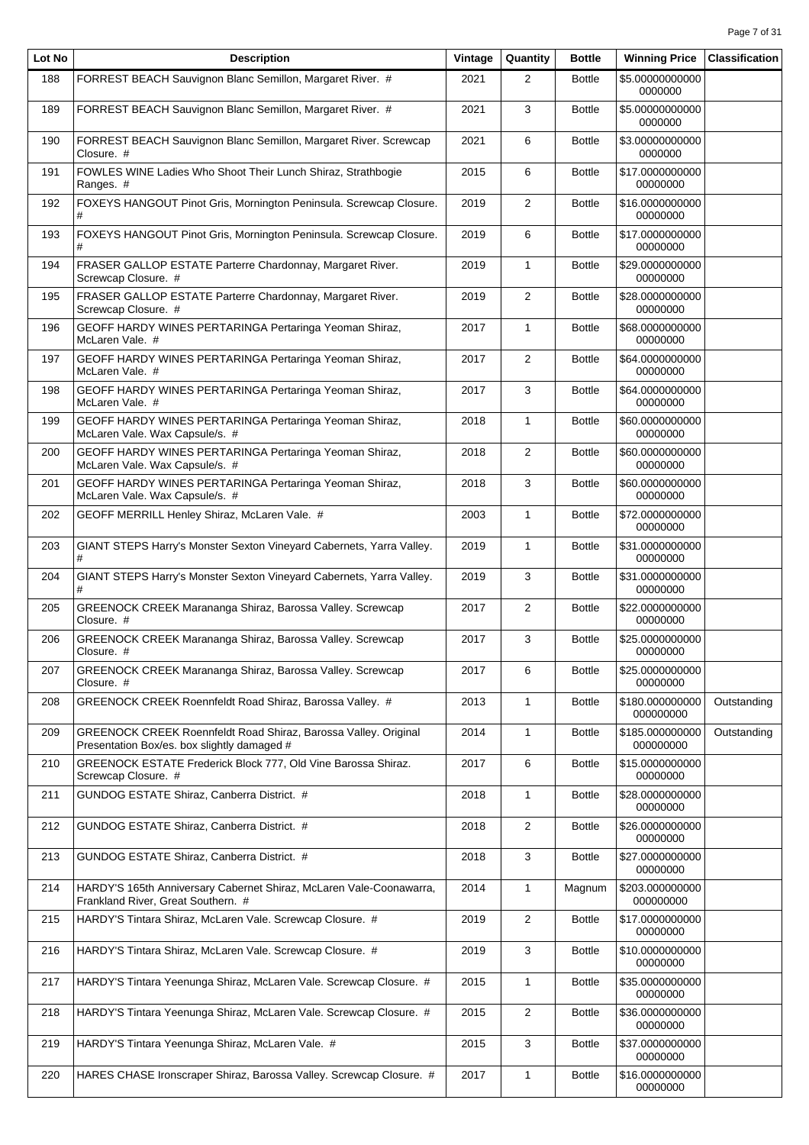| Lot No | <b>Description</b>                                                                                             | Vintage | Quantity       | <b>Bottle</b> | <b>Winning Price</b>         | <b>Classification</b> |
|--------|----------------------------------------------------------------------------------------------------------------|---------|----------------|---------------|------------------------------|-----------------------|
| 188    | FORREST BEACH Sauvignon Blanc Semillon, Margaret River. #                                                      | 2021    | $\overline{2}$ | <b>Bottle</b> | \$5.00000000000<br>0000000   |                       |
| 189    | FORREST BEACH Sauvignon Blanc Semillon, Margaret River. #                                                      | 2021    | 3              | <b>Bottle</b> | \$5.00000000000<br>0000000   |                       |
| 190    | FORREST BEACH Sauvignon Blanc Semillon, Margaret River. Screwcap<br>Closure. #                                 | 2021    | 6              | <b>Bottle</b> | \$3.00000000000<br>0000000   |                       |
| 191    | FOWLES WINE Ladies Who Shoot Their Lunch Shiraz, Strathbogie<br>Ranges. #                                      | 2015    | 6              | <b>Bottle</b> | \$17.0000000000<br>00000000  |                       |
| 192    | FOXEYS HANGOUT Pinot Gris, Mornington Peninsula. Screwcap Closure.<br>#                                        | 2019    | 2              | <b>Bottle</b> | \$16.0000000000<br>00000000  |                       |
| 193    | FOXEYS HANGOUT Pinot Gris, Mornington Peninsula. Screwcap Closure.                                             | 2019    | 6              | <b>Bottle</b> | \$17.0000000000<br>00000000  |                       |
| 194    | FRASER GALLOP ESTATE Parterre Chardonnay, Margaret River.<br>Screwcap Closure. #                               | 2019    | $\mathbf{1}$   | <b>Bottle</b> | \$29.0000000000<br>00000000  |                       |
| 195    | FRASER GALLOP ESTATE Parterre Chardonnay, Margaret River.<br>Screwcap Closure. #                               | 2019    | 2              | <b>Bottle</b> | \$28.0000000000<br>00000000  |                       |
| 196    | GEOFF HARDY WINES PERTARINGA Pertaringa Yeoman Shiraz,<br>McLaren Vale. #                                      | 2017    | $\mathbf{1}$   | <b>Bottle</b> | \$68.0000000000<br>00000000  |                       |
| 197    | GEOFF HARDY WINES PERTARINGA Pertaringa Yeoman Shiraz,<br>McLaren Vale. #                                      | 2017    | 2              | <b>Bottle</b> | \$64.0000000000<br>00000000  |                       |
| 198    | GEOFF HARDY WINES PERTARINGA Pertaringa Yeoman Shiraz,<br>McLaren Vale. #                                      | 2017    | 3              | <b>Bottle</b> | \$64.0000000000<br>00000000  |                       |
| 199    | GEOFF HARDY WINES PERTARINGA Pertaringa Yeoman Shiraz,<br>McLaren Vale. Wax Capsule/s. #                       | 2018    | $\mathbf{1}$   | <b>Bottle</b> | \$60.0000000000<br>00000000  |                       |
| 200    | GEOFF HARDY WINES PERTARINGA Pertaringa Yeoman Shiraz,<br>McLaren Vale. Wax Capsule/s. #                       | 2018    | 2              | <b>Bottle</b> | \$60.0000000000<br>00000000  |                       |
| 201    | GEOFF HARDY WINES PERTARINGA Pertaringa Yeoman Shiraz,<br>McLaren Vale. Wax Capsule/s. #                       | 2018    | 3              | <b>Bottle</b> | \$60.0000000000<br>00000000  |                       |
| 202    | GEOFF MERRILL Henley Shiraz, McLaren Vale. #                                                                   | 2003    | $\mathbf{1}$   | <b>Bottle</b> | \$72.0000000000<br>00000000  |                       |
| 203    | GIANT STEPS Harry's Monster Sexton Vineyard Cabernets, Yarra Valley.<br>#                                      | 2019    | 1              | <b>Bottle</b> | \$31.0000000000<br>00000000  |                       |
| 204    | GIANT STEPS Harry's Monster Sexton Vineyard Cabernets, Yarra Valley.<br>#                                      | 2019    | 3              | <b>Bottle</b> | \$31.0000000000<br>00000000  |                       |
| 205    | GREENOCK CREEK Marananga Shiraz, Barossa Valley. Screwcap<br>Closure. #                                        | 2017    | 2              | <b>Bottle</b> | \$22.0000000000<br>00000000  |                       |
| 206    | GREENOCK CREEK Marananga Shiraz, Barossa Valley. Screwcap<br>Closure. #                                        | 2017    | 3              | <b>Bottle</b> | \$25.0000000000<br>00000000  |                       |
| 207    | GREENOCK CREEK Marananga Shiraz, Barossa Valley. Screwcap<br>Closure. #                                        | 2017    | 6              | <b>Bottle</b> | \$25.0000000000<br>00000000  |                       |
| 208    | GREENOCK CREEK Roennfeldt Road Shiraz, Barossa Valley. #                                                       | 2013    | 1              | <b>Bottle</b> | \$180.000000000<br>000000000 | Outstanding           |
| 209    | GREENOCK CREEK Roennfeldt Road Shiraz, Barossa Valley. Original<br>Presentation Box/es. box slightly damaged # | 2014    | 1              | <b>Bottle</b> | \$185.000000000<br>000000000 | Outstanding           |
| 210    | GREENOCK ESTATE Frederick Block 777, Old Vine Barossa Shiraz.<br>Screwcap Closure. #                           | 2017    | 6              | <b>Bottle</b> | \$15.0000000000<br>00000000  |                       |
| 211    | GUNDOG ESTATE Shiraz, Canberra District. #                                                                     | 2018    | $\mathbf{1}$   | <b>Bottle</b> | \$28.0000000000<br>00000000  |                       |
| 212    | GUNDOG ESTATE Shiraz, Canberra District. #                                                                     | 2018    | 2              | <b>Bottle</b> | \$26.0000000000<br>00000000  |                       |
| 213    | GUNDOG ESTATE Shiraz, Canberra District. #                                                                     | 2018    | 3              | <b>Bottle</b> | \$27.0000000000<br>00000000  |                       |
| 214    | HARDY'S 165th Anniversary Cabernet Shiraz, McLaren Vale-Coonawarra,<br>Frankland River, Great Southern. #      | 2014    | 1              | Magnum        | \$203.000000000<br>000000000 |                       |
| 215    | HARDY'S Tintara Shiraz, McLaren Vale. Screwcap Closure. #                                                      | 2019    | $\overline{2}$ | <b>Bottle</b> | \$17.0000000000<br>00000000  |                       |
| 216    | HARDY'S Tintara Shiraz, McLaren Vale. Screwcap Closure. #                                                      | 2019    | 3              | <b>Bottle</b> | \$10.0000000000<br>00000000  |                       |
| 217    | HARDY'S Tintara Yeenunga Shiraz, McLaren Vale. Screwcap Closure. #                                             | 2015    | 1              | <b>Bottle</b> | \$35.0000000000<br>00000000  |                       |
| 218    | HARDY'S Tintara Yeenunga Shiraz, McLaren Vale. Screwcap Closure. #                                             | 2015    | 2              | <b>Bottle</b> | \$36.0000000000<br>00000000  |                       |
| 219    | HARDY'S Tintara Yeenunga Shiraz, McLaren Vale. #                                                               | 2015    | 3              | <b>Bottle</b> | \$37.0000000000<br>00000000  |                       |
| 220    | HARES CHASE Ironscraper Shiraz, Barossa Valley. Screwcap Closure. #                                            | 2017    | 1              | <b>Bottle</b> | \$16.0000000000<br>00000000  |                       |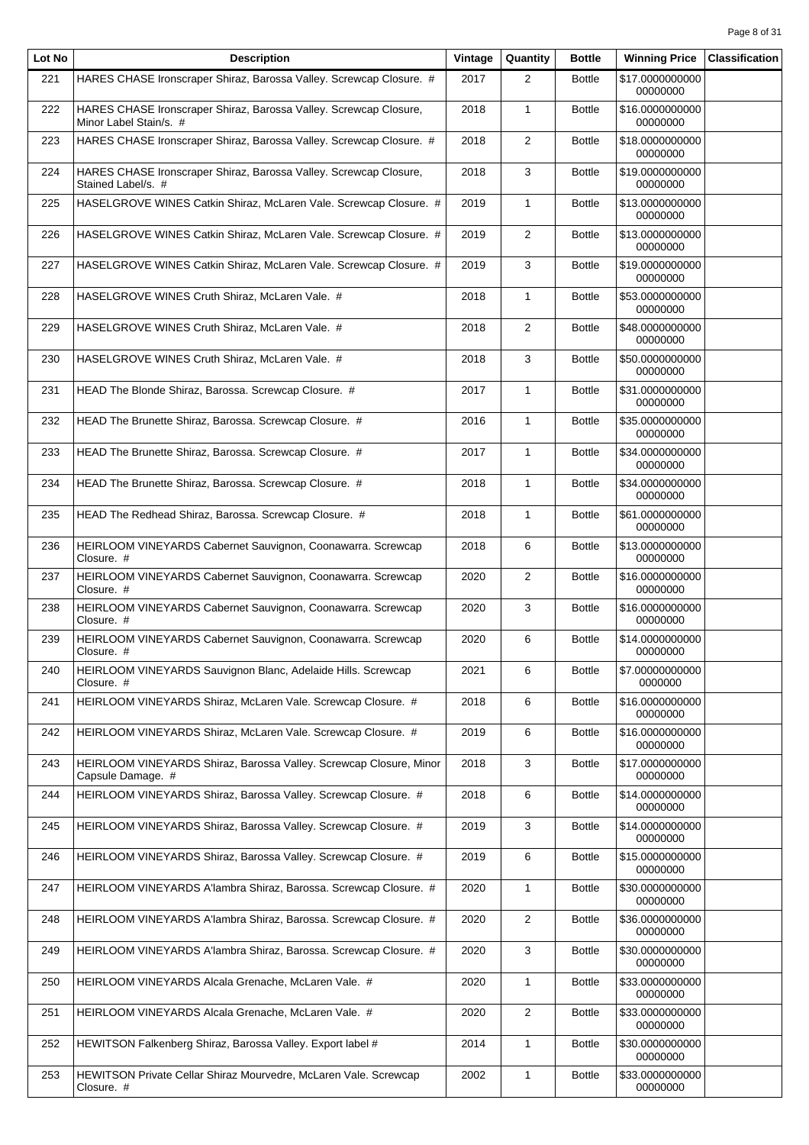| Lot No | <b>Description</b>                                                                          | Vintage | Quantity       | <b>Bottle</b> | <b>Winning Price</b>        | <b>Classification</b> |
|--------|---------------------------------------------------------------------------------------------|---------|----------------|---------------|-----------------------------|-----------------------|
| 221    | HARES CHASE Ironscraper Shiraz, Barossa Valley. Screwcap Closure. #                         | 2017    | $\overline{2}$ | <b>Bottle</b> | \$17.0000000000<br>00000000 |                       |
| 222    | HARES CHASE Ironscraper Shiraz, Barossa Valley. Screwcap Closure,<br>Minor Label Stain/s. # | 2018    | $\mathbf{1}$   | <b>Bottle</b> | \$16.0000000000<br>00000000 |                       |
| 223    | HARES CHASE Ironscraper Shiraz, Barossa Valley. Screwcap Closure. #                         | 2018    | $\overline{2}$ | <b>Bottle</b> | \$18.0000000000<br>00000000 |                       |
| 224    | HARES CHASE Ironscraper Shiraz, Barossa Valley. Screwcap Closure,<br>Stained Label/s. #     | 2018    | 3              | <b>Bottle</b> | \$19.0000000000<br>00000000 |                       |
| 225    | HASELGROVE WINES Catkin Shiraz, McLaren Vale. Screwcap Closure. #                           | 2019    | $\mathbf{1}$   | <b>Bottle</b> | \$13.0000000000<br>00000000 |                       |
| 226    | HASELGROVE WINES Catkin Shiraz, McLaren Vale. Screwcap Closure. #                           | 2019    | $\overline{2}$ | <b>Bottle</b> | \$13.0000000000<br>00000000 |                       |
| 227    | HASELGROVE WINES Catkin Shiraz, McLaren Vale. Screwcap Closure. #                           | 2019    | 3              | <b>Bottle</b> | \$19.0000000000<br>00000000 |                       |
| 228    | HASELGROVE WINES Cruth Shiraz, McLaren Vale. #                                              | 2018    | $\mathbf{1}$   | <b>Bottle</b> | \$53.0000000000<br>00000000 |                       |
| 229    | HASELGROVE WINES Cruth Shiraz, McLaren Vale. #                                              | 2018    | $\overline{2}$ | <b>Bottle</b> | \$48.0000000000<br>00000000 |                       |
| 230    | HASELGROVE WINES Cruth Shiraz, McLaren Vale. #                                              | 2018    | 3              | <b>Bottle</b> | \$50.0000000000<br>00000000 |                       |
| 231    | HEAD The Blonde Shiraz, Barossa. Screwcap Closure. #                                        | 2017    | $\mathbf{1}$   | <b>Bottle</b> | \$31.0000000000<br>00000000 |                       |
| 232    | HEAD The Brunette Shiraz, Barossa. Screwcap Closure. #                                      | 2016    | $\mathbf{1}$   | <b>Bottle</b> | \$35.0000000000<br>00000000 |                       |
| 233    | HEAD The Brunette Shiraz, Barossa. Screwcap Closure. #                                      | 2017    | $\mathbf{1}$   | <b>Bottle</b> | \$34.0000000000<br>00000000 |                       |
| 234    | HEAD The Brunette Shiraz, Barossa. Screwcap Closure. #                                      | 2018    | $\mathbf{1}$   | <b>Bottle</b> | \$34.0000000000<br>00000000 |                       |
| 235    | HEAD The Redhead Shiraz, Barossa. Screwcap Closure. #                                       | 2018    | $\mathbf{1}$   | <b>Bottle</b> | \$61.0000000000<br>00000000 |                       |
| 236    | HEIRLOOM VINEYARDS Cabernet Sauvignon, Coonawarra. Screwcap<br>Closure. #                   | 2018    | 6              | <b>Bottle</b> | \$13.0000000000<br>00000000 |                       |
| 237    | HEIRLOOM VINEYARDS Cabernet Sauvignon, Coonawarra. Screwcap<br>Closure. #                   | 2020    | $\overline{2}$ | <b>Bottle</b> | \$16.0000000000<br>00000000 |                       |
| 238    | HEIRLOOM VINEYARDS Cabernet Sauvignon, Coonawarra. Screwcap<br>Closure. #                   | 2020    | 3              | <b>Bottle</b> | \$16.0000000000<br>00000000 |                       |
| 239    | HEIRLOOM VINEYARDS Cabernet Sauvignon, Coonawarra. Screwcap<br>Closure. #                   | 2020    | 6              | <b>Bottle</b> | \$14.0000000000<br>00000000 |                       |
| 240    | HEIRLOOM VINEYARDS Sauvignon Blanc, Adelaide Hills. Screwcap<br>Closure. #                  | 2021    | 6              | <b>Bottle</b> | \$7.00000000000<br>0000000  |                       |
| 241    | HEIRLOOM VINEYARDS Shiraz, McLaren Vale. Screwcap Closure. #                                | 2018    | 6              | <b>Bottle</b> | \$16.0000000000<br>00000000 |                       |
| 242    | HEIRLOOM VINEYARDS Shiraz, McLaren Vale. Screwcap Closure. #                                | 2019    | 6              | <b>Bottle</b> | \$16.0000000000<br>00000000 |                       |
| 243    | HEIRLOOM VINEYARDS Shiraz, Barossa Valley. Screwcap Closure, Minor<br>Capsule Damage. #     | 2018    | 3              | <b>Bottle</b> | \$17.0000000000<br>00000000 |                       |
| 244    | HEIRLOOM VINEYARDS Shiraz, Barossa Valley. Screwcap Closure. #                              | 2018    | 6              | <b>Bottle</b> | \$14.0000000000<br>00000000 |                       |
| 245    | HEIRLOOM VINEYARDS Shiraz, Barossa Valley. Screwcap Closure. #                              | 2019    | 3              | <b>Bottle</b> | \$14.0000000000<br>00000000 |                       |
| 246    | HEIRLOOM VINEYARDS Shiraz, Barossa Valley. Screwcap Closure. #                              | 2019    | 6              | <b>Bottle</b> | \$15.0000000000<br>00000000 |                       |
| 247    | HEIRLOOM VINEYARDS A'lambra Shiraz, Barossa. Screwcap Closure. #                            | 2020    | $\mathbf{1}$   | <b>Bottle</b> | \$30.0000000000<br>00000000 |                       |
| 248    | HEIRLOOM VINEYARDS A'lambra Shiraz, Barossa. Screwcap Closure. #                            | 2020    | $\overline{2}$ | <b>Bottle</b> | \$36.0000000000<br>00000000 |                       |
| 249    | HEIRLOOM VINEYARDS A'lambra Shiraz, Barossa. Screwcap Closure. #                            | 2020    | 3              | <b>Bottle</b> | \$30.0000000000<br>00000000 |                       |
| 250    | HEIRLOOM VINEYARDS Alcala Grenache, McLaren Vale. #                                         | 2020    | $\mathbf{1}$   | <b>Bottle</b> | \$33.0000000000<br>00000000 |                       |
| 251    | HEIRLOOM VINEYARDS Alcala Grenache, McLaren Vale. #                                         | 2020    | $\overline{2}$ | <b>Bottle</b> | \$33.0000000000<br>00000000 |                       |
| 252    | HEWITSON Falkenberg Shiraz, Barossa Valley. Export label #                                  | 2014    | $\mathbf{1}$   | <b>Bottle</b> | \$30.0000000000<br>00000000 |                       |
| 253    | HEWITSON Private Cellar Shiraz Mourvedre, McLaren Vale. Screwcap<br>Closure. #              | 2002    | $\mathbf{1}$   | <b>Bottle</b> | \$33.0000000000<br>00000000 |                       |
|        |                                                                                             |         |                |               |                             |                       |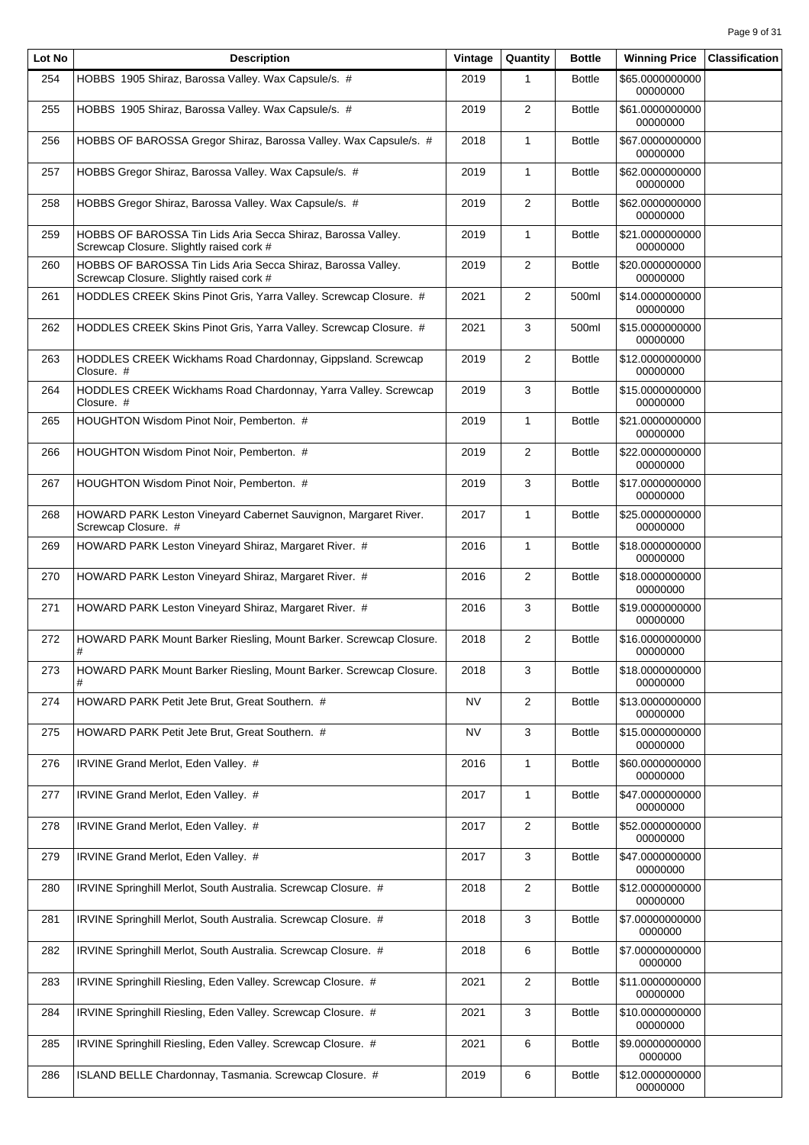| Lot No | <b>Description</b>                                                                                       | Vintage   | Quantity       | <b>Bottle</b> | <b>Winning Price</b>        | <b>Classification</b> |
|--------|----------------------------------------------------------------------------------------------------------|-----------|----------------|---------------|-----------------------------|-----------------------|
| 254    | HOBBS 1905 Shiraz, Barossa Valley. Wax Capsule/s. #                                                      | 2019      | $\mathbf{1}$   | <b>Bottle</b> | \$65.0000000000<br>00000000 |                       |
| 255    | HOBBS 1905 Shiraz, Barossa Valley. Wax Capsule/s. #                                                      | 2019      | 2              | <b>Bottle</b> | \$61.0000000000<br>00000000 |                       |
| 256    | HOBBS OF BAROSSA Gregor Shiraz, Barossa Valley. Wax Capsule/s. #                                         | 2018      | $\mathbf{1}$   | <b>Bottle</b> | \$67.0000000000<br>00000000 |                       |
| 257    | HOBBS Gregor Shiraz, Barossa Valley. Wax Capsule/s. #                                                    | 2019      | $\mathbf{1}$   | <b>Bottle</b> | \$62.0000000000<br>00000000 |                       |
| 258    | HOBBS Gregor Shiraz, Barossa Valley. Wax Capsule/s. #                                                    | 2019      | 2              | <b>Bottle</b> | \$62.0000000000<br>00000000 |                       |
| 259    | HOBBS OF BAROSSA Tin Lids Aria Secca Shiraz, Barossa Valley.<br>Screwcap Closure. Slightly raised cork # | 2019      | $\mathbf{1}$   | <b>Bottle</b> | \$21.0000000000<br>00000000 |                       |
| 260    | HOBBS OF BAROSSA Tin Lids Aria Secca Shiraz, Barossa Valley.<br>Screwcap Closure. Slightly raised cork # | 2019      | 2              | <b>Bottle</b> | \$20.0000000000<br>00000000 |                       |
| 261    | HODDLES CREEK Skins Pinot Gris, Yarra Valley. Screwcap Closure. #                                        | 2021      | $\overline{2}$ | 500ml         | \$14.0000000000<br>00000000 |                       |
| 262    | HODDLES CREEK Skins Pinot Gris, Yarra Valley. Screwcap Closure. #                                        | 2021      | 3              | 500ml         | \$15,0000000000<br>00000000 |                       |
| 263    | HODDLES CREEK Wickhams Road Chardonnay, Gippsland. Screwcap<br>Closure. #                                | 2019      | $\overline{2}$ | <b>Bottle</b> | \$12.0000000000<br>00000000 |                       |
| 264    | HODDLES CREEK Wickhams Road Chardonnay, Yarra Valley. Screwcap<br>Closure. #                             | 2019      | 3              | <b>Bottle</b> | \$15.0000000000<br>00000000 |                       |
| 265    | HOUGHTON Wisdom Pinot Noir, Pemberton. #                                                                 | 2019      | $\mathbf{1}$   | <b>Bottle</b> | \$21.0000000000<br>00000000 |                       |
| 266    | HOUGHTON Wisdom Pinot Noir, Pemberton. #                                                                 | 2019      | $\overline{2}$ | <b>Bottle</b> | \$22.0000000000<br>00000000 |                       |
| 267    | HOUGHTON Wisdom Pinot Noir, Pemberton. #                                                                 | 2019      | 3              | <b>Bottle</b> | \$17.0000000000<br>00000000 |                       |
| 268    | HOWARD PARK Leston Vineyard Cabernet Sauvignon, Margaret River.<br>Screwcap Closure. #                   | 2017      | $\mathbf{1}$   | <b>Bottle</b> | \$25.0000000000<br>00000000 |                       |
| 269    | HOWARD PARK Leston Vineyard Shiraz, Margaret River. #                                                    | 2016      | $\mathbf{1}$   | <b>Bottle</b> | \$18.0000000000<br>00000000 |                       |
| 270    | HOWARD PARK Leston Vineyard Shiraz, Margaret River. #                                                    | 2016      | $\overline{2}$ | <b>Bottle</b> | \$18.0000000000<br>00000000 |                       |
| 271    | HOWARD PARK Leston Vineyard Shiraz, Margaret River. #                                                    | 2016      | 3              | <b>Bottle</b> | \$19.0000000000<br>00000000 |                       |
| 272    | HOWARD PARK Mount Barker Riesling, Mount Barker. Screwcap Closure.<br>#                                  | 2018      | $\overline{2}$ | <b>Bottle</b> | \$16.0000000000<br>00000000 |                       |
| 273    | HOWARD PARK Mount Barker Riesling, Mount Barker. Screwcap Closure.<br>#                                  | 2018      | 3              | <b>Bottle</b> | \$18.0000000000<br>00000000 |                       |
| 274    | HOWARD PARK Petit Jete Brut, Great Southern. #                                                           | <b>NV</b> | $\overline{2}$ | <b>Bottle</b> | \$13.0000000000<br>00000000 |                       |
| 275    | HOWARD PARK Petit Jete Brut, Great Southern. #                                                           | NV        | 3              | <b>Bottle</b> | \$15.0000000000<br>00000000 |                       |
| 276    | IRVINE Grand Merlot, Eden Valley. #                                                                      | 2016      | $\mathbf{1}$   | <b>Bottle</b> | \$60.0000000000<br>00000000 |                       |
| 277    | IRVINE Grand Merlot, Eden Valley. #                                                                      | 2017      | $\mathbf{1}$   | <b>Bottle</b> | \$47.0000000000<br>00000000 |                       |
| 278    | IRVINE Grand Merlot, Eden Valley. #                                                                      | 2017      | 2              | <b>Bottle</b> | \$52.0000000000<br>00000000 |                       |
| 279    | IRVINE Grand Merlot, Eden Valley. #                                                                      | 2017      | 3              | <b>Bottle</b> | \$47.0000000000<br>00000000 |                       |
| 280    | IRVINE Springhill Merlot, South Australia. Screwcap Closure. #                                           | 2018      | $\overline{2}$ | <b>Bottle</b> | \$12.0000000000<br>00000000 |                       |
| 281    | IRVINE Springhill Merlot, South Australia. Screwcap Closure. #                                           | 2018      | 3              | <b>Bottle</b> | \$7.00000000000<br>0000000  |                       |
| 282    | IRVINE Springhill Merlot, South Australia. Screwcap Closure. #                                           | 2018      | 6              | <b>Bottle</b> | \$7.00000000000<br>0000000  |                       |
| 283    | IRVINE Springhill Riesling, Eden Valley. Screwcap Closure. #                                             | 2021      | $\overline{2}$ | <b>Bottle</b> | \$11.0000000000<br>00000000 |                       |
| 284    | IRVINE Springhill Riesling, Eden Valley. Screwcap Closure. #                                             | 2021      | 3              | <b>Bottle</b> | \$10.0000000000<br>00000000 |                       |
| 285    | IRVINE Springhill Riesling, Eden Valley. Screwcap Closure. #                                             | 2021      | 6              | <b>Bottle</b> | \$9.00000000000<br>0000000  |                       |
| 286    | ISLAND BELLE Chardonnay, Tasmania. Screwcap Closure. #                                                   | 2019      | 6              | <b>Bottle</b> | \$12.0000000000<br>00000000 |                       |
|        |                                                                                                          |           |                |               |                             |                       |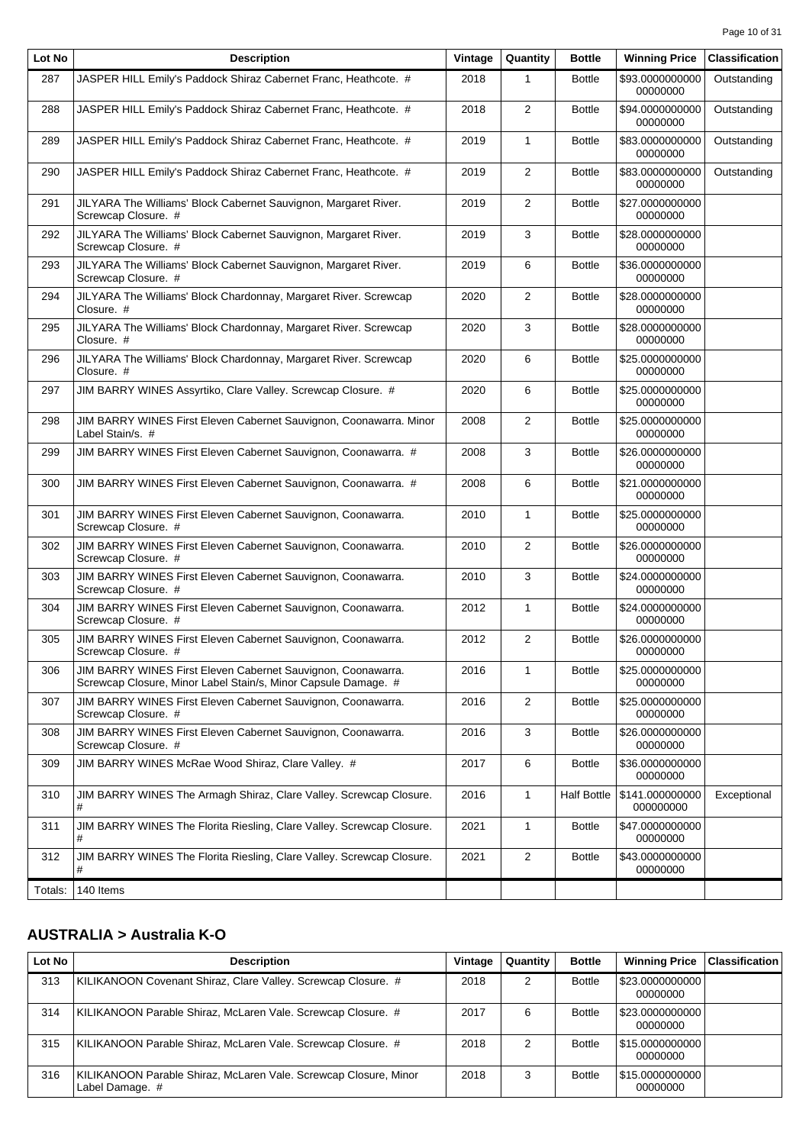| Lot No  | <b>Description</b>                                                                                                             | Vintage | Quantity       | <b>Bottle</b>      | <b>Winning Price</b>         | <b>Classification</b> |
|---------|--------------------------------------------------------------------------------------------------------------------------------|---------|----------------|--------------------|------------------------------|-----------------------|
| 287     | JASPER HILL Emily's Paddock Shiraz Cabernet Franc, Heathcote. #                                                                | 2018    | $\mathbf{1}$   | <b>Bottle</b>      | \$93.0000000000<br>00000000  | Outstanding           |
| 288     | JASPER HILL Emily's Paddock Shiraz Cabernet Franc, Heathcote. #                                                                | 2018    | $\overline{2}$ | <b>Bottle</b>      | \$94.0000000000<br>00000000  | Outstanding           |
| 289     | JASPER HILL Emily's Paddock Shiraz Cabernet Franc, Heathcote. #                                                                | 2019    | 1              | <b>Bottle</b>      | \$83.0000000000<br>00000000  | Outstanding           |
| 290     | JASPER HILL Emily's Paddock Shiraz Cabernet Franc, Heathcote. #                                                                | 2019    | $\overline{2}$ | <b>Bottle</b>      | \$83.0000000000<br>00000000  | Outstanding           |
| 291     | JILYARA The Williams' Block Cabernet Sauvignon, Margaret River.<br>Screwcap Closure. #                                         | 2019    | $\mathbf{2}$   | <b>Bottle</b>      | \$27.0000000000<br>00000000  |                       |
| 292     | JILYARA The Williams' Block Cabernet Sauvignon, Margaret River.<br>Screwcap Closure. #                                         | 2019    | 3              | <b>Bottle</b>      | \$28.0000000000<br>00000000  |                       |
| 293     | JILYARA The Williams' Block Cabernet Sauvignon, Margaret River.<br>Screwcap Closure. #                                         | 2019    | 6              | <b>Bottle</b>      | \$36.0000000000<br>00000000  |                       |
| 294     | JILYARA The Williams' Block Chardonnay, Margaret River. Screwcap<br>Closure. #                                                 | 2020    | 2              | <b>Bottle</b>      | \$28.0000000000<br>00000000  |                       |
| 295     | JILYARA The Williams' Block Chardonnay, Margaret River. Screwcap<br>Closure. #                                                 | 2020    | 3              | <b>Bottle</b>      | \$28.0000000000<br>00000000  |                       |
| 296     | JILYARA The Williams' Block Chardonnay, Margaret River. Screwcap<br>Closure. #                                                 | 2020    | 6              | <b>Bottle</b>      | \$25.0000000000<br>00000000  |                       |
| 297     | JIM BARRY WINES Assyrtiko, Clare Valley. Screwcap Closure. #                                                                   | 2020    | 6              | <b>Bottle</b>      | \$25.0000000000<br>00000000  |                       |
| 298     | JIM BARRY WINES First Eleven Cabernet Sauvignon, Coonawarra. Minor<br>Label Stain/s. #                                         | 2008    | $\overline{2}$ | <b>Bottle</b>      | \$25.0000000000<br>00000000  |                       |
| 299     | JIM BARRY WINES First Eleven Cabernet Sauvignon, Coonawarra. #                                                                 | 2008    | 3              | <b>Bottle</b>      | \$26.0000000000<br>00000000  |                       |
| 300     | JIM BARRY WINES First Eleven Cabernet Sauvignon, Coonawarra. #                                                                 | 2008    | 6              | <b>Bottle</b>      | \$21.0000000000<br>00000000  |                       |
| 301     | JIM BARRY WINES First Eleven Cabernet Sauvignon, Coonawarra.<br>Screwcap Closure. #                                            | 2010    | $\mathbf{1}$   | <b>Bottle</b>      | \$25.0000000000<br>00000000  |                       |
| 302     | JIM BARRY WINES First Eleven Cabernet Sauvignon, Coonawarra.<br>Screwcap Closure. #                                            | 2010    | $\mathbf{2}$   | <b>Bottle</b>      | \$26.0000000000<br>00000000  |                       |
| 303     | JIM BARRY WINES First Eleven Cabernet Sauvignon, Coonawarra.<br>Screwcap Closure. #                                            | 2010    | 3              | <b>Bottle</b>      | \$24.0000000000<br>00000000  |                       |
| 304     | JIM BARRY WINES First Eleven Cabernet Sauvignon, Coonawarra.<br>Screwcap Closure. #                                            | 2012    | $\mathbf{1}$   | <b>Bottle</b>      | \$24.0000000000<br>00000000  |                       |
| 305     | JIM BARRY WINES First Eleven Cabernet Sauvignon, Coonawarra.<br>Screwcap Closure. #                                            | 2012    | $\overline{2}$ | <b>Bottle</b>      | \$26.0000000000<br>00000000  |                       |
| 306     | JIM BARRY WINES First Eleven Cabernet Sauvignon, Coonawarra.<br>Screwcap Closure, Minor Label Stain/s, Minor Capsule Damage. # | 2016    | 1              | <b>Bottle</b>      | \$25.0000000000<br>00000000  |                       |
| 307     | JIM BARRY WINES First Eleven Cabernet Sauvignon, Coonawarra.<br>Screwcap Closure. #                                            | 2016    | $\overline{2}$ | <b>Bottle</b>      | \$25.0000000000<br>00000000  |                       |
| 308     | JIM BARRY WINES First Eleven Cabernet Sauvignon, Coonawarra.<br>Screwcap Closure. #                                            | 2016    | 3              | <b>Bottle</b>      | \$26.0000000000<br>00000000  |                       |
| 309     | JIM BARRY WINES McRae Wood Shiraz, Clare Valley. #                                                                             | 2017    | 6              | <b>Bottle</b>      | \$36.0000000000<br>00000000  |                       |
| 310     | JIM BARRY WINES The Armagh Shiraz, Clare Valley. Screwcap Closure.<br>#                                                        | 2016    | 1              | <b>Half Bottle</b> | \$141.000000000<br>000000000 | Exceptional           |
| 311     | JIM BARRY WINES The Florita Riesling, Clare Valley. Screwcap Closure.<br>#                                                     | 2021    | 1              | <b>Bottle</b>      | \$47.0000000000<br>00000000  |                       |
| 312     | JIM BARRY WINES The Florita Riesling, Clare Valley. Screwcap Closure.<br>#                                                     | 2021    | $\overline{2}$ | <b>Bottle</b>      | \$43.0000000000<br>00000000  |                       |
| Totals: | 140 Items                                                                                                                      |         |                |                    |                              |                       |

# **AUSTRALIA > Australia K-O**

| Lot No | <b>Description</b>                                                                  | Vintage | Quantity | <b>Bottle</b> | <b>Winning Price</b>          | <b>Classification</b> |
|--------|-------------------------------------------------------------------------------------|---------|----------|---------------|-------------------------------|-----------------------|
| 313    | KILIKANOON Covenant Shiraz, Clare Valley. Screwcap Closure. #                       | 2018    | 2        | <b>Bottle</b> | \$23.0000000000  <br>00000000 |                       |
| 314    | KILIKANOON Parable Shiraz, McLaren Vale. Screwcap Closure. #                        | 2017    | 6        | <b>Bottle</b> | \$23.0000000000  <br>00000000 |                       |
| 315    | KILIKANOON Parable Shiraz, McLaren Vale. Screwcap Closure. #                        | 2018    |          | <b>Bottle</b> | \$15.0000000000  <br>00000000 |                       |
| 316    | KILIKANOON Parable Shiraz, McLaren Vale. Screwcap Closure, Minor<br>Label Damage. # | 2018    |          | <b>Bottle</b> | \$15.0000000000  <br>00000000 |                       |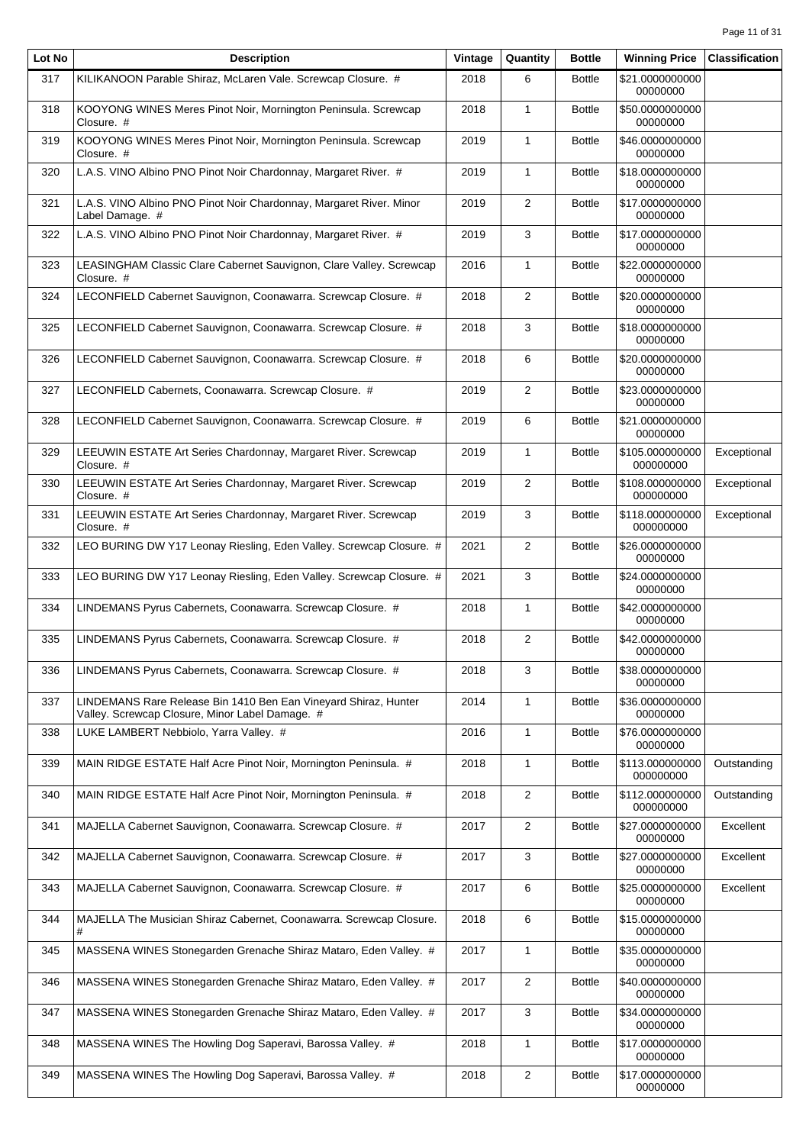| Lot No | <b>Description</b>                                                                                                 | Vintage | Quantity       | <b>Bottle</b> | <b>Winning Price</b>         | <b>Classification</b> |
|--------|--------------------------------------------------------------------------------------------------------------------|---------|----------------|---------------|------------------------------|-----------------------|
| 317    | KILIKANOON Parable Shiraz, McLaren Vale. Screwcap Closure. #                                                       | 2018    | 6              | <b>Bottle</b> | \$21.0000000000<br>00000000  |                       |
| 318    | KOOYONG WINES Meres Pinot Noir, Mornington Peninsula. Screwcap<br>Closure. #                                       | 2018    | $\mathbf{1}$   | <b>Bottle</b> | \$50.0000000000<br>00000000  |                       |
| 319    | KOOYONG WINES Meres Pinot Noir, Mornington Peninsula. Screwcap<br>Closure. #                                       | 2019    | $\mathbf{1}$   | <b>Bottle</b> | \$46.0000000000<br>00000000  |                       |
| 320    | L.A.S. VINO Albino PNO Pinot Noir Chardonnay, Margaret River. #                                                    | 2019    | $\mathbf{1}$   | <b>Bottle</b> | \$18.0000000000<br>00000000  |                       |
| 321    | L.A.S. VINO Albino PNO Pinot Noir Chardonnay, Margaret River. Minor<br>Label Damage. #                             | 2019    | $\overline{2}$ | <b>Bottle</b> | \$17.0000000000<br>00000000  |                       |
| 322    | L.A.S. VINO Albino PNO Pinot Noir Chardonnay, Margaret River. #                                                    | 2019    | 3              | <b>Bottle</b> | \$17.0000000000<br>00000000  |                       |
| 323    | LEASINGHAM Classic Clare Cabernet Sauvignon, Clare Valley. Screwcap<br>Closure. #                                  | 2016    | $\mathbf{1}$   | <b>Bottle</b> | \$22.0000000000<br>00000000  |                       |
| 324    | LECONFIELD Cabernet Sauvignon, Coonawarra. Screwcap Closure. #                                                     | 2018    | 2              | <b>Bottle</b> | \$20.0000000000<br>00000000  |                       |
| 325    | LECONFIELD Cabernet Sauvignon, Coonawarra. Screwcap Closure. #                                                     | 2018    | 3              | <b>Bottle</b> | \$18.0000000000<br>00000000  |                       |
| 326    | LECONFIELD Cabernet Sauvignon, Coonawarra. Screwcap Closure. #                                                     | 2018    | 6              | <b>Bottle</b> | \$20.0000000000<br>00000000  |                       |
| 327    | LECONFIELD Cabernets, Coonawarra. Screwcap Closure. #                                                              | 2019    | 2              | <b>Bottle</b> | \$23.0000000000<br>00000000  |                       |
| 328    | LECONFIELD Cabernet Sauvignon, Coonawarra. Screwcap Closure. #                                                     | 2019    | 6              | <b>Bottle</b> | \$21.0000000000<br>00000000  |                       |
| 329    | LEEUWIN ESTATE Art Series Chardonnay, Margaret River. Screwcap<br>Closure. #                                       | 2019    | $\mathbf{1}$   | <b>Bottle</b> | \$105.000000000<br>000000000 | Exceptional           |
| 330    | LEEUWIN ESTATE Art Series Chardonnay, Margaret River. Screwcap<br>Closure. #                                       | 2019    | $\mathbf{2}$   | <b>Bottle</b> | \$108.000000000<br>000000000 | Exceptional           |
| 331    | LEEUWIN ESTATE Art Series Chardonnay, Margaret River. Screwcap<br>Closure. #                                       | 2019    | 3              | <b>Bottle</b> | \$118.000000000<br>000000000 | Exceptional           |
| 332    | LEO BURING DW Y17 Leonay Riesling, Eden Valley. Screwcap Closure. #                                                | 2021    | $\overline{2}$ | <b>Bottle</b> | \$26.0000000000<br>00000000  |                       |
| 333    | LEO BURING DW Y17 Leonay Riesling, Eden Valley. Screwcap Closure. #                                                | 2021    | 3              | <b>Bottle</b> | \$24.0000000000<br>00000000  |                       |
| 334    | LINDEMANS Pyrus Cabernets, Coonawarra. Screwcap Closure. #                                                         | 2018    | $\mathbf{1}$   | <b>Bottle</b> | \$42.0000000000<br>00000000  |                       |
| 335    | LINDEMANS Pyrus Cabernets, Coonawarra. Screwcap Closure. #                                                         | 2018    | $\overline{2}$ | <b>Bottle</b> | \$42.0000000000<br>00000000  |                       |
| 336    | LINDEMANS Pyrus Cabernets, Coonawarra. Screwcap Closure. #                                                         | 2018    | 3              | <b>Bottle</b> | \$38.0000000000<br>00000000  |                       |
| 337    | LINDEMANS Rare Release Bin 1410 Ben Ean Vineyard Shiraz, Hunter<br>Valley. Screwcap Closure, Minor Label Damage. # | 2014    | $\mathbf{1}$   | <b>Bottle</b> | \$36.0000000000<br>00000000  |                       |
| 338    | LUKE LAMBERT Nebbiolo, Yarra Valley. #                                                                             | 2016    | 1              | <b>Bottle</b> | \$76.0000000000<br>00000000  |                       |
| 339    | MAIN RIDGE ESTATE Half Acre Pinot Noir, Mornington Peninsula. #                                                    | 2018    | $\mathbf{1}$   | <b>Bottle</b> | \$113.000000000<br>000000000 | Outstanding           |
| 340    | MAIN RIDGE ESTATE Half Acre Pinot Noir, Mornington Peninsula. #                                                    | 2018    | 2              | <b>Bottle</b> | \$112.000000000<br>000000000 | Outstanding           |
| 341    | MAJELLA Cabernet Sauvignon, Coonawarra. Screwcap Closure. #                                                        | 2017    | $\overline{2}$ | <b>Bottle</b> | \$27.0000000000<br>00000000  | Excellent             |
| 342    | MAJELLA Cabernet Sauvignon, Coonawarra. Screwcap Closure. #                                                        | 2017    | 3              | <b>Bottle</b> | \$27.0000000000<br>00000000  | Excellent             |
| 343    | MAJELLA Cabernet Sauvignon, Coonawarra. Screwcap Closure. #                                                        | 2017    | 6              | <b>Bottle</b> | \$25.0000000000<br>00000000  | Excellent             |
| 344    | MAJELLA The Musician Shiraz Cabernet, Coonawarra. Screwcap Closure.<br>#                                           | 2018    | 6              | <b>Bottle</b> | \$15.0000000000<br>00000000  |                       |
| 345    | MASSENA WINES Stonegarden Grenache Shiraz Mataro, Eden Valley. #                                                   | 2017    | $\mathbf{1}$   | <b>Bottle</b> | \$35.0000000000<br>00000000  |                       |
| 346    | MASSENA WINES Stonegarden Grenache Shiraz Mataro, Eden Valley. #                                                   | 2017    | $\overline{2}$ | <b>Bottle</b> | \$40.0000000000<br>00000000  |                       |
| 347    | MASSENA WINES Stonegarden Grenache Shiraz Mataro, Eden Valley. #                                                   | 2017    | 3              | <b>Bottle</b> | \$34.0000000000<br>00000000  |                       |
| 348    | MASSENA WINES The Howling Dog Saperavi, Barossa Valley. #                                                          | 2018    | $\mathbf{1}$   | <b>Bottle</b> | \$17.0000000000<br>00000000  |                       |
| 349    | MASSENA WINES The Howling Dog Saperavi, Barossa Valley. #                                                          | 2018    | $\overline{2}$ | <b>Bottle</b> | \$17.0000000000<br>00000000  |                       |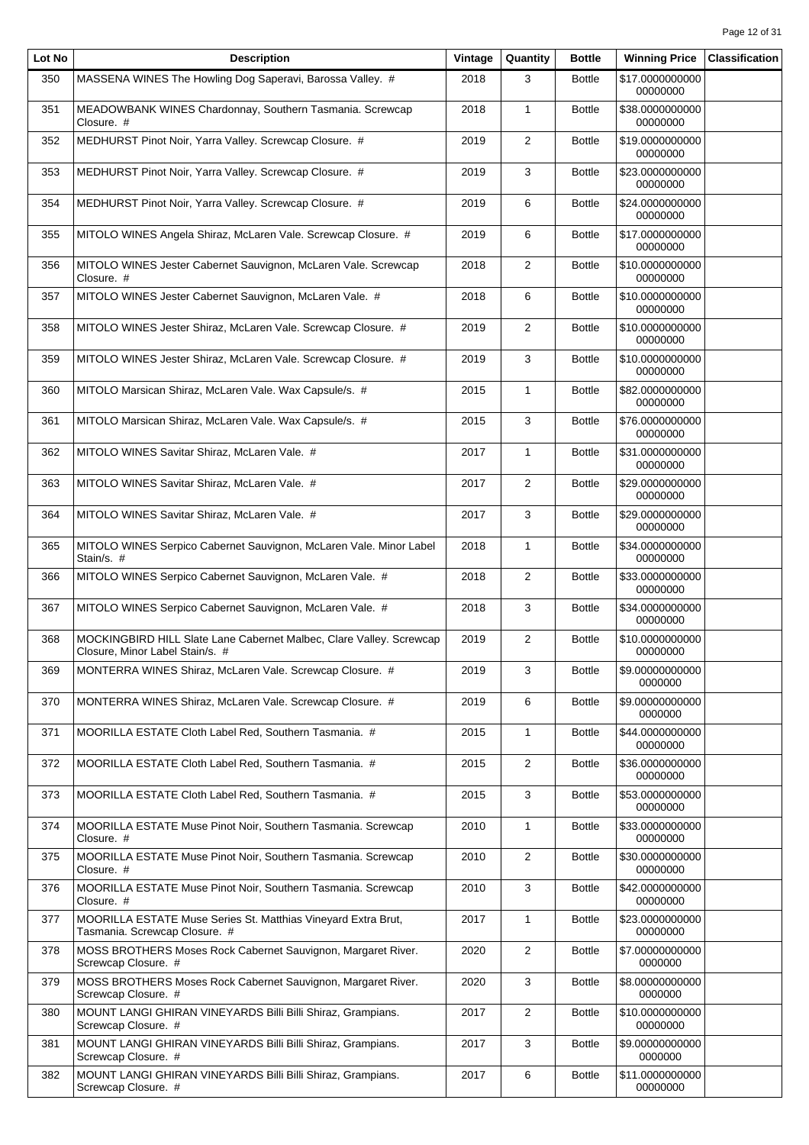| Lot No | <b>Description</b>                                                                                     | Vintage | Quantity       | <b>Bottle</b> | <b>Winning Price</b>        | <b>Classification</b> |
|--------|--------------------------------------------------------------------------------------------------------|---------|----------------|---------------|-----------------------------|-----------------------|
| 350    | MASSENA WINES The Howling Dog Saperavi, Barossa Valley. #                                              | 2018    | 3              | <b>Bottle</b> | \$17.0000000000<br>00000000 |                       |
| 351    | MEADOWBANK WINES Chardonnay, Southern Tasmania. Screwcap<br>Closure. #                                 | 2018    | $\mathbf{1}$   | <b>Bottle</b> | \$38.0000000000<br>00000000 |                       |
| 352    | MEDHURST Pinot Noir, Yarra Valley. Screwcap Closure. #                                                 | 2019    | $\overline{2}$ | <b>Bottle</b> | \$19.0000000000<br>00000000 |                       |
| 353    | MEDHURST Pinot Noir, Yarra Valley. Screwcap Closure. #                                                 | 2019    | 3              | <b>Bottle</b> | \$23.0000000000<br>00000000 |                       |
| 354    | MEDHURST Pinot Noir, Yarra Valley. Screwcap Closure. #                                                 | 2019    | 6              | <b>Bottle</b> | \$24.0000000000<br>00000000 |                       |
| 355    | MITOLO WINES Angela Shiraz, McLaren Vale. Screwcap Closure. #                                          | 2019    | 6              | <b>Bottle</b> | \$17.0000000000<br>00000000 |                       |
| 356    | MITOLO WINES Jester Cabernet Sauvignon, McLaren Vale. Screwcap<br>Closure. #                           | 2018    | $\overline{2}$ | <b>Bottle</b> | \$10.0000000000<br>00000000 |                       |
| 357    | MITOLO WINES Jester Cabernet Sauvignon, McLaren Vale. #                                                | 2018    | 6              | <b>Bottle</b> | \$10.0000000000<br>00000000 |                       |
| 358    | MITOLO WINES Jester Shiraz, McLaren Vale. Screwcap Closure. #                                          | 2019    | $\overline{2}$ | <b>Bottle</b> | \$10.0000000000<br>00000000 |                       |
| 359    | MITOLO WINES Jester Shiraz, McLaren Vale. Screwcap Closure. #                                          | 2019    | 3              | <b>Bottle</b> | \$10.0000000000<br>00000000 |                       |
| 360    | MITOLO Marsican Shiraz, McLaren Vale. Wax Capsule/s. #                                                 | 2015    | $\mathbf{1}$   | <b>Bottle</b> | \$82.0000000000<br>00000000 |                       |
| 361    | MITOLO Marsican Shiraz, McLaren Vale. Wax Capsule/s. #                                                 | 2015    | 3              | <b>Bottle</b> | \$76.0000000000<br>00000000 |                       |
| 362    | MITOLO WINES Savitar Shiraz, McLaren Vale. #                                                           | 2017    | $\mathbf{1}$   | <b>Bottle</b> | \$31.0000000000<br>00000000 |                       |
| 363    | MITOLO WINES Savitar Shiraz, McLaren Vale. #                                                           | 2017    | $\overline{2}$ | <b>Bottle</b> | \$29.0000000000<br>00000000 |                       |
| 364    | MITOLO WINES Savitar Shiraz, McLaren Vale. #                                                           | 2017    | 3              | <b>Bottle</b> | \$29.0000000000<br>00000000 |                       |
| 365    | MITOLO WINES Serpico Cabernet Sauvignon, McLaren Vale. Minor Label<br>Stain/s. #                       | 2018    | $\mathbf{1}$   | <b>Bottle</b> | \$34.0000000000<br>00000000 |                       |
| 366    | MITOLO WINES Serpico Cabernet Sauvignon, McLaren Vale. #                                               | 2018    | $\overline{2}$ | <b>Bottle</b> | \$33.0000000000<br>00000000 |                       |
| 367    | MITOLO WINES Serpico Cabernet Sauvignon, McLaren Vale. #                                               | 2018    | 3              | <b>Bottle</b> | \$34.0000000000<br>00000000 |                       |
| 368    | MOCKINGBIRD HILL Slate Lane Cabernet Malbec, Clare Valley. Screwcap<br>Closure, Minor Label Stain/s. # | 2019    | $\overline{2}$ | <b>Bottle</b> | \$10.0000000000<br>00000000 |                       |
| 369    | MONTERRA WINES Shiraz, McLaren Vale. Screwcap Closure. #                                               | 2019    | 3              | <b>Bottle</b> | \$9.00000000000<br>0000000  |                       |
| 370    | MONTERRA WINES Shiraz, McLaren Vale. Screwcap Closure. #                                               | 2019    | 6              | <b>Bottle</b> | \$9.00000000000<br>0000000  |                       |
| 371    | MOORILLA ESTATE Cloth Label Red, Southern Tasmania. #                                                  | 2015    | 1              | <b>Bottle</b> | \$44.0000000000<br>00000000 |                       |
| 372    | MOORILLA ESTATE Cloth Label Red, Southern Tasmania. #                                                  | 2015    | $\overline{2}$ | <b>Bottle</b> | \$36.0000000000<br>00000000 |                       |
| 373    | MOORILLA ESTATE Cloth Label Red, Southern Tasmania. #                                                  | 2015    | 3              | <b>Bottle</b> | \$53.0000000000<br>00000000 |                       |
| 374    | MOORILLA ESTATE Muse Pinot Noir, Southern Tasmania. Screwcap<br>Closure. #                             | 2010    | $\mathbf{1}$   | <b>Bottle</b> | \$33.0000000000<br>00000000 |                       |
| 375    | MOORILLA ESTATE Muse Pinot Noir, Southern Tasmania. Screwcap<br>Closure. #                             | 2010    | $\overline{c}$ | <b>Bottle</b> | \$30.0000000000<br>00000000 |                       |
| 376    | MOORILLA ESTATE Muse Pinot Noir, Southern Tasmania. Screwcap<br>Closure. #                             | 2010    | 3              | <b>Bottle</b> | \$42.0000000000<br>00000000 |                       |
| 377    | MOORILLA ESTATE Muse Series St. Matthias Vineyard Extra Brut,<br>Tasmania. Screwcap Closure. #         | 2017    | $\mathbf{1}$   | <b>Bottle</b> | \$23.0000000000<br>00000000 |                       |
| 378    | MOSS BROTHERS Moses Rock Cabernet Sauvignon, Margaret River.<br>Screwcap Closure. #                    | 2020    | $\overline{2}$ | <b>Bottle</b> | \$7.00000000000<br>0000000  |                       |
| 379    | MOSS BROTHERS Moses Rock Cabernet Sauvignon, Margaret River.<br>Screwcap Closure. #                    | 2020    | 3              | <b>Bottle</b> | \$8.00000000000<br>0000000  |                       |
| 380    | MOUNT LANGI GHIRAN VINEYARDS Billi Billi Shiraz, Grampians.<br>Screwcap Closure. #                     | 2017    | $\overline{2}$ | <b>Bottle</b> | \$10.0000000000<br>00000000 |                       |
| 381    | MOUNT LANGI GHIRAN VINEYARDS Billi Billi Shiraz, Grampians.<br>Screwcap Closure. #                     | 2017    | 3              | <b>Bottle</b> | \$9.00000000000<br>0000000  |                       |
| 382    | MOUNT LANGI GHIRAN VINEYARDS Billi Billi Shiraz, Grampians.<br>Screwcap Closure. #                     | 2017    | 6              | <b>Bottle</b> | \$11.0000000000<br>00000000 |                       |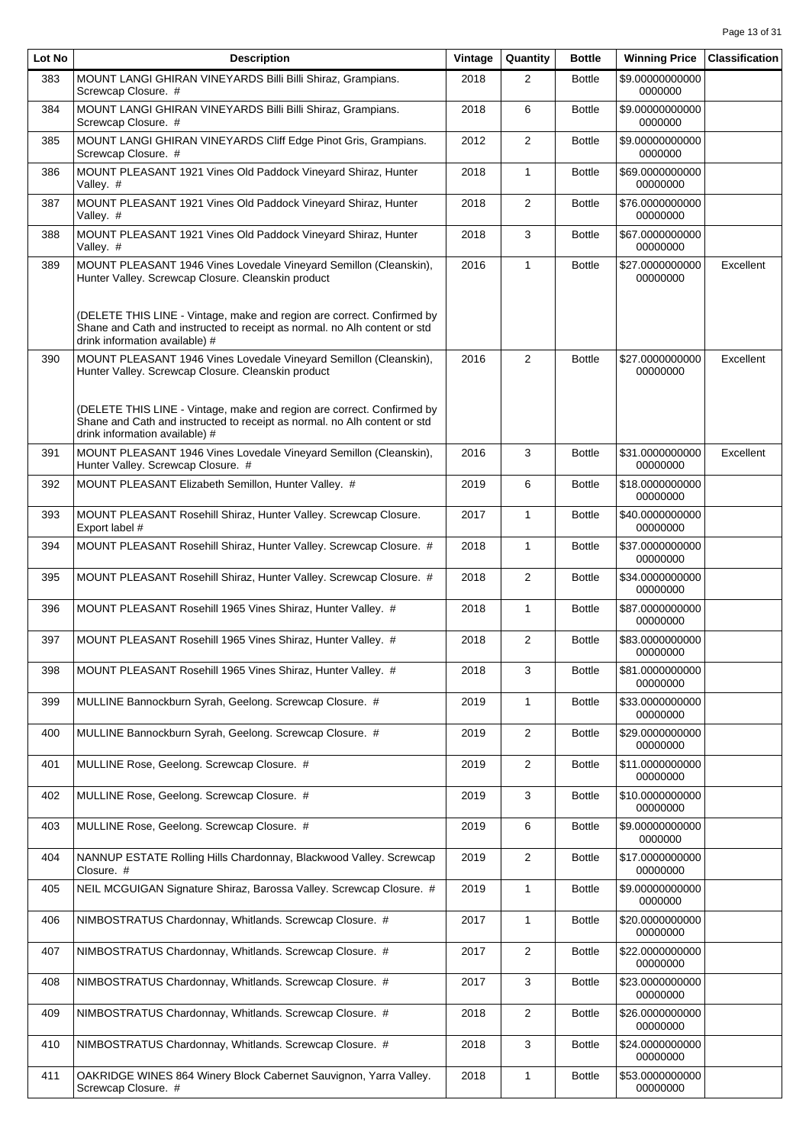| Lot No | <b>Description</b>                                                                                                                                                                                | Vintage | Quantity       | <b>Bottle</b> | <b>Winning Price</b>        | <b>Classification</b> |
|--------|---------------------------------------------------------------------------------------------------------------------------------------------------------------------------------------------------|---------|----------------|---------------|-----------------------------|-----------------------|
| 383    | MOUNT LANGI GHIRAN VINEYARDS Billi Billi Shiraz, Grampians.<br>Screwcap Closure. #                                                                                                                | 2018    | 2              | <b>Bottle</b> | \$9.00000000000<br>0000000  |                       |
| 384    | MOUNT LANGI GHIRAN VINEYARDS Billi Billi Shiraz, Grampians.<br>Screwcap Closure. #                                                                                                                | 2018    | 6              | <b>Bottle</b> | \$9.00000000000<br>0000000  |                       |
| 385    | MOUNT LANGI GHIRAN VINEYARDS Cliff Edge Pinot Gris, Grampians.<br>Screwcap Closure. #                                                                                                             | 2012    | $\overline{2}$ | <b>Bottle</b> | \$9.00000000000<br>0000000  |                       |
| 386    | MOUNT PLEASANT 1921 Vines Old Paddock Vineyard Shiraz, Hunter<br>Valley. #                                                                                                                        | 2018    | $\mathbf{1}$   | <b>Bottle</b> | \$69.0000000000<br>00000000 |                       |
| 387    | MOUNT PLEASANT 1921 Vines Old Paddock Vineyard Shiraz, Hunter<br>Valley. #                                                                                                                        | 2018    | 2              | <b>Bottle</b> | \$76.0000000000<br>00000000 |                       |
| 388    | MOUNT PLEASANT 1921 Vines Old Paddock Vineyard Shiraz, Hunter<br>Valley. #                                                                                                                        | 2018    | 3              | <b>Bottle</b> | \$67.0000000000<br>00000000 |                       |
| 389    | MOUNT PLEASANT 1946 Vines Lovedale Vineyard Semillon (Cleanskin),<br>Hunter Valley. Screwcap Closure. Cleanskin product<br>(DELETE THIS LINE - Vintage, make and region are correct. Confirmed by | 2016    | $\mathbf{1}$   | <b>Bottle</b> | \$27.0000000000<br>00000000 | Excellent             |
|        | Shane and Cath and instructed to receipt as normal. no Alh content or std<br>drink information available) #                                                                                       |         |                |               |                             |                       |
| 390    | MOUNT PLEASANT 1946 Vines Lovedale Vineyard Semillon (Cleanskin),<br>Hunter Valley. Screwcap Closure. Cleanskin product<br>(DELETE THIS LINE - Vintage, make and region are correct. Confirmed by | 2016    | 2              | <b>Bottle</b> | \$27.0000000000<br>00000000 | Excellent             |
|        | Shane and Cath and instructed to receipt as normal. no Alh content or std<br>drink information available) #                                                                                       |         |                |               |                             |                       |
| 391    | MOUNT PLEASANT 1946 Vines Lovedale Vineyard Semillon (Cleanskin),<br>Hunter Valley. Screwcap Closure. #                                                                                           | 2016    | 3              | <b>Bottle</b> | \$31.0000000000<br>00000000 | Excellent             |
| 392    | MOUNT PLEASANT Elizabeth Semillon, Hunter Valley. #                                                                                                                                               | 2019    | 6              | <b>Bottle</b> | \$18.0000000000<br>00000000 |                       |
| 393    | MOUNT PLEASANT Rosehill Shiraz, Hunter Valley. Screwcap Closure.<br>Export label #                                                                                                                | 2017    | $\mathbf{1}$   | <b>Bottle</b> | \$40.0000000000<br>00000000 |                       |
| 394    | MOUNT PLEASANT Rosehill Shiraz, Hunter Valley. Screwcap Closure. #                                                                                                                                | 2018    | $\mathbf{1}$   | <b>Bottle</b> | \$37.0000000000<br>00000000 |                       |
| 395    | MOUNT PLEASANT Rosehill Shiraz, Hunter Valley. Screwcap Closure. #                                                                                                                                | 2018    | 2              | <b>Bottle</b> | \$34.0000000000<br>00000000 |                       |
| 396    | MOUNT PLEASANT Rosehill 1965 Vines Shiraz, Hunter Valley. #                                                                                                                                       | 2018    | $\mathbf{1}$   | <b>Bottle</b> | \$87.0000000000<br>00000000 |                       |
| 397    | MOUNT PLEASANT Rosehill 1965 Vines Shiraz, Hunter Valley. #                                                                                                                                       | 2018    | 2              | <b>Bottle</b> | \$83.0000000000<br>00000000 |                       |
| 398    | MOUNT PLEASANT Rosehill 1965 Vines Shiraz, Hunter Valley. #                                                                                                                                       | 2018    | 3              | <b>Bottle</b> | \$81.0000000000<br>00000000 |                       |
| 399    | MULLINE Bannockburn Syrah, Geelong. Screwcap Closure. #                                                                                                                                           | 2019    | $\mathbf{1}$   | <b>Bottle</b> | \$33.0000000000<br>00000000 |                       |
| 400    | MULLINE Bannockburn Syrah, Geelong. Screwcap Closure. #                                                                                                                                           | 2019    | $\overline{2}$ | <b>Bottle</b> | \$29.0000000000<br>00000000 |                       |
| 401    | MULLINE Rose, Geelong. Screwcap Closure. #                                                                                                                                                        | 2019    | $\overline{2}$ | <b>Bottle</b> | \$11.0000000000<br>00000000 |                       |
| 402    | MULLINE Rose, Geelong. Screwcap Closure. #                                                                                                                                                        | 2019    | 3              | <b>Bottle</b> | \$10.0000000000<br>00000000 |                       |
| 403    | MULLINE Rose, Geelong. Screwcap Closure. #                                                                                                                                                        | 2019    | 6              | <b>Bottle</b> | \$9.00000000000<br>0000000  |                       |
| 404    | NANNUP ESTATE Rolling Hills Chardonnay, Blackwood Valley. Screwcap<br>Closure. #                                                                                                                  | 2019    | $\overline{2}$ | <b>Bottle</b> | \$17.0000000000<br>00000000 |                       |
| 405    | NEIL MCGUIGAN Signature Shiraz, Barossa Valley. Screwcap Closure. #                                                                                                                               | 2019    | $\mathbf{1}$   | <b>Bottle</b> | \$9.00000000000<br>0000000  |                       |
| 406    | NIMBOSTRATUS Chardonnay, Whitlands. Screwcap Closure. #                                                                                                                                           | 2017    | 1              | <b>Bottle</b> | \$20.0000000000<br>00000000 |                       |
| 407    | NIMBOSTRATUS Chardonnay, Whitlands. Screwcap Closure. #                                                                                                                                           | 2017    | $\overline{2}$ | <b>Bottle</b> | \$22.0000000000<br>00000000 |                       |
| 408    | NIMBOSTRATUS Chardonnay, Whitlands. Screwcap Closure. #                                                                                                                                           | 2017    | 3              | <b>Bottle</b> | \$23.0000000000<br>00000000 |                       |
| 409    | NIMBOSTRATUS Chardonnay, Whitlands. Screwcap Closure. #                                                                                                                                           | 2018    | $\overline{2}$ | <b>Bottle</b> | \$26.0000000000<br>00000000 |                       |
| 410    | NIMBOSTRATUS Chardonnay, Whitlands. Screwcap Closure. #                                                                                                                                           | 2018    | 3              | <b>Bottle</b> | \$24.0000000000<br>00000000 |                       |
| 411    | OAKRIDGE WINES 864 Winery Block Cabernet Sauvignon, Yarra Valley.<br>Screwcap Closure. #                                                                                                          | 2018    | $\mathbf{1}$   | <b>Bottle</b> | \$53.0000000000<br>00000000 |                       |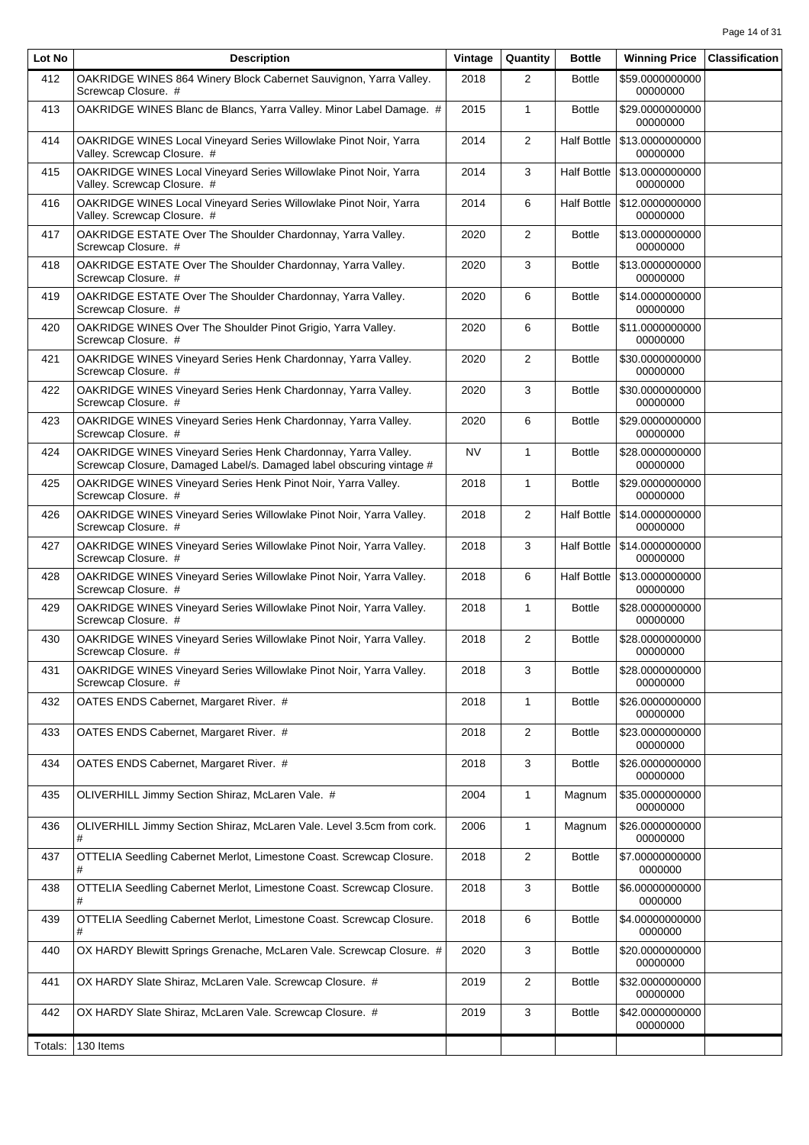| Lot No  | <b>Description</b>                                                                                                                    | Vintage   | Quantity       | <b>Bottle</b>      | <b>Winning Price</b>        | <b>Classification</b> |
|---------|---------------------------------------------------------------------------------------------------------------------------------------|-----------|----------------|--------------------|-----------------------------|-----------------------|
| 412     | OAKRIDGE WINES 864 Winery Block Cabernet Sauvignon, Yarra Valley.<br>Screwcap Closure. #                                              | 2018      | 2              | <b>Bottle</b>      | \$59.0000000000<br>00000000 |                       |
| 413     | OAKRIDGE WINES Blanc de Blancs, Yarra Valley. Minor Label Damage. #                                                                   | 2015      | $\mathbf{1}$   | <b>Bottle</b>      | \$29.0000000000<br>00000000 |                       |
| 414     | OAKRIDGE WINES Local Vineyard Series Willowlake Pinot Noir, Yarra<br>Valley. Screwcap Closure. #                                      | 2014      | 2              | <b>Half Bottle</b> | \$13,0000000000<br>00000000 |                       |
| 415     | OAKRIDGE WINES Local Vineyard Series Willowlake Pinot Noir, Yarra<br>Valley. Screwcap Closure. #                                      | 2014      | $\mathbf{3}$   | <b>Half Bottle</b> | \$13.0000000000<br>00000000 |                       |
| 416     | OAKRIDGE WINES Local Vineyard Series Willowlake Pinot Noir, Yarra<br>Valley. Screwcap Closure. #                                      | 2014      | 6              | <b>Half Bottle</b> | \$12.0000000000<br>00000000 |                       |
| 417     | OAKRIDGE ESTATE Over The Shoulder Chardonnay, Yarra Valley.<br>Screwcap Closure. #                                                    | 2020      | 2              | <b>Bottle</b>      | \$13.0000000000<br>00000000 |                       |
| 418     | OAKRIDGE ESTATE Over The Shoulder Chardonnay, Yarra Valley.<br>Screwcap Closure. #                                                    | 2020      | 3              | <b>Bottle</b>      | \$13.0000000000<br>00000000 |                       |
| 419     | OAKRIDGE ESTATE Over The Shoulder Chardonnay, Yarra Valley.<br>Screwcap Closure. #                                                    | 2020      | 6              | <b>Bottle</b>      | \$14.0000000000<br>00000000 |                       |
| 420     | OAKRIDGE WINES Over The Shoulder Pinot Grigio, Yarra Valley.<br>Screwcap Closure. #                                                   | 2020      | 6              | <b>Bottle</b>      | \$11.0000000000<br>00000000 |                       |
| 421     | OAKRIDGE WINES Vineyard Series Henk Chardonnay, Yarra Valley.<br>Screwcap Closure. #                                                  | 2020      | 2              | <b>Bottle</b>      | \$30.0000000000<br>00000000 |                       |
| 422     | OAKRIDGE WINES Vineyard Series Henk Chardonnay, Yarra Valley.<br>Screwcap Closure. #                                                  | 2020      | 3              | <b>Bottle</b>      | \$30.0000000000<br>00000000 |                       |
| 423     | OAKRIDGE WINES Vineyard Series Henk Chardonnay, Yarra Valley.<br>Screwcap Closure. #                                                  | 2020      | 6              | <b>Bottle</b>      | \$29.0000000000<br>00000000 |                       |
| 424     | OAKRIDGE WINES Vineyard Series Henk Chardonnay, Yarra Valley.<br>Screwcap Closure, Damaged Label/s. Damaged label obscuring vintage # | <b>NV</b> | $\mathbf{1}$   | <b>Bottle</b>      | \$28.0000000000<br>00000000 |                       |
| 425     | OAKRIDGE WINES Vineyard Series Henk Pinot Noir, Yarra Valley.<br>Screwcap Closure. #                                                  | 2018      | $\mathbf{1}$   | <b>Bottle</b>      | \$29.0000000000<br>00000000 |                       |
| 426     | OAKRIDGE WINES Vineyard Series Willowlake Pinot Noir, Yarra Valley.<br>Screwcap Closure. #                                            | 2018      | $\overline{2}$ | <b>Half Bottle</b> | \$14.0000000000<br>00000000 |                       |
| 427     | OAKRIDGE WINES Vineyard Series Willowlake Pinot Noir, Yarra Valley.<br>Screwcap Closure. #                                            | 2018      | 3              | <b>Half Bottle</b> | \$14.0000000000<br>00000000 |                       |
| 428     | OAKRIDGE WINES Vineyard Series Willowlake Pinot Noir, Yarra Valley.<br>Screwcap Closure. #                                            | 2018      | 6              | <b>Half Bottle</b> | \$13.0000000000<br>00000000 |                       |
| 429     | OAKRIDGE WINES Vineyard Series Willowlake Pinot Noir, Yarra Valley.<br>Screwcap Closure. #                                            | 2018      | $\mathbf{1}$   | <b>Bottle</b>      | \$28.0000000000<br>00000000 |                       |
| 430     | OAKRIDGE WINES Vineyard Series Willowlake Pinot Noir, Yarra Valley.<br>Screwcap Closure. #                                            | 2018      | $\overline{2}$ | <b>Bottle</b>      | \$28.0000000000<br>00000000 |                       |
| 431     | OAKRIDGE WINES Vineyard Series Willowlake Pinot Noir, Yarra Valley.<br>Screwcap Closure. #                                            | 2018      | 3              | <b>Bottle</b>      | \$28.0000000000<br>00000000 |                       |
| 432     | OATES ENDS Cabernet, Margaret River. #                                                                                                | 2018      | $\mathbf{1}$   | <b>Bottle</b>      | \$26.0000000000<br>00000000 |                       |
| 433     | OATES ENDS Cabernet, Margaret River. #                                                                                                | 2018      | $\overline{2}$ | <b>Bottle</b>      | \$23.0000000000<br>00000000 |                       |
| 434     | OATES ENDS Cabernet, Margaret River. #                                                                                                | 2018      | 3              | <b>Bottle</b>      | \$26.0000000000<br>00000000 |                       |
| 435     | OLIVERHILL Jimmy Section Shiraz, McLaren Vale. #                                                                                      | 2004      | $\mathbf{1}$   | Magnum             | \$35.0000000000<br>00000000 |                       |
| 436     | OLIVERHILL Jimmy Section Shiraz, McLaren Vale. Level 3.5cm from cork.<br>#                                                            | 2006      | $\mathbf{1}$   | Magnum             | \$26.0000000000<br>00000000 |                       |
| 437     | OTTELIA Seedling Cabernet Merlot, Limestone Coast. Screwcap Closure.                                                                  | 2018      | $\overline{2}$ | <b>Bottle</b>      | \$7.00000000000<br>0000000  |                       |
| 438     | OTTELIA Seedling Cabernet Merlot, Limestone Coast. Screwcap Closure.                                                                  | 2018      | 3              | <b>Bottle</b>      | \$6.00000000000<br>0000000  |                       |
| 439     | OTTELIA Seedling Cabernet Merlot, Limestone Coast. Screwcap Closure.                                                                  | 2018      | 6              | <b>Bottle</b>      | \$4.00000000000<br>0000000  |                       |
| 440     | OX HARDY Blewitt Springs Grenache, McLaren Vale. Screwcap Closure. #                                                                  | 2020      | 3              | <b>Bottle</b>      | \$20.0000000000<br>00000000 |                       |
| 441     | OX HARDY Slate Shiraz, McLaren Vale. Screwcap Closure. #                                                                              | 2019      | $\overline{2}$ | <b>Bottle</b>      | \$32.0000000000<br>00000000 |                       |
| 442     | OX HARDY Slate Shiraz, McLaren Vale. Screwcap Closure. #                                                                              | 2019      | 3              | <b>Bottle</b>      | \$42.0000000000<br>00000000 |                       |
| Totals: | 130 Items                                                                                                                             |           |                |                    |                             |                       |
|         |                                                                                                                                       |           |                |                    |                             |                       |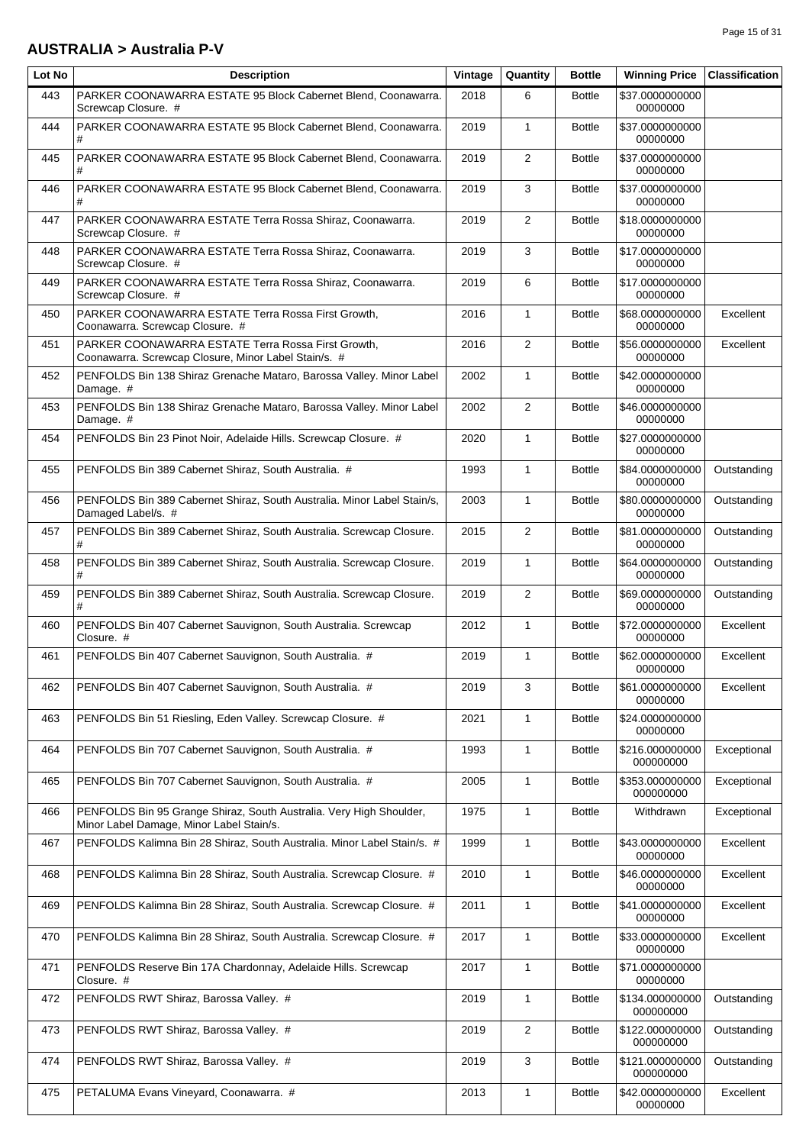#### **AUSTRALIA > Australia P-V**

| Page 15 of 31 |  |  |  |
|---------------|--|--|--|
|---------------|--|--|--|

| Lot No | <b>Description</b>                                                                                              | Vintage | Quantity       | <b>Bottle</b> | <b>Winning Price</b>         | <b>Classification</b> |
|--------|-----------------------------------------------------------------------------------------------------------------|---------|----------------|---------------|------------------------------|-----------------------|
| 443    | PARKER COONAWARRA ESTATE 95 Block Cabernet Blend, Coonawarra.<br>Screwcap Closure. #                            | 2018    | 6              | <b>Bottle</b> | \$37.0000000000<br>00000000  |                       |
| 444    | PARKER COONAWARRA ESTATE 95 Block Cabernet Blend, Coonawarra.<br>#                                              | 2019    | $\mathbf{1}$   | <b>Bottle</b> | \$37.0000000000<br>00000000  |                       |
| 445    | PARKER COONAWARRA ESTATE 95 Block Cabernet Blend, Coonawarra.<br>#                                              | 2019    | 2              | <b>Bottle</b> | \$37.0000000000<br>00000000  |                       |
| 446    | PARKER COONAWARRA ESTATE 95 Block Cabernet Blend, Coonawarra.                                                   | 2019    | 3              | <b>Bottle</b> | \$37.0000000000<br>00000000  |                       |
| 447    | PARKER COONAWARRA ESTATE Terra Rossa Shiraz, Coonawarra.<br>Screwcap Closure. #                                 | 2019    | $\overline{2}$ | <b>Bottle</b> | \$18,0000000000<br>00000000  |                       |
| 448    | PARKER COONAWARRA ESTATE Terra Rossa Shiraz, Coonawarra.<br>Screwcap Closure. #                                 | 2019    | 3              | <b>Bottle</b> | \$17,0000000000<br>00000000  |                       |
| 449    | PARKER COONAWARRA ESTATE Terra Rossa Shiraz, Coonawarra.<br>Screwcap Closure. #                                 | 2019    | 6              | <b>Bottle</b> | \$17.0000000000<br>00000000  |                       |
| 450    | PARKER COONAWARRA ESTATE Terra Rossa First Growth,<br>Coonawarra. Screwcap Closure. #                           | 2016    | $\mathbf{1}$   | <b>Bottle</b> | \$68.0000000000<br>00000000  | Excellent             |
| 451    | PARKER COONAWARRA ESTATE Terra Rossa First Growth,<br>Coonawarra. Screwcap Closure, Minor Label Stain/s. #      | 2016    | $\overline{2}$ | <b>Bottle</b> | \$56.0000000000<br>00000000  | Excellent             |
| 452    | PENFOLDS Bin 138 Shiraz Grenache Mataro, Barossa Valley. Minor Label<br>Damage. #                               | 2002    | $\mathbf{1}$   | <b>Bottle</b> | \$42.0000000000<br>00000000  |                       |
| 453    | PENFOLDS Bin 138 Shiraz Grenache Mataro, Barossa Valley. Minor Label<br>Damage. #                               | 2002    | $\overline{2}$ | <b>Bottle</b> | \$46.0000000000<br>00000000  |                       |
| 454    | PENFOLDS Bin 23 Pinot Noir, Adelaide Hills. Screwcap Closure. #                                                 | 2020    | $\mathbf{1}$   | <b>Bottle</b> | \$27.0000000000<br>00000000  |                       |
| 455    | PENFOLDS Bin 389 Cabernet Shiraz, South Australia. #                                                            | 1993    | $\mathbf{1}$   | <b>Bottle</b> | \$84.0000000000<br>00000000  | Outstanding           |
| 456    | PENFOLDS Bin 389 Cabernet Shiraz, South Australia. Minor Label Stain/s,<br>Damaged Label/s. #                   | 2003    | $\mathbf{1}$   | <b>Bottle</b> | \$80.0000000000<br>00000000  | Outstanding           |
| 457    | PENFOLDS Bin 389 Cabernet Shiraz, South Australia. Screwcap Closure.                                            | 2015    | $\overline{2}$ | <b>Bottle</b> | \$81.0000000000<br>00000000  | Outstanding           |
| 458    | PENFOLDS Bin 389 Cabernet Shiraz, South Australia. Screwcap Closure.                                            | 2019    | $\mathbf{1}$   | <b>Bottle</b> | \$64.0000000000<br>00000000  | Outstanding           |
| 459    | PENFOLDS Bin 389 Cabernet Shiraz, South Australia. Screwcap Closure.                                            | 2019    | $\overline{2}$ | <b>Bottle</b> | \$69.0000000000<br>00000000  | Outstanding           |
| 460    | PENFOLDS Bin 407 Cabernet Sauvignon, South Australia. Screwcap<br>Closure. #                                    | 2012    | $\mathbf{1}$   | <b>Bottle</b> | \$72.0000000000<br>00000000  | Excellent             |
| 461    | PENFOLDS Bin 407 Cabernet Sauvignon, South Australia. #                                                         | 2019    | $\mathbf{1}$   | <b>Bottle</b> | \$62.0000000000<br>00000000  | Excellent             |
| 462    | PENFOLDS Bin 407 Cabernet Sauvignon, South Australia. #                                                         | 2019    | 3              | <b>Bottle</b> | \$61.0000000000<br>00000000  | Excellent             |
| 463    | PENFOLDS Bin 51 Riesling, Eden Valley. Screwcap Closure. #                                                      | 2021    | $\mathbf{1}$   | <b>Bottle</b> | \$24.0000000000<br>00000000  |                       |
| 464    | PENFOLDS Bin 707 Cabernet Sauvignon, South Australia. #                                                         | 1993    | 1              | <b>Bottle</b> | \$216.000000000<br>000000000 | Exceptional           |
| 465    | PENFOLDS Bin 707 Cabernet Sauvignon, South Australia. #                                                         | 2005    | $\mathbf{1}$   | <b>Bottle</b> | \$353.000000000<br>000000000 | Exceptional           |
| 466    | PENFOLDS Bin 95 Grange Shiraz, South Australia. Very High Shoulder,<br>Minor Label Damage, Minor Label Stain/s. | 1975    | $\mathbf{1}$   | <b>Bottle</b> | Withdrawn                    | Exceptional           |
| 467    | PENFOLDS Kalimna Bin 28 Shiraz, South Australia. Minor Label Stain/s. #                                         | 1999    | $\mathbf{1}$   | <b>Bottle</b> | \$43.0000000000<br>00000000  | Excellent             |
| 468    | PENFOLDS Kalimna Bin 28 Shiraz, South Australia. Screwcap Closure. #                                            | 2010    | $\mathbf{1}$   | <b>Bottle</b> | \$46.0000000000<br>00000000  | Excellent             |
| 469    | PENFOLDS Kalimna Bin 28 Shiraz, South Australia. Screwcap Closure. #                                            | 2011    | $\mathbf{1}$   | <b>Bottle</b> | \$41.0000000000<br>00000000  | Excellent             |
| 470    | PENFOLDS Kalimna Bin 28 Shiraz, South Australia. Screwcap Closure. #                                            | 2017    | 1              | <b>Bottle</b> | \$33.0000000000<br>00000000  | Excellent             |
| 471    | PENFOLDS Reserve Bin 17A Chardonnay, Adelaide Hills. Screwcap<br>Closure. #                                     | 2017    | $\mathbf{1}$   | <b>Bottle</b> | \$71.0000000000<br>00000000  |                       |
| 472    | PENFOLDS RWT Shiraz, Barossa Valley. #                                                                          | 2019    | $\mathbf{1}$   | <b>Bottle</b> | \$134.000000000<br>000000000 | Outstanding           |
| 473    | PENFOLDS RWT Shiraz, Barossa Valley. #                                                                          | 2019    | $\overline{2}$ | <b>Bottle</b> | \$122.000000000<br>000000000 | Outstanding           |
| 474    | PENFOLDS RWT Shiraz, Barossa Valley. #                                                                          | 2019    | 3              | <b>Bottle</b> | \$121.000000000<br>000000000 | Outstanding           |
| 475    | PETALUMA Evans Vineyard, Coonawarra. #                                                                          | 2013    | 1              | <b>Bottle</b> | \$42.0000000000<br>00000000  | Excellent             |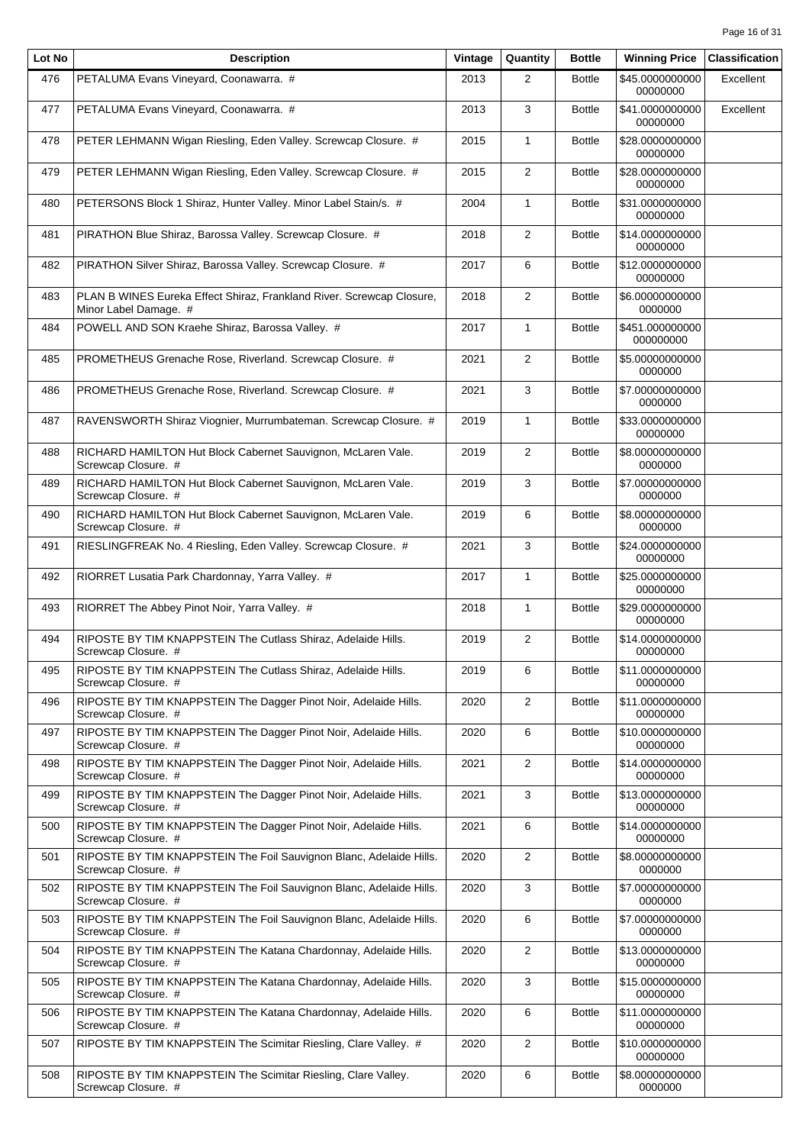| Lot No | <b>Description</b>                                                                             | Vintage | Quantity       | <b>Bottle</b> | <b>Winning Price</b>         | <b>Classification</b> |
|--------|------------------------------------------------------------------------------------------------|---------|----------------|---------------|------------------------------|-----------------------|
| 476    | PETALUMA Evans Vineyard, Coonawarra. #                                                         | 2013    | $\overline{2}$ | <b>Bottle</b> | \$45.0000000000<br>00000000  | Excellent             |
| 477    | PETALUMA Evans Vineyard, Coonawarra. #                                                         | 2013    | 3              | <b>Bottle</b> | \$41.0000000000<br>00000000  | Excellent             |
| 478    | PETER LEHMANN Wigan Riesling, Eden Valley. Screwcap Closure. #                                 | 2015    | $\mathbf{1}$   | <b>Bottle</b> | \$28.0000000000<br>00000000  |                       |
| 479    | PETER LEHMANN Wigan Riesling, Eden Valley. Screwcap Closure. #                                 | 2015    | $\overline{2}$ | <b>Bottle</b> | \$28.0000000000<br>00000000  |                       |
| 480    | PETERSONS Block 1 Shiraz, Hunter Valley. Minor Label Stain/s. #                                | 2004    | 1              | <b>Bottle</b> | \$31.0000000000<br>00000000  |                       |
| 481    | PIRATHON Blue Shiraz, Barossa Valley. Screwcap Closure. #                                      | 2018    | $\overline{2}$ | <b>Bottle</b> | \$14.0000000000<br>00000000  |                       |
| 482    | PIRATHON Silver Shiraz, Barossa Valley. Screwcap Closure. #                                    | 2017    | 6              | <b>Bottle</b> | \$12.0000000000<br>00000000  |                       |
| 483    | PLAN B WINES Eureka Effect Shiraz, Frankland River. Screwcap Closure,<br>Minor Label Damage. # | 2018    | $\overline{2}$ | <b>Bottle</b> | \$6.00000000000<br>0000000   |                       |
| 484    | POWELL AND SON Kraehe Shiraz, Barossa Valley. #                                                | 2017    | $\mathbf{1}$   | <b>Bottle</b> | \$451.000000000<br>000000000 |                       |
| 485    | PROMETHEUS Grenache Rose, Riverland. Screwcap Closure. #                                       | 2021    | $\overline{2}$ | <b>Bottle</b> | \$5.00000000000<br>0000000   |                       |
| 486    | PROMETHEUS Grenache Rose, Riverland. Screwcap Closure. #                                       | 2021    | 3              | <b>Bottle</b> | \$7.00000000000<br>0000000   |                       |
| 487    | RAVENSWORTH Shiraz Viognier, Murrumbateman. Screwcap Closure. #                                | 2019    | $\mathbf{1}$   | <b>Bottle</b> | \$33.0000000000<br>00000000  |                       |
| 488    | RICHARD HAMILTON Hut Block Cabernet Sauvignon, McLaren Vale.<br>Screwcap Closure. #            | 2019    | $\overline{2}$ | <b>Bottle</b> | \$8.00000000000<br>0000000   |                       |
| 489    | RICHARD HAMILTON Hut Block Cabernet Sauvignon, McLaren Vale.<br>Screwcap Closure. #            | 2019    | 3              | <b>Bottle</b> | \$7.00000000000<br>0000000   |                       |
| 490    | RICHARD HAMILTON Hut Block Cabernet Sauvignon, McLaren Vale.<br>Screwcap Closure. #            | 2019    | 6              | <b>Bottle</b> | \$8.00000000000<br>0000000   |                       |
| 491    | RIESLINGFREAK No. 4 Riesling, Eden Valley. Screwcap Closure. #                                 | 2021    | 3              | <b>Bottle</b> | \$24.0000000000<br>00000000  |                       |
| 492    | RIORRET Lusatia Park Chardonnay, Yarra Valley. #                                               | 2017    | $\mathbf{1}$   | <b>Bottle</b> | \$25.0000000000<br>00000000  |                       |
| 493    | RIORRET The Abbey Pinot Noir, Yarra Valley. #                                                  | 2018    | $\mathbf{1}$   | <b>Bottle</b> | \$29.0000000000<br>00000000  |                       |
| 494    | RIPOSTE BY TIM KNAPPSTEIN The Cutlass Shiraz, Adelaide Hills.<br>Screwcap Closure. #           | 2019    | $\overline{2}$ | <b>Bottle</b> | \$14.0000000000<br>00000000  |                       |
| 495    | RIPOSTE BY TIM KNAPPSTEIN The Cutlass Shiraz, Adelaide Hills.<br>Screwcap Closure. #           | 2019    | 6              | <b>Bottle</b> | \$11.0000000000<br>00000000  |                       |
| 496    | RIPOSTE BY TIM KNAPPSTEIN The Dagger Pinot Noir, Adelaide Hills.<br>Screwcap Closure. #        | 2020    | 2              | <b>Bottle</b> | \$11.0000000000<br>00000000  |                       |
| 497    | RIPOSTE BY TIM KNAPPSTEIN The Dagger Pinot Noir, Adelaide Hills.<br>Screwcap Closure. #        | 2020    | 6              | <b>Bottle</b> | \$10.0000000000<br>00000000  |                       |
| 498    | RIPOSTE BY TIM KNAPPSTEIN The Dagger Pinot Noir, Adelaide Hills.<br>Screwcap Closure. #        | 2021    | $\overline{2}$ | <b>Bottle</b> | \$14.0000000000<br>00000000  |                       |
| 499    | RIPOSTE BY TIM KNAPPSTEIN The Dagger Pinot Noir, Adelaide Hills.<br>Screwcap Closure. #        | 2021    | 3              | <b>Bottle</b> | \$13.0000000000<br>00000000  |                       |
| 500    | RIPOSTE BY TIM KNAPPSTEIN The Dagger Pinot Noir, Adelaide Hills.<br>Screwcap Closure. #        | 2021    | 6              | <b>Bottle</b> | \$14.0000000000<br>00000000  |                       |
| 501    | RIPOSTE BY TIM KNAPPSTEIN The Foil Sauvignon Blanc, Adelaide Hills.<br>Screwcap Closure. #     | 2020    | $\overline{2}$ | <b>Bottle</b> | \$8.00000000000<br>0000000   |                       |
| 502    | RIPOSTE BY TIM KNAPPSTEIN The Foil Sauvignon Blanc, Adelaide Hills.<br>Screwcap Closure. #     | 2020    | 3              | <b>Bottle</b> | \$7.00000000000<br>0000000   |                       |
| 503    | RIPOSTE BY TIM KNAPPSTEIN The Foil Sauvignon Blanc, Adelaide Hills.<br>Screwcap Closure. #     | 2020    | 6              | <b>Bottle</b> | \$7.00000000000<br>0000000   |                       |
| 504    | RIPOSTE BY TIM KNAPPSTEIN The Katana Chardonnay, Adelaide Hills.<br>Screwcap Closure. #        | 2020    | $\overline{2}$ | <b>Bottle</b> | \$13.0000000000<br>00000000  |                       |
| 505    | RIPOSTE BY TIM KNAPPSTEIN The Katana Chardonnay, Adelaide Hills.<br>Screwcap Closure. #        | 2020    | 3              | <b>Bottle</b> | \$15.0000000000<br>00000000  |                       |
| 506    | RIPOSTE BY TIM KNAPPSTEIN The Katana Chardonnay, Adelaide Hills.<br>Screwcap Closure. #        | 2020    | 6              | <b>Bottle</b> | \$11.0000000000<br>00000000  |                       |
| 507    | RIPOSTE BY TIM KNAPPSTEIN The Scimitar Riesling, Clare Valley. #                               | 2020    | $\overline{2}$ | <b>Bottle</b> | \$10.0000000000<br>00000000  |                       |
| 508    | RIPOSTE BY TIM KNAPPSTEIN The Scimitar Riesling, Clare Valley.<br>Screwcap Closure. #          | 2020    | 6              | <b>Bottle</b> | \$8.00000000000<br>0000000   |                       |
|        |                                                                                                |         |                |               |                              |                       |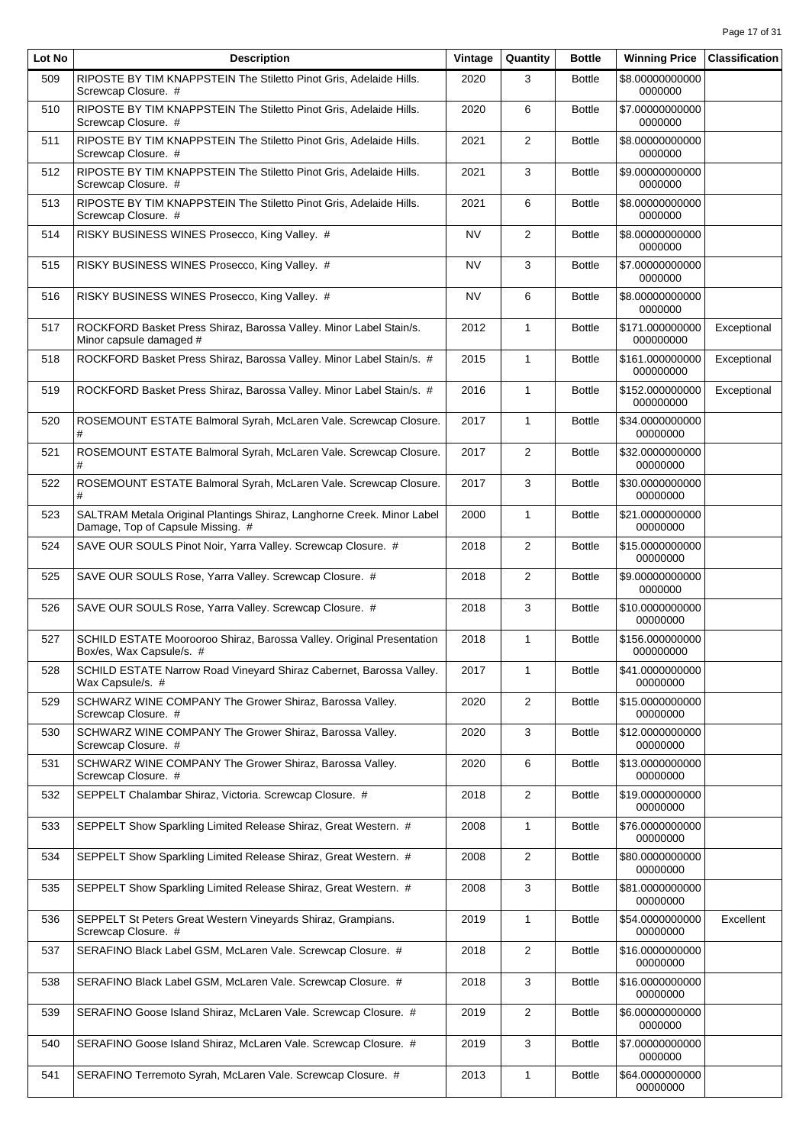| Lot No | <b>Description</b>                                                                                          | Vintage   | Quantity       | <b>Bottle</b> | <b>Winning Price</b>         | <b>Classification</b> |
|--------|-------------------------------------------------------------------------------------------------------------|-----------|----------------|---------------|------------------------------|-----------------------|
| 509    | RIPOSTE BY TIM KNAPPSTEIN The Stiletto Pinot Gris, Adelaide Hills.<br>Screwcap Closure. #                   | 2020      | 3              | <b>Bottle</b> | \$8.00000000000<br>0000000   |                       |
| 510    | RIPOSTE BY TIM KNAPPSTEIN The Stiletto Pinot Gris, Adelaide Hills.<br>Screwcap Closure. #                   | 2020      | 6              | <b>Bottle</b> | \$7.00000000000<br>0000000   |                       |
| 511    | RIPOSTE BY TIM KNAPPSTEIN The Stiletto Pinot Gris, Adelaide Hills.<br>Screwcap Closure. #                   | 2021      | $\overline{2}$ | <b>Bottle</b> | \$8.00000000000<br>0000000   |                       |
| 512    | RIPOSTE BY TIM KNAPPSTEIN The Stiletto Pinot Gris, Adelaide Hills.<br>Screwcap Closure. #                   | 2021      | 3              | <b>Bottle</b> | \$9.00000000000<br>0000000   |                       |
| 513    | RIPOSTE BY TIM KNAPPSTEIN The Stiletto Pinot Gris, Adelaide Hills.<br>Screwcap Closure. #                   | 2021      | 6              | <b>Bottle</b> | \$8.00000000000<br>0000000   |                       |
| 514    | RISKY BUSINESS WINES Prosecco, King Valley. #                                                               | <b>NV</b> | $\overline{2}$ | <b>Bottle</b> | \$8.00000000000<br>0000000   |                       |
| 515    | RISKY BUSINESS WINES Prosecco, King Valley. #                                                               | <b>NV</b> | 3              | <b>Bottle</b> | \$7.00000000000<br>0000000   |                       |
| 516    | RISKY BUSINESS WINES Prosecco, King Valley. #                                                               | NV        | 6              | <b>Bottle</b> | \$8.00000000000<br>0000000   |                       |
| 517    | ROCKFORD Basket Press Shiraz, Barossa Valley. Minor Label Stain/s.<br>Minor capsule damaged #               | 2012      | $\mathbf{1}$   | <b>Bottle</b> | \$171.000000000<br>000000000 | Exceptional           |
| 518    | ROCKFORD Basket Press Shiraz, Barossa Valley. Minor Label Stain/s. #                                        | 2015      | 1              | <b>Bottle</b> | \$161.000000000<br>000000000 | Exceptional           |
| 519    | ROCKFORD Basket Press Shiraz, Barossa Valley. Minor Label Stain/s. #                                        | 2016      | 1              | <b>Bottle</b> | \$152.000000000<br>000000000 | Exceptional           |
| 520    | ROSEMOUNT ESTATE Balmoral Syrah, McLaren Vale. Screwcap Closure.<br>#                                       | 2017      | $\mathbf{1}$   | <b>Bottle</b> | \$34.0000000000<br>00000000  |                       |
| 521    | ROSEMOUNT ESTATE Balmoral Syrah, McLaren Vale. Screwcap Closure.<br>#                                       | 2017      | 2              | <b>Bottle</b> | \$32.0000000000<br>00000000  |                       |
| 522    | ROSEMOUNT ESTATE Balmoral Syrah, McLaren Vale. Screwcap Closure.<br>#                                       | 2017      | 3              | <b>Bottle</b> | \$30.0000000000<br>00000000  |                       |
| 523    | SALTRAM Metala Original Plantings Shiraz, Langhorne Creek. Minor Label<br>Damage, Top of Capsule Missing. # | 2000      | $\mathbf{1}$   | <b>Bottle</b> | \$21.0000000000<br>00000000  |                       |
| 524    | SAVE OUR SOULS Pinot Noir, Yarra Valley. Screwcap Closure. #                                                | 2018      | $\overline{c}$ | <b>Bottle</b> | \$15.0000000000<br>00000000  |                       |
| 525    | SAVE OUR SOULS Rose, Yarra Valley. Screwcap Closure. #                                                      | 2018      | $\overline{2}$ | <b>Bottle</b> | \$9.00000000000<br>0000000   |                       |
| 526    | SAVE OUR SOULS Rose, Yarra Valley. Screwcap Closure. #                                                      | 2018      | 3              | <b>Bottle</b> | \$10.0000000000<br>00000000  |                       |
| 527    | SCHILD ESTATE Moorooroo Shiraz, Barossa Valley. Original Presentation<br>Box/es, Wax Capsule/s. #           | 2018      | $\mathbf{1}$   | <b>Bottle</b> | \$156.000000000<br>000000000 |                       |
| 528    | SCHILD ESTATE Narrow Road Vineyard Shiraz Cabernet, Barossa Valley.<br>Wax Capsule/s. #                     | 2017      | 1              | <b>Bottle</b> | \$41.0000000000<br>00000000  |                       |
| 529    | SCHWARZ WINE COMPANY The Grower Shiraz, Barossa Valley.<br>Screwcap Closure. #                              | 2020      | $\overline{c}$ | <b>Bottle</b> | \$15.0000000000<br>00000000  |                       |
| 530    | SCHWARZ WINE COMPANY The Grower Shiraz, Barossa Valley.<br>Screwcap Closure. #                              | 2020      | 3              | <b>Bottle</b> | \$12.0000000000<br>00000000  |                       |
| 531    | SCHWARZ WINE COMPANY The Grower Shiraz, Barossa Valley.<br>Screwcap Closure. #                              | 2020      | 6              | <b>Bottle</b> | \$13.0000000000<br>00000000  |                       |
| 532    | SEPPELT Chalambar Shiraz, Victoria. Screwcap Closure. #                                                     | 2018      | $\overline{2}$ | <b>Bottle</b> | \$19.0000000000<br>00000000  |                       |
| 533    | SEPPELT Show Sparkling Limited Release Shiraz, Great Western. #                                             | 2008      | 1              | <b>Bottle</b> | \$76.0000000000<br>00000000  |                       |
| 534    | SEPPELT Show Sparkling Limited Release Shiraz, Great Western. #                                             | 2008      | $\overline{2}$ | <b>Bottle</b> | \$80.0000000000<br>00000000  |                       |
| 535    | SEPPELT Show Sparkling Limited Release Shiraz, Great Western. #                                             | 2008      | 3              | <b>Bottle</b> | \$81.0000000000<br>00000000  |                       |
| 536    | SEPPELT St Peters Great Western Vineyards Shiraz, Grampians.<br>Screwcap Closure. #                         | 2019      | 1              | <b>Bottle</b> | \$54.0000000000<br>00000000  | Excellent             |
| 537    | SERAFINO Black Label GSM, McLaren Vale. Screwcap Closure. #                                                 | 2018      | $\overline{2}$ | <b>Bottle</b> | \$16.0000000000<br>00000000  |                       |
| 538    | SERAFINO Black Label GSM, McLaren Vale. Screwcap Closure. #                                                 | 2018      | 3              | <b>Bottle</b> | \$16.0000000000<br>00000000  |                       |
| 539    | SERAFINO Goose Island Shiraz, McLaren Vale. Screwcap Closure. #                                             | 2019      | $\overline{c}$ | <b>Bottle</b> | \$6.00000000000<br>0000000   |                       |
| 540    | SERAFINO Goose Island Shiraz, McLaren Vale. Screwcap Closure. #                                             | 2019      | 3              | <b>Bottle</b> | \$7.00000000000<br>0000000   |                       |
| 541    | SERAFINO Terremoto Syrah, McLaren Vale. Screwcap Closure. #                                                 | 2013      | 1              | <b>Bottle</b> | \$64.0000000000<br>00000000  |                       |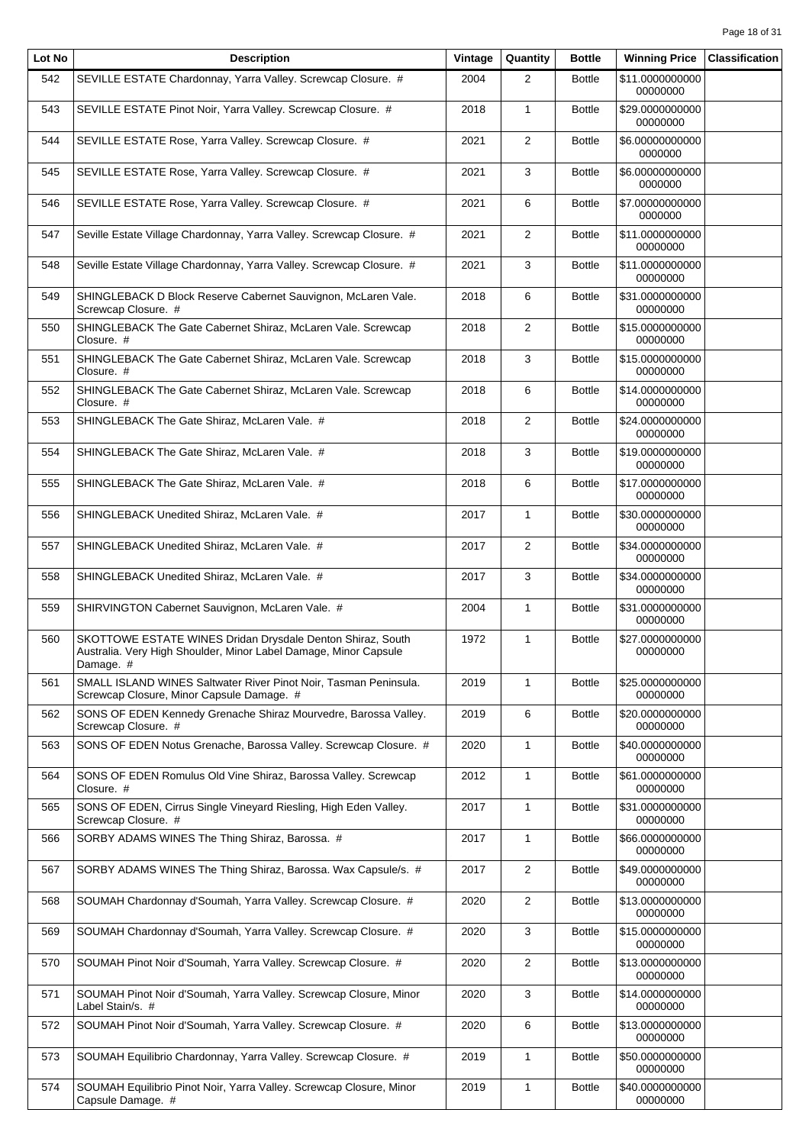| Lot No | <b>Description</b>                                                                                                                          | Vintage | Quantity       | <b>Bottle</b> | <b>Winning Price</b>        | <b>Classification</b> |
|--------|---------------------------------------------------------------------------------------------------------------------------------------------|---------|----------------|---------------|-----------------------------|-----------------------|
| 542    | SEVILLE ESTATE Chardonnay, Yarra Valley. Screwcap Closure. #                                                                                | 2004    | $\overline{2}$ | <b>Bottle</b> | \$11.0000000000<br>00000000 |                       |
| 543    | SEVILLE ESTATE Pinot Noir, Yarra Valley. Screwcap Closure. #                                                                                | 2018    | $\mathbf{1}$   | <b>Bottle</b> | \$29.0000000000<br>00000000 |                       |
| 544    | SEVILLE ESTATE Rose, Yarra Valley. Screwcap Closure. #                                                                                      | 2021    | $\overline{2}$ | <b>Bottle</b> | \$6.00000000000<br>0000000  |                       |
| 545    | SEVILLE ESTATE Rose, Yarra Valley. Screwcap Closure. #                                                                                      | 2021    | 3              | <b>Bottle</b> | \$6.00000000000<br>0000000  |                       |
| 546    | SEVILLE ESTATE Rose, Yarra Valley. Screwcap Closure. #                                                                                      | 2021    | 6              | <b>Bottle</b> | \$7.00000000000<br>0000000  |                       |
| 547    | Seville Estate Village Chardonnay, Yarra Valley. Screwcap Closure. #                                                                        | 2021    | $\overline{2}$ | <b>Bottle</b> | \$11.0000000000<br>00000000 |                       |
| 548    | Seville Estate Village Chardonnay, Yarra Valley. Screwcap Closure. #                                                                        | 2021    | 3              | <b>Bottle</b> | \$11.0000000000<br>00000000 |                       |
| 549    | SHINGLEBACK D Block Reserve Cabernet Sauvignon, McLaren Vale.<br>Screwcap Closure. #                                                        | 2018    | 6              | <b>Bottle</b> | \$31.0000000000<br>00000000 |                       |
| 550    | SHINGLEBACK The Gate Cabernet Shiraz, McLaren Vale. Screwcap<br>Closure. #                                                                  | 2018    | $\overline{2}$ | <b>Bottle</b> | \$15.0000000000<br>00000000 |                       |
| 551    | SHINGLEBACK The Gate Cabernet Shiraz, McLaren Vale. Screwcap<br>Closure. #                                                                  | 2018    | 3              | <b>Bottle</b> | \$15,0000000000<br>00000000 |                       |
| 552    | SHINGLEBACK The Gate Cabernet Shiraz, McLaren Vale. Screwcap<br>Closure. #                                                                  | 2018    | 6              | <b>Bottle</b> | \$14.0000000000<br>00000000 |                       |
| 553    | SHINGLEBACK The Gate Shiraz, McLaren Vale. #                                                                                                | 2018    | $\overline{2}$ | <b>Bottle</b> | \$24.0000000000<br>00000000 |                       |
| 554    | SHINGLEBACK The Gate Shiraz, McLaren Vale. #                                                                                                | 2018    | 3              | <b>Bottle</b> | \$19.0000000000<br>00000000 |                       |
| 555    | SHINGLEBACK The Gate Shiraz, McLaren Vale. #                                                                                                | 2018    | 6              | <b>Bottle</b> | \$17.0000000000<br>00000000 |                       |
| 556    | SHINGLEBACK Unedited Shiraz, McLaren Vale. #                                                                                                | 2017    | $\mathbf{1}$   | <b>Bottle</b> | \$30.0000000000<br>00000000 |                       |
| 557    | SHINGLEBACK Unedited Shiraz, McLaren Vale. #                                                                                                | 2017    | $\overline{2}$ | <b>Bottle</b> | \$34.0000000000<br>00000000 |                       |
| 558    | SHINGLEBACK Unedited Shiraz, McLaren Vale. #                                                                                                | 2017    | 3              | <b>Bottle</b> | \$34.0000000000<br>00000000 |                       |
| 559    | SHIRVINGTON Cabernet Sauvignon, McLaren Vale. #                                                                                             | 2004    | $\mathbf{1}$   | <b>Bottle</b> | \$31.0000000000<br>00000000 |                       |
| 560    | SKOTTOWE ESTATE WINES Dridan Drysdale Denton Shiraz, South<br>Australia. Very High Shoulder, Minor Label Damage, Minor Capsule<br>Damage. # | 1972    | $\mathbf{1}$   | <b>Bottle</b> | \$27.0000000000<br>00000000 |                       |
| 561    | SMALL ISLAND WINES Saltwater River Pinot Noir, Tasman Peninsula.<br>Screwcap Closure, Minor Capsule Damage. #                               | 2019    | 1              | <b>Bottle</b> | \$25.0000000000<br>00000000 |                       |
| 562    | SONS OF EDEN Kennedy Grenache Shiraz Mourvedre, Barossa Valley.<br>Screwcap Closure. #                                                      | 2019    | 6              | <b>Bottle</b> | \$20.0000000000<br>00000000 |                       |
| 563    | SONS OF EDEN Notus Grenache, Barossa Valley. Screwcap Closure. #                                                                            | 2020    | $\mathbf{1}$   | <b>Bottle</b> | \$40.0000000000<br>00000000 |                       |
| 564    | SONS OF EDEN Romulus Old Vine Shiraz, Barossa Valley. Screwcap<br>Closure. #                                                                | 2012    | $\mathbf{1}$   | <b>Bottle</b> | \$61.0000000000<br>00000000 |                       |
| 565    | SONS OF EDEN, Cirrus Single Vineyard Riesling, High Eden Valley.<br>Screwcap Closure. #                                                     | 2017    | $\mathbf{1}$   | <b>Bottle</b> | \$31.0000000000<br>00000000 |                       |
| 566    | SORBY ADAMS WINES The Thing Shiraz, Barossa. #                                                                                              | 2017    | 1              | <b>Bottle</b> | \$66.0000000000<br>00000000 |                       |
| 567    | SORBY ADAMS WINES The Thing Shiraz, Barossa. Wax Capsule/s. #                                                                               | 2017    | $\overline{2}$ | <b>Bottle</b> | \$49.0000000000<br>00000000 |                       |
| 568    | SOUMAH Chardonnay d'Soumah, Yarra Valley. Screwcap Closure. #                                                                               | 2020    | $\overline{2}$ | <b>Bottle</b> | \$13.0000000000<br>00000000 |                       |
| 569    | SOUMAH Chardonnay d'Soumah, Yarra Valley. Screwcap Closure. #                                                                               | 2020    | 3              | <b>Bottle</b> | \$15.0000000000<br>00000000 |                       |
| 570    | SOUMAH Pinot Noir d'Soumah, Yarra Valley. Screwcap Closure. #                                                                               | 2020    | $\overline{2}$ | <b>Bottle</b> | \$13.0000000000<br>00000000 |                       |
| 571    | SOUMAH Pinot Noir d'Soumah, Yarra Valley. Screwcap Closure, Minor<br>Label Stain/s. #                                                       | 2020    | 3              | <b>Bottle</b> | \$14.0000000000<br>00000000 |                       |
| 572    | SOUMAH Pinot Noir d'Soumah, Yarra Valley. Screwcap Closure. #                                                                               | 2020    | 6              | <b>Bottle</b> | \$13.0000000000<br>00000000 |                       |
| 573    | SOUMAH Equilibrio Chardonnay, Yarra Valley. Screwcap Closure. #                                                                             | 2019    | $\mathbf{1}$   | <b>Bottle</b> | \$50.0000000000<br>00000000 |                       |
| 574    | SOUMAH Equilibrio Pinot Noir, Yarra Valley. Screwcap Closure, Minor<br>Capsule Damage. #                                                    | 2019    | $\mathbf{1}$   | <b>Bottle</b> | \$40.0000000000<br>00000000 |                       |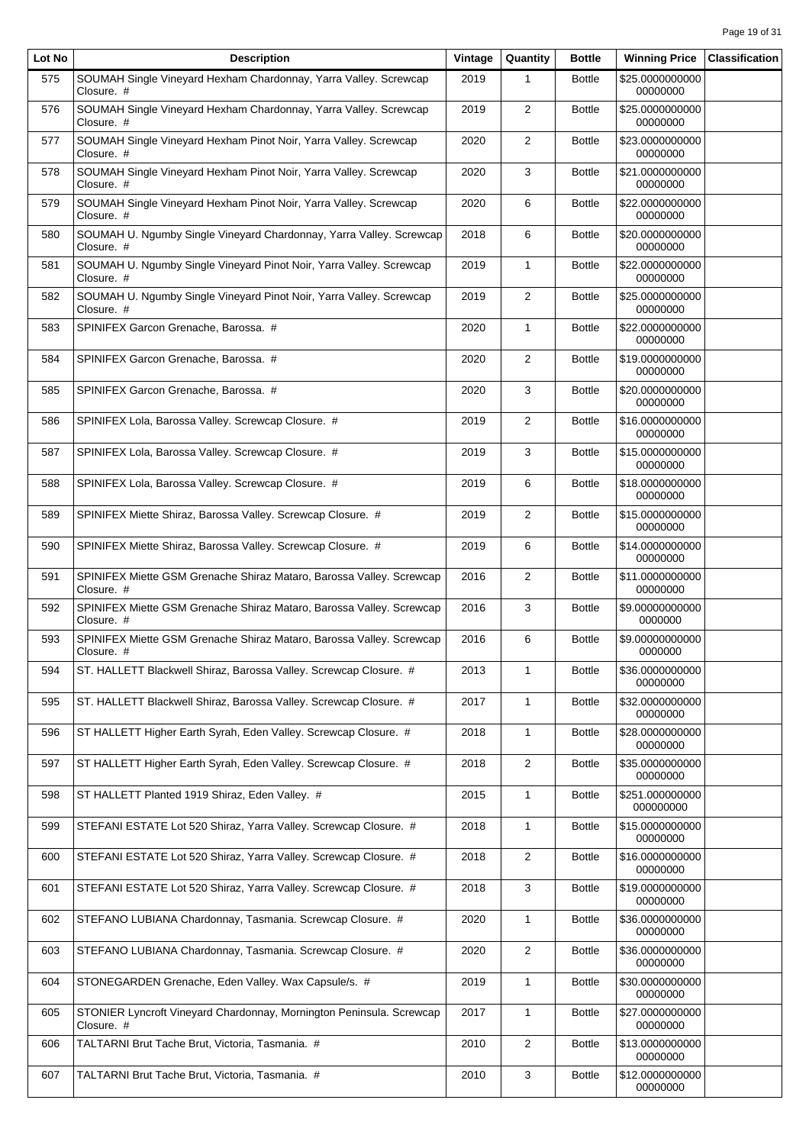| Lot No | <b>Description</b>                                                                 | Vintage | Quantity       | <b>Bottle</b> | <b>Winning Price</b>         | <b>Classification</b> |
|--------|------------------------------------------------------------------------------------|---------|----------------|---------------|------------------------------|-----------------------|
| 575    | SOUMAH Single Vineyard Hexham Chardonnay, Yarra Valley. Screwcap<br>Closure. #     | 2019    | 1              | <b>Bottle</b> | \$25.0000000000<br>00000000  |                       |
| 576    | SOUMAH Single Vineyard Hexham Chardonnay, Yarra Valley. Screwcap<br>Closure. #     | 2019    | 2              | <b>Bottle</b> | \$25.0000000000<br>00000000  |                       |
| 577    | SOUMAH Single Vineyard Hexham Pinot Noir, Yarra Valley. Screwcap<br>Closure. #     | 2020    | $\overline{2}$ | <b>Bottle</b> | \$23.0000000000<br>00000000  |                       |
| 578    | SOUMAH Single Vineyard Hexham Pinot Noir, Yarra Valley. Screwcap<br>Closure. #     | 2020    | 3              | <b>Bottle</b> | \$21.0000000000<br>00000000  |                       |
| 579    | SOUMAH Single Vineyard Hexham Pinot Noir, Yarra Valley. Screwcap<br>Closure. #     | 2020    | 6              | <b>Bottle</b> | \$22.0000000000<br>00000000  |                       |
| 580    | SOUMAH U. Ngumby Single Vineyard Chardonnay, Yarra Valley. Screwcap<br>Closure. #  | 2018    | 6              | <b>Bottle</b> | \$20.0000000000<br>00000000  |                       |
| 581    | SOUMAH U. Ngumby Single Vineyard Pinot Noir, Yarra Valley. Screwcap<br>Closure. #  | 2019    | $\mathbf{1}$   | <b>Bottle</b> | \$22.0000000000<br>00000000  |                       |
| 582    | SOUMAH U. Ngumby Single Vineyard Pinot Noir, Yarra Valley. Screwcap<br>Closure. #  | 2019    | 2              | <b>Bottle</b> | \$25.0000000000<br>00000000  |                       |
| 583    | SPINIFEX Garcon Grenache, Barossa. #                                               | 2020    | $\mathbf{1}$   | <b>Bottle</b> | \$22.0000000000<br>00000000  |                       |
| 584    | SPINIFEX Garcon Grenache, Barossa. #                                               | 2020    | 2              | <b>Bottle</b> | \$19.0000000000<br>00000000  |                       |
| 585    | SPINIFEX Garcon Grenache, Barossa. #                                               | 2020    | 3              | <b>Bottle</b> | \$20.0000000000<br>00000000  |                       |
| 586    | SPINIFEX Lola, Barossa Valley. Screwcap Closure. #                                 | 2019    | 2              | <b>Bottle</b> | \$16.0000000000<br>00000000  |                       |
| 587    | SPINIFEX Lola, Barossa Valley. Screwcap Closure. #                                 | 2019    | 3              | <b>Bottle</b> | \$15.0000000000<br>00000000  |                       |
| 588    | SPINIFEX Lola, Barossa Valley. Screwcap Closure. #                                 | 2019    | 6              | <b>Bottle</b> | \$18.0000000000<br>00000000  |                       |
| 589    | SPINIFEX Miette Shiraz, Barossa Valley. Screwcap Closure. #                        | 2019    | 2              | <b>Bottle</b> | \$15.0000000000<br>00000000  |                       |
| 590    | SPINIFEX Miette Shiraz, Barossa Valley. Screwcap Closure. #                        | 2019    | 6              | <b>Bottle</b> | \$14.0000000000<br>00000000  |                       |
| 591    | SPINIFEX Miette GSM Grenache Shiraz Mataro, Barossa Valley. Screwcap<br>Closure. # | 2016    | 2              | <b>Bottle</b> | \$11.0000000000<br>00000000  |                       |
| 592    | SPINIFEX Miette GSM Grenache Shiraz Mataro, Barossa Valley. Screwcap<br>Closure. # | 2016    | 3              | <b>Bottle</b> | \$9.00000000000<br>0000000   |                       |
| 593    | SPINIFEX Miette GSM Grenache Shiraz Mataro, Barossa Valley. Screwcap<br>Closure. # | 2016    | 6              | <b>Bottle</b> | \$9.00000000000<br>0000000   |                       |
| 594    | ST. HALLETT Blackwell Shiraz, Barossa Valley. Screwcap Closure. #                  | 2013    | 1              | <b>Bottle</b> | \$36.0000000000<br>00000000  |                       |
| 595    | ST. HALLETT Blackwell Shiraz, Barossa Valley. Screwcap Closure. #                  | 2017    | $\mathbf{1}$   | <b>Bottle</b> | \$32.0000000000<br>00000000  |                       |
| 596    | ST HALLETT Higher Earth Syrah, Eden Valley. Screwcap Closure. #                    | 2018    | $\mathbf{1}$   | <b>Bottle</b> | \$28.0000000000<br>00000000  |                       |
| 597    | ST HALLETT Higher Earth Syrah, Eden Valley. Screwcap Closure. #                    | 2018    | 2              | <b>Bottle</b> | \$35.0000000000<br>00000000  |                       |
| 598    | ST HALLETT Planted 1919 Shiraz, Eden Valley. #                                     | 2015    | $\mathbf{1}$   | <b>Bottle</b> | \$251.000000000<br>000000000 |                       |
| 599    | STEFANI ESTATE Lot 520 Shiraz, Yarra Valley. Screwcap Closure. #                   | 2018    | $\mathbf{1}$   | <b>Bottle</b> | \$15.0000000000<br>00000000  |                       |
| 600    | STEFANI ESTATE Lot 520 Shiraz, Yarra Valley. Screwcap Closure. #                   | 2018    | $\overline{2}$ | <b>Bottle</b> | \$16.0000000000<br>00000000  |                       |
| 601    | STEFANI ESTATE Lot 520 Shiraz, Yarra Valley. Screwcap Closure. #                   | 2018    | 3              | <b>Bottle</b> | \$19.0000000000<br>00000000  |                       |
| 602    | STEFANO LUBIANA Chardonnay, Tasmania. Screwcap Closure. #                          | 2020    | $\mathbf{1}$   | <b>Bottle</b> | \$36.0000000000<br>00000000  |                       |
| 603    | STEFANO LUBIANA Chardonnay, Tasmania. Screwcap Closure. #                          | 2020    | $\overline{2}$ | <b>Bottle</b> | \$36.0000000000<br>00000000  |                       |
| 604    | STONEGARDEN Grenache, Eden Valley. Wax Capsule/s. #                                | 2019    | $\mathbf{1}$   | <b>Bottle</b> | \$30.0000000000<br>00000000  |                       |
| 605    | STONIER Lyncroft Vineyard Chardonnay, Mornington Peninsula. Screwcap<br>Closure. # | 2017    | $\mathbf{1}$   | <b>Bottle</b> | \$27.0000000000<br>00000000  |                       |
| 606    | TALTARNI Brut Tache Brut, Victoria, Tasmania. #                                    | 2010    | $\overline{2}$ | <b>Bottle</b> | \$13.0000000000<br>00000000  |                       |
| 607    | TALTARNI Brut Tache Brut, Victoria, Tasmania. #                                    | 2010    | 3              | <b>Bottle</b> | \$12.0000000000<br>00000000  |                       |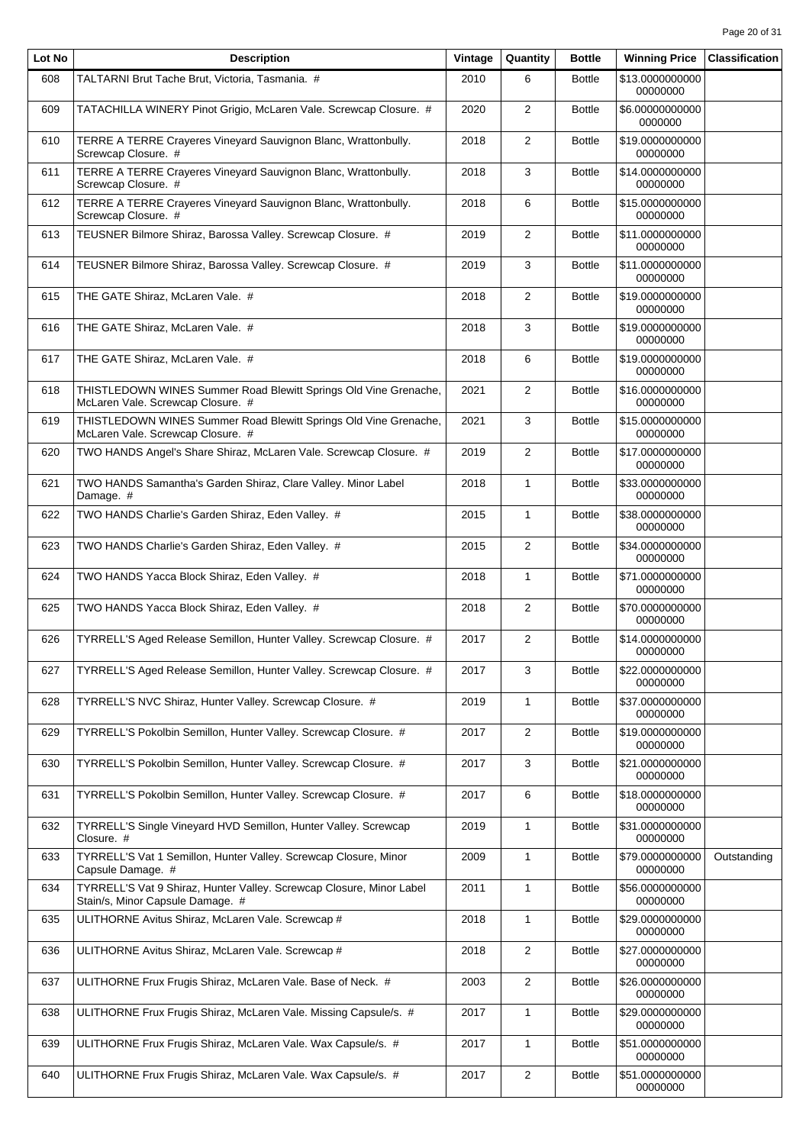| Lot No | <b>Description</b>                                                                                       | Vintage | Quantity       | <b>Bottle</b> | <b>Winning Price</b>        | <b>Classification</b> |
|--------|----------------------------------------------------------------------------------------------------------|---------|----------------|---------------|-----------------------------|-----------------------|
| 608    | TALTARNI Brut Tache Brut, Victoria, Tasmania. #                                                          | 2010    | 6              | <b>Bottle</b> | \$13.0000000000<br>00000000 |                       |
| 609    | TATACHILLA WINERY Pinot Grigio, McLaren Vale. Screwcap Closure. #                                        | 2020    | $\overline{2}$ | <b>Bottle</b> | \$6.00000000000<br>0000000  |                       |
| 610    | TERRE A TERRE Crayeres Vineyard Sauvignon Blanc, Wrattonbully.<br>Screwcap Closure. #                    | 2018    | $\overline{2}$ | <b>Bottle</b> | \$19.0000000000<br>00000000 |                       |
| 611    | TERRE A TERRE Crayeres Vineyard Sauvignon Blanc, Wrattonbully.<br>Screwcap Closure. #                    | 2018    | 3              | <b>Bottle</b> | \$14.0000000000<br>00000000 |                       |
| 612    | TERRE A TERRE Crayeres Vineyard Sauvignon Blanc, Wrattonbully.<br>Screwcap Closure. #                    | 2018    | 6              | <b>Bottle</b> | \$15.0000000000<br>00000000 |                       |
| 613    | TEUSNER Bilmore Shiraz, Barossa Valley. Screwcap Closure. #                                              | 2019    | 2              | <b>Bottle</b> | \$11.0000000000<br>00000000 |                       |
| 614    | TEUSNER Bilmore Shiraz, Barossa Valley. Screwcap Closure. #                                              | 2019    | 3              | <b>Bottle</b> | \$11.0000000000<br>00000000 |                       |
| 615    | THE GATE Shiraz, McLaren Vale. #                                                                         | 2018    | $\overline{2}$ | <b>Bottle</b> | \$19.0000000000<br>00000000 |                       |
| 616    | THE GATE Shiraz, McLaren Vale. #                                                                         | 2018    | 3              | <b>Bottle</b> | \$19.0000000000<br>00000000 |                       |
| 617    | THE GATE Shiraz, McLaren Vale. #                                                                         | 2018    | 6              | <b>Bottle</b> | \$19.0000000000<br>00000000 |                       |
| 618    | THISTLEDOWN WINES Summer Road Blewitt Springs Old Vine Grenache,<br>McLaren Vale. Screwcap Closure. #    | 2021    | $\overline{2}$ | <b>Bottle</b> | \$16.0000000000<br>00000000 |                       |
| 619    | THISTLEDOWN WINES Summer Road Blewitt Springs Old Vine Grenache,<br>McLaren Vale. Screwcap Closure. #    | 2021    | 3              | <b>Bottle</b> | \$15.0000000000<br>00000000 |                       |
| 620    | TWO HANDS Angel's Share Shiraz, McLaren Vale. Screwcap Closure. #                                        | 2019    | $\overline{2}$ | <b>Bottle</b> | \$17.0000000000<br>00000000 |                       |
| 621    | TWO HANDS Samantha's Garden Shiraz, Clare Valley. Minor Label<br>Damage. #                               | 2018    | $\mathbf{1}$   | <b>Bottle</b> | \$33.0000000000<br>00000000 |                       |
| 622    | TWO HANDS Charlie's Garden Shiraz, Eden Valley. #                                                        | 2015    | $\mathbf{1}$   | <b>Bottle</b> | \$38.0000000000<br>00000000 |                       |
| 623    | TWO HANDS Charlie's Garden Shiraz, Eden Valley. #                                                        | 2015    | $\overline{2}$ | <b>Bottle</b> | \$34.0000000000<br>00000000 |                       |
| 624    | TWO HANDS Yacca Block Shiraz, Eden Valley. #                                                             | 2018    | $\mathbf{1}$   | <b>Bottle</b> | \$71.0000000000<br>00000000 |                       |
| 625    | TWO HANDS Yacca Block Shiraz, Eden Valley. #                                                             | 2018    | $\overline{2}$ | <b>Bottle</b> | \$70.0000000000<br>00000000 |                       |
| 626    | TYRRELL'S Aged Release Semillon, Hunter Valley. Screwcap Closure. #                                      | 2017    | $\overline{2}$ | <b>Bottle</b> | \$14.0000000000<br>00000000 |                       |
| 627    | TYRRELL'S Aged Release Semillon, Hunter Valley. Screwcap Closure. #                                      | 2017    | 3              | <b>Bottle</b> | \$22.0000000000<br>00000000 |                       |
| 628    | TYRRELL'S NVC Shiraz, Hunter Valley. Screwcap Closure. #                                                 | 2019    | $\mathbf{1}$   | <b>Bottle</b> | \$37.0000000000<br>00000000 |                       |
| 629    | TYRRELL'S Pokolbin Semillon, Hunter Valley. Screwcap Closure. #                                          | 2017    | $\overline{2}$ | <b>Bottle</b> | \$19.0000000000<br>00000000 |                       |
| 630    | TYRRELL'S Pokolbin Semillon, Hunter Valley. Screwcap Closure. #                                          | 2017    | 3              | <b>Bottle</b> | \$21.0000000000<br>00000000 |                       |
| 631    | TYRRELL'S Pokolbin Semillon, Hunter Valley. Screwcap Closure. #                                          | 2017    | 6              | <b>Bottle</b> | \$18.0000000000<br>00000000 |                       |
| 632    | TYRRELL'S Single Vineyard HVD Semillon, Hunter Valley. Screwcap<br>Closure. #                            | 2019    | $\mathbf{1}$   | <b>Bottle</b> | \$31.0000000000<br>00000000 |                       |
| 633    | TYRRELL'S Vat 1 Semillon, Hunter Valley. Screwcap Closure, Minor<br>Capsule Damage. #                    | 2009    | $\mathbf{1}$   | <b>Bottle</b> | \$79.0000000000<br>00000000 | Outstanding           |
| 634    | TYRRELL'S Vat 9 Shiraz, Hunter Valley. Screwcap Closure, Minor Label<br>Stain/s, Minor Capsule Damage. # | 2011    | $\mathbf{1}$   | <b>Bottle</b> | \$56.0000000000<br>00000000 |                       |
| 635    | ULITHORNE Avitus Shiraz, McLaren Vale. Screwcap #                                                        | 2018    | $\mathbf{1}$   | <b>Bottle</b> | \$29.0000000000<br>00000000 |                       |
| 636    | ULITHORNE Avitus Shiraz, McLaren Vale. Screwcap #                                                        | 2018    | $\overline{2}$ | <b>Bottle</b> | \$27.0000000000<br>00000000 |                       |
| 637    | ULITHORNE Frux Frugis Shiraz, McLaren Vale. Base of Neck. #                                              | 2003    | $\overline{2}$ | <b>Bottle</b> | \$26.0000000000<br>00000000 |                       |
| 638    | ULITHORNE Frux Frugis Shiraz, McLaren Vale. Missing Capsule/s. #                                         | 2017    | $\mathbf{1}$   | <b>Bottle</b> | \$29.0000000000<br>00000000 |                       |
| 639    | ULITHORNE Frux Frugis Shiraz, McLaren Vale. Wax Capsule/s. #                                             | 2017    | $\mathbf{1}$   | <b>Bottle</b> | \$51.0000000000<br>00000000 |                       |
| 640    | ULITHORNE Frux Frugis Shiraz, McLaren Vale. Wax Capsule/s. #                                             | 2017    | $\overline{2}$ | <b>Bottle</b> | \$51.0000000000<br>00000000 |                       |
|        |                                                                                                          |         |                |               |                             |                       |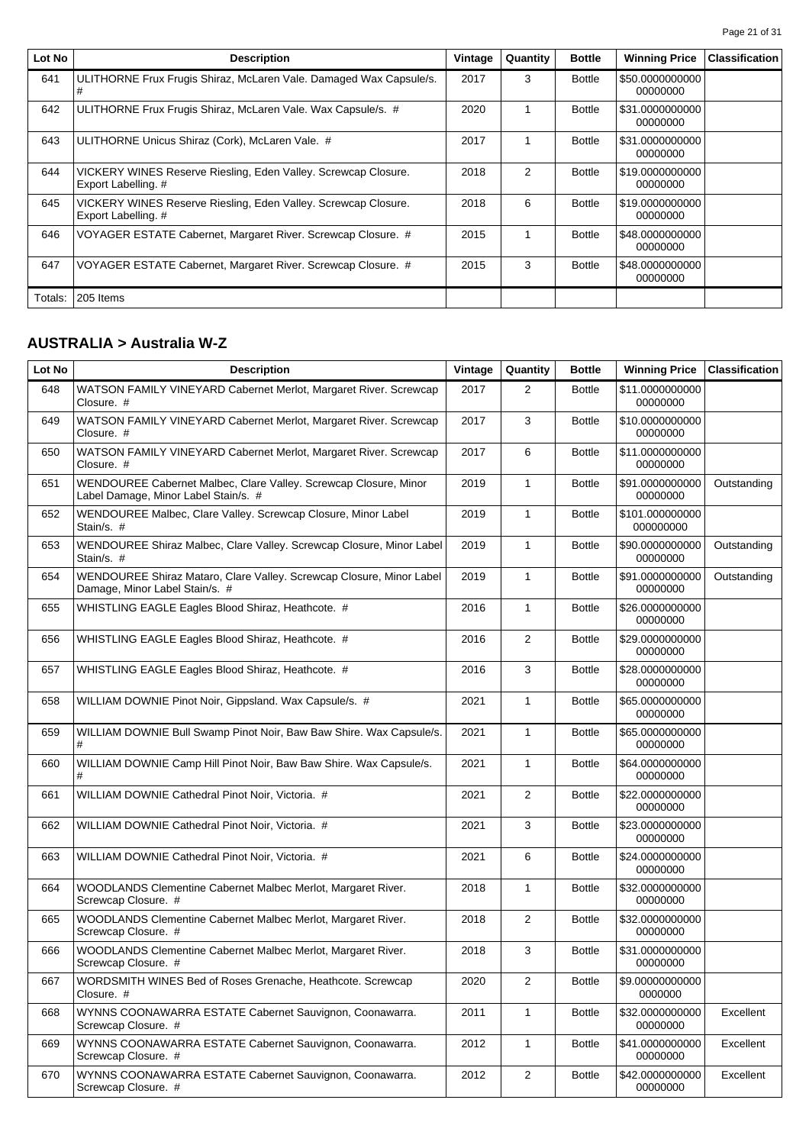| Lot No  | <b>Description</b>                                                                    | Vintage | Quantity       | <b>Bottle</b> | <b>Winning Price</b>        | <b>Classification</b> |
|---------|---------------------------------------------------------------------------------------|---------|----------------|---------------|-----------------------------|-----------------------|
| 641     | ULITHORNE Frux Frugis Shiraz, McLaren Vale. Damaged Wax Capsule/s.                    | 2017    | 3              | <b>Bottle</b> | \$50.0000000000<br>00000000 |                       |
| 642     | ULITHORNE Frux Frugis Shiraz, McLaren Vale. Wax Capsule/s. #                          | 2020    | 1              | <b>Bottle</b> | \$31,0000000000<br>00000000 |                       |
| 643     | ULITHORNE Unicus Shiraz (Cork), McLaren Vale. #                                       | 2017    |                | <b>Bottle</b> | \$31,0000000000<br>00000000 |                       |
| 644     | VICKERY WINES Reserve Riesling, Eden Valley. Screwcap Closure.<br>Export Labelling. # | 2018    | $\overline{2}$ | <b>Bottle</b> | \$19.0000000000<br>00000000 |                       |
| 645     | VICKERY WINES Reserve Riesling, Eden Valley. Screwcap Closure.<br>Export Labelling. # | 2018    | 6              | <b>Bottle</b> | \$19.0000000000<br>00000000 |                       |
| 646     | VOYAGER ESTATE Cabernet, Margaret River. Screwcap Closure. #                          | 2015    | 1              | <b>Bottle</b> | \$48,0000000000<br>00000000 |                       |
| 647     | VOYAGER ESTATE Cabernet, Margaret River. Screwcap Closure. #                          | 2015    | 3              | <b>Bottle</b> | \$48.0000000000<br>00000000 |                       |
| Totals: | 205 Items                                                                             |         |                |               |                             |                       |

# **AUSTRALIA > Australia W-Z**

| Lot No | <b>Description</b>                                                                                       | Vintage | Quantity       | <b>Bottle</b> | <b>Winning Price</b>         | <b>Classification</b> |
|--------|----------------------------------------------------------------------------------------------------------|---------|----------------|---------------|------------------------------|-----------------------|
| 648    | WATSON FAMILY VINEYARD Cabernet Merlot, Margaret River. Screwcap<br>Closure. #                           | 2017    | 2              | <b>Bottle</b> | \$11.0000000000<br>00000000  |                       |
| 649    | WATSON FAMILY VINEYARD Cabernet Merlot, Margaret River. Screwcap<br>Closure. #                           | 2017    | 3              | <b>Bottle</b> | \$10.0000000000<br>00000000  |                       |
| 650    | WATSON FAMILY VINEYARD Cabernet Merlot, Margaret River. Screwcap<br>Closure. #                           | 2017    | 6              | <b>Bottle</b> | \$11.0000000000<br>00000000  |                       |
| 651    | WENDOUREE Cabernet Malbec, Clare Valley. Screwcap Closure, Minor<br>Label Damage, Minor Label Stain/s. # | 2019    | $\mathbf{1}$   | <b>Bottle</b> | \$91.0000000000<br>00000000  | Outstanding           |
| 652    | WENDOUREE Malbec, Clare Valley. Screwcap Closure, Minor Label<br>Stain/s. #                              | 2019    | $\mathbf{1}$   | <b>Bottle</b> | \$101.000000000<br>000000000 |                       |
| 653    | WENDOUREE Shiraz Malbec, Clare Valley. Screwcap Closure, Minor Label<br>Stain/s. #                       | 2019    | 1              | <b>Bottle</b> | \$90.0000000000<br>00000000  | Outstanding           |
| 654    | WENDOUREE Shiraz Mataro, Clare Valley. Screwcap Closure, Minor Label<br>Damage, Minor Label Stain/s. #   | 2019    | $\mathbf{1}$   | <b>Bottle</b> | \$91.0000000000<br>00000000  | Outstanding           |
| 655    | WHISTLING EAGLE Eagles Blood Shiraz, Heathcote. #                                                        | 2016    | $\mathbf{1}$   | <b>Bottle</b> | \$26.0000000000<br>00000000  |                       |
| 656    | WHISTLING EAGLE Eagles Blood Shiraz, Heathcote. #                                                        | 2016    | 2              | <b>Bottle</b> | \$29.0000000000<br>00000000  |                       |
| 657    | WHISTLING EAGLE Eagles Blood Shiraz, Heathcote. #                                                        | 2016    | 3              | <b>Bottle</b> | \$28.0000000000<br>00000000  |                       |
| 658    | WILLIAM DOWNIE Pinot Noir, Gippsland. Wax Capsule/s. #                                                   | 2021    | 1              | <b>Bottle</b> | \$65.0000000000<br>00000000  |                       |
| 659    | WILLIAM DOWNIE Bull Swamp Pinot Noir, Baw Baw Shire. Wax Capsule/s.<br>#                                 | 2021    | 1              | <b>Bottle</b> | \$65.0000000000<br>00000000  |                       |
| 660    | WILLIAM DOWNIE Camp Hill Pinot Noir, Baw Baw Shire. Wax Capsule/s.<br>#                                  | 2021    | $\mathbf{1}$   | <b>Bottle</b> | \$64.0000000000<br>00000000  |                       |
| 661    | WILLIAM DOWNIE Cathedral Pinot Noir, Victoria. #                                                         | 2021    | 2              | <b>Bottle</b> | \$22.0000000000<br>00000000  |                       |
| 662    | WILLIAM DOWNIE Cathedral Pinot Noir, Victoria. #                                                         | 2021    | 3              | <b>Bottle</b> | \$23.0000000000<br>00000000  |                       |
| 663    | WILLIAM DOWNIE Cathedral Pinot Noir, Victoria. #                                                         | 2021    | 6              | <b>Bottle</b> | \$24.0000000000<br>00000000  |                       |
| 664    | WOODLANDS Clementine Cabernet Malbec Merlot, Margaret River.<br>Screwcap Closure. #                      | 2018    | 1              | <b>Bottle</b> | \$32.0000000000<br>00000000  |                       |
| 665    | WOODLANDS Clementine Cabernet Malbec Merlot, Margaret River.<br>Screwcap Closure. #                      | 2018    | $\overline{2}$ | <b>Bottle</b> | \$32.0000000000<br>00000000  |                       |
| 666    | WOODLANDS Clementine Cabernet Malbec Merlot, Margaret River.<br>Screwcap Closure. #                      | 2018    | 3              | <b>Bottle</b> | \$31.0000000000<br>00000000  |                       |
| 667    | WORDSMITH WINES Bed of Roses Grenache, Heathcote. Screwcap<br>Closure. #                                 | 2020    | $\overline{2}$ | <b>Bottle</b> | \$9.00000000000<br>0000000   |                       |
| 668    | WYNNS COONAWARRA ESTATE Cabernet Sauvignon, Coonawarra.<br>Screwcap Closure. #                           | 2011    | $\mathbf{1}$   | <b>Bottle</b> | \$32.0000000000<br>00000000  | Excellent             |
| 669    | WYNNS COONAWARRA ESTATE Cabernet Sauvignon, Coonawarra.<br>Screwcap Closure. #                           | 2012    | 1              | <b>Bottle</b> | \$41.0000000000<br>00000000  | Excellent             |
| 670    | WYNNS COONAWARRA ESTATE Cabernet Sauvignon, Coonawarra.<br>Screwcap Closure. #                           | 2012    | $\overline{2}$ | <b>Bottle</b> | \$42.0000000000<br>00000000  | Excellent             |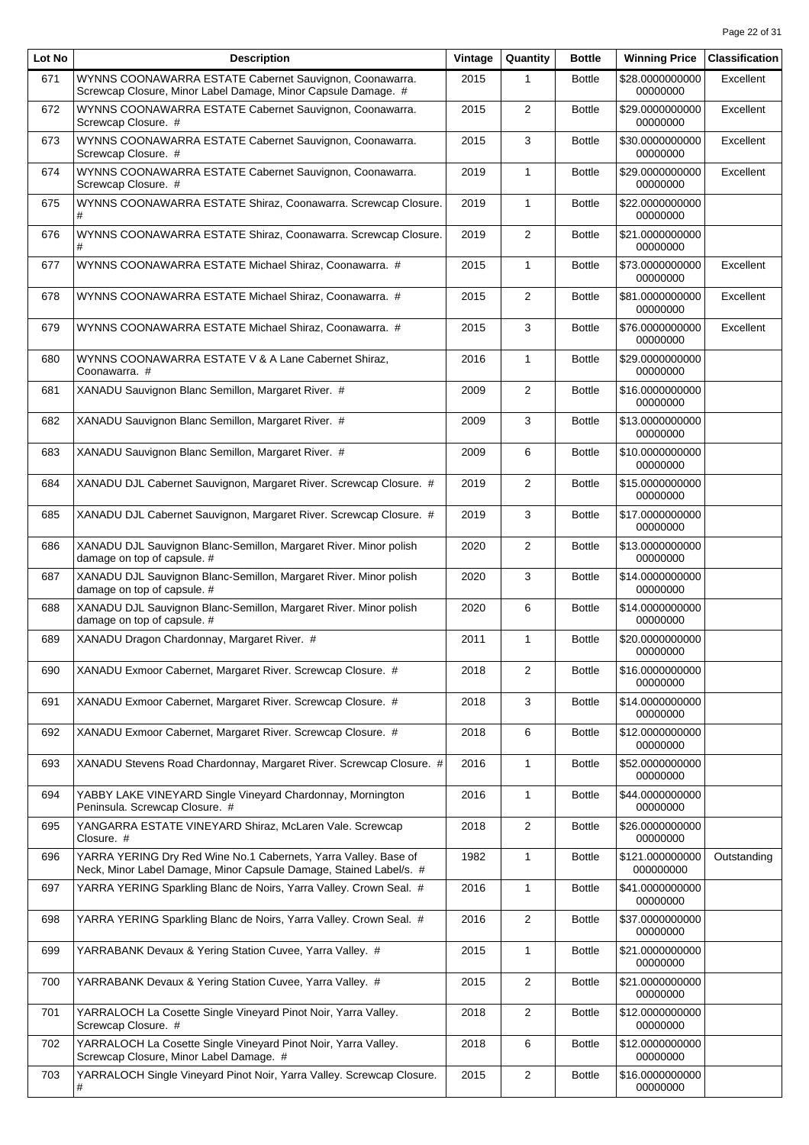| Lot No | <b>Description</b>                                                                                                                    | Vintage | Quantity       | <b>Bottle</b> | <b>Winning Price</b>         | <b>Classification</b> |
|--------|---------------------------------------------------------------------------------------------------------------------------------------|---------|----------------|---------------|------------------------------|-----------------------|
| 671    | WYNNS COONAWARRA ESTATE Cabernet Sauvignon, Coonawarra.<br>Screwcap Closure, Minor Label Damage, Minor Capsule Damage. #              | 2015    | 1              | <b>Bottle</b> | \$28.0000000000<br>00000000  | Excellent             |
| 672    | WYNNS COONAWARRA ESTATE Cabernet Sauvignon, Coonawarra.<br>Screwcap Closure. #                                                        | 2015    | 2              | <b>Bottle</b> | \$29.0000000000<br>00000000  | Excellent             |
| 673    | WYNNS COONAWARRA ESTATE Cabernet Sauvignon, Coonawarra.<br>Screwcap Closure. #                                                        | 2015    | 3              | <b>Bottle</b> | \$30.0000000000<br>00000000  | Excellent             |
| 674    | WYNNS COONAWARRA ESTATE Cabernet Sauvignon, Coonawarra.<br>Screwcap Closure. #                                                        | 2019    | $\mathbf{1}$   | <b>Bottle</b> | \$29.0000000000<br>00000000  | Excellent             |
| 675    | WYNNS COONAWARRA ESTATE Shiraz, Coonawarra. Screwcap Closure.<br>#                                                                    | 2019    | $\mathbf{1}$   | <b>Bottle</b> | \$22.0000000000<br>00000000  |                       |
| 676    | WYNNS COONAWARRA ESTATE Shiraz, Coonawarra. Screwcap Closure.<br>#                                                                    | 2019    | $\overline{2}$ | <b>Bottle</b> | \$21.0000000000<br>00000000  |                       |
| 677    | WYNNS COONAWARRA ESTATE Michael Shiraz, Coonawarra. #                                                                                 | 2015    | $\mathbf{1}$   | <b>Bottle</b> | \$73.0000000000<br>00000000  | Excellent             |
| 678    | WYNNS COONAWARRA ESTATE Michael Shiraz, Coonawarra. #                                                                                 | 2015    | $\overline{2}$ | <b>Bottle</b> | \$81.0000000000<br>00000000  | Excellent             |
| 679    | WYNNS COONAWARRA ESTATE Michael Shiraz, Coonawarra. #                                                                                 | 2015    | 3              | <b>Bottle</b> | \$76.0000000000<br>00000000  | Excellent             |
| 680    | WYNNS COONAWARRA ESTATE V & A Lane Cabernet Shiraz,<br>Coonawarra. #                                                                  | 2016    | $\mathbf{1}$   | <b>Bottle</b> | \$29.0000000000<br>00000000  |                       |
| 681    | XANADU Sauvignon Blanc Semillon, Margaret River. #                                                                                    | 2009    | $\overline{2}$ | <b>Bottle</b> | \$16.0000000000<br>00000000  |                       |
| 682    | XANADU Sauvignon Blanc Semillon, Margaret River. #                                                                                    | 2009    | 3              | <b>Bottle</b> | \$13.0000000000<br>00000000  |                       |
| 683    | XANADU Sauvignon Blanc Semillon, Margaret River. #                                                                                    | 2009    | 6              | <b>Bottle</b> | \$10.0000000000<br>00000000  |                       |
| 684    | XANADU DJL Cabernet Sauvignon, Margaret River. Screwcap Closure. #                                                                    | 2019    | 2              | <b>Bottle</b> | \$15.0000000000<br>00000000  |                       |
| 685    | XANADU DJL Cabernet Sauvignon, Margaret River. Screwcap Closure. #                                                                    | 2019    | 3              | <b>Bottle</b> | \$17.0000000000<br>00000000  |                       |
| 686    | XANADU DJL Sauvignon Blanc-Semillon, Margaret River. Minor polish<br>damage on top of capsule. #                                      | 2020    | $\overline{2}$ | <b>Bottle</b> | \$13.0000000000<br>00000000  |                       |
| 687    | XANADU DJL Sauvignon Blanc-Semillon, Margaret River. Minor polish<br>damage on top of capsule. #                                      | 2020    | 3              | <b>Bottle</b> | \$14.0000000000<br>00000000  |                       |
| 688    | XANADU DJL Sauvignon Blanc-Semillon, Margaret River. Minor polish<br>damage on top of capsule. #                                      | 2020    | 6              | <b>Bottle</b> | \$14.0000000000<br>00000000  |                       |
| 689    | XANADU Dragon Chardonnay, Margaret River. #                                                                                           | 2011    | $\mathbf{1}$   | <b>Bottle</b> | \$20.0000000000<br>00000000  |                       |
| 690    | XANADU Exmoor Cabernet, Margaret River. Screwcap Closure. #                                                                           | 2018    | $\overline{2}$ | <b>Bottle</b> | \$16.0000000000<br>00000000  |                       |
| 691    | XANADU Exmoor Cabernet, Margaret River. Screwcap Closure. #                                                                           | 2018    | 3              | <b>Bottle</b> | \$14.0000000000<br>00000000  |                       |
| 692    | XANADU Exmoor Cabernet, Margaret River. Screwcap Closure. #                                                                           | 2018    | 6              | <b>Bottle</b> | \$12.0000000000<br>00000000  |                       |
| 693    | XANADU Stevens Road Chardonnay, Margaret River. Screwcap Closure. #                                                                   | 2016    | $\mathbf{1}$   | <b>Bottle</b> | \$52.0000000000<br>00000000  |                       |
| 694    | YABBY LAKE VINEYARD Single Vineyard Chardonnay, Mornington<br>Peninsula. Screwcap Closure. #                                          | 2016    | 1              | <b>Bottle</b> | \$44.0000000000<br>00000000  |                       |
| 695    | YANGARRA ESTATE VINEYARD Shiraz, McLaren Vale. Screwcap<br>Closure. #                                                                 | 2018    | $\overline{2}$ | <b>Bottle</b> | \$26.0000000000<br>00000000  |                       |
| 696    | YARRA YERING Dry Red Wine No.1 Cabernets, Yarra Valley. Base of<br>Neck, Minor Label Damage, Minor Capsule Damage, Stained Label/s. # | 1982    | $\mathbf{1}$   | <b>Bottle</b> | \$121.000000000<br>000000000 | Outstanding           |
| 697    | YARRA YERING Sparkling Blanc de Noirs, Yarra Valley. Crown Seal. #                                                                    | 2016    | $\mathbf{1}$   | <b>Bottle</b> | \$41.0000000000<br>00000000  |                       |
| 698    | YARRA YERING Sparkling Blanc de Noirs, Yarra Valley. Crown Seal. #                                                                    | 2016    | $\overline{2}$ | <b>Bottle</b> | \$37.0000000000<br>00000000  |                       |
| 699    | YARRABANK Devaux & Yering Station Cuvee, Yarra Valley. #                                                                              | 2015    | 1              | <b>Bottle</b> | \$21.0000000000<br>00000000  |                       |
| 700    | YARRABANK Devaux & Yering Station Cuvee, Yarra Valley. #                                                                              | 2015    | $\overline{2}$ | <b>Bottle</b> | \$21.0000000000<br>00000000  |                       |
| 701    | YARRALOCH La Cosette Single Vineyard Pinot Noir, Yarra Valley.<br>Screwcap Closure. #                                                 | 2018    | $\mathbf{2}$   | <b>Bottle</b> | \$12.0000000000<br>00000000  |                       |
| 702    | YARRALOCH La Cosette Single Vineyard Pinot Noir, Yarra Valley.<br>Screwcap Closure, Minor Label Damage. #                             | 2018    | 6              | <b>Bottle</b> | \$12.0000000000<br>00000000  |                       |
| 703    | YARRALOCH Single Vineyard Pinot Noir, Yarra Valley. Screwcap Closure.<br>#                                                            | 2015    | $\overline{c}$ | <b>Bottle</b> | \$16.0000000000<br>00000000  |                       |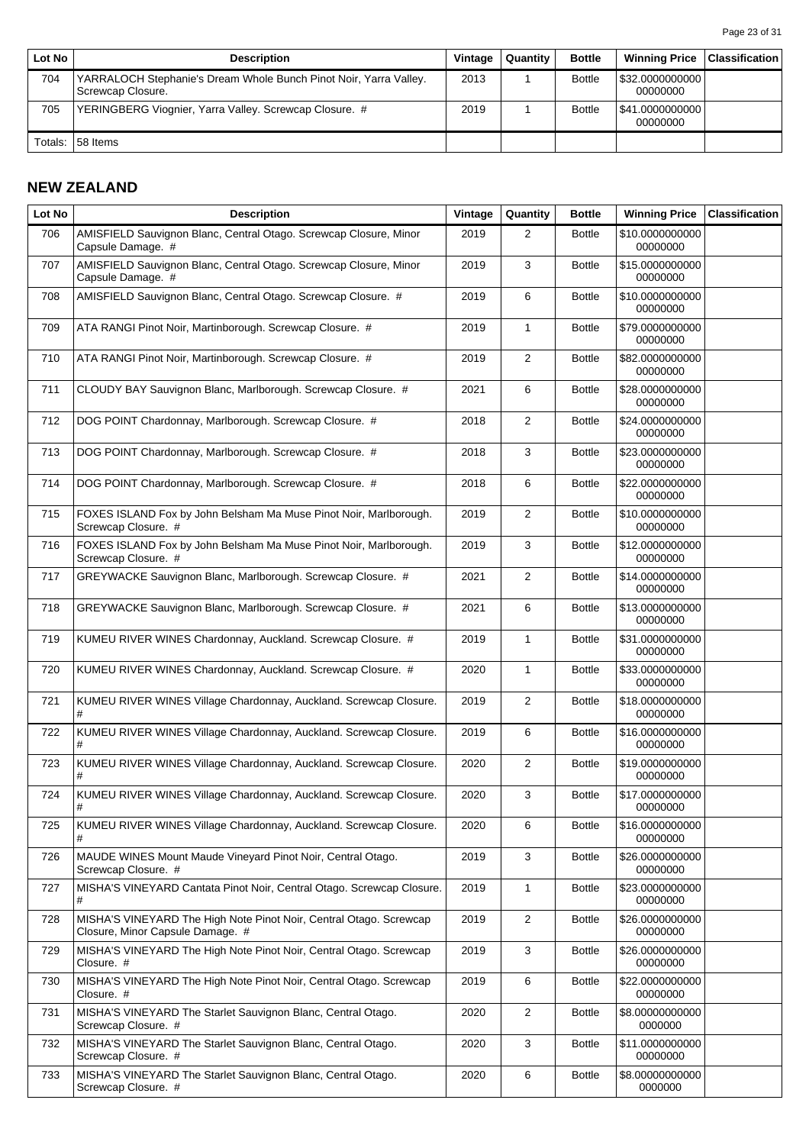| Lot No  | <b>Description</b>                                                                     | Vintage | Quantity | <b>Bottle</b> | <b>Winning Price</b>          | <b>Classification</b> |
|---------|----------------------------------------------------------------------------------------|---------|----------|---------------|-------------------------------|-----------------------|
| 704     | YARRALOCH Stephanie's Dream Whole Bunch Pinot Noir, Yarra Valley.<br>Screwcap Closure. | 2013    |          | <b>Bottle</b> | \$32.0000000000  <br>00000000 |                       |
| 705     | YERINGBERG Viognier, Yarra Valley. Screwcap Closure. #                                 | 2019    |          | <b>Bottle</b> | \$41.0000000000  <br>00000000 |                       |
| Totals: | 58 Items                                                                               |         |          |               |                               |                       |

# **NEW ZEALAND**

| Lot No | <b>Description</b>                                                                                     | Vintage | Quantity       | <b>Bottle</b> | <b>Winning Price</b>        | <b>Classification</b> |
|--------|--------------------------------------------------------------------------------------------------------|---------|----------------|---------------|-----------------------------|-----------------------|
| 706    | AMISFIELD Sauvignon Blanc, Central Otago. Screwcap Closure, Minor<br>Capsule Damage. #                 | 2019    | 2              | <b>Bottle</b> | \$10.0000000000<br>00000000 |                       |
| 707    | AMISFIELD Sauvignon Blanc, Central Otago. Screwcap Closure, Minor<br>Capsule Damage. #                 | 2019    | 3              | <b>Bottle</b> | \$15.0000000000<br>00000000 |                       |
| 708    | AMISFIELD Sauvignon Blanc, Central Otago. Screwcap Closure. #                                          | 2019    | 6              | <b>Bottle</b> | \$10.0000000000<br>00000000 |                       |
| 709    | ATA RANGI Pinot Noir, Martinborough. Screwcap Closure. #                                               | 2019    | $\mathbf{1}$   | <b>Bottle</b> | \$79.0000000000<br>00000000 |                       |
| 710    | ATA RANGI Pinot Noir, Martinborough. Screwcap Closure. #                                               | 2019    | 2              | <b>Bottle</b> | \$82.0000000000<br>00000000 |                       |
| 711    | CLOUDY BAY Sauvignon Blanc, Marlborough. Screwcap Closure. #                                           | 2021    | 6              | <b>Bottle</b> | \$28.0000000000<br>00000000 |                       |
| 712    | DOG POINT Chardonnay, Marlborough. Screwcap Closure. #                                                 | 2018    | 2              | <b>Bottle</b> | \$24.0000000000<br>00000000 |                       |
| 713    | DOG POINT Chardonnay, Marlborough. Screwcap Closure. #                                                 | 2018    | 3              | <b>Bottle</b> | \$23.0000000000<br>00000000 |                       |
| 714    | DOG POINT Chardonnay, Marlborough. Screwcap Closure. #                                                 | 2018    | 6              | <b>Bottle</b> | \$22.0000000000<br>00000000 |                       |
| 715    | FOXES ISLAND Fox by John Belsham Ma Muse Pinot Noir, Marlborough.<br>Screwcap Closure. #               | 2019    | 2              | <b>Bottle</b> | \$10.0000000000<br>00000000 |                       |
| 716    | FOXES ISLAND Fox by John Belsham Ma Muse Pinot Noir, Marlborough.<br>Screwcap Closure. #               | 2019    | 3              | <b>Bottle</b> | \$12.0000000000<br>00000000 |                       |
| 717    | GREYWACKE Sauvignon Blanc, Marlborough. Screwcap Closure. #                                            | 2021    | 2              | <b>Bottle</b> | \$14.0000000000<br>00000000 |                       |
| 718    | GREYWACKE Sauvignon Blanc, Marlborough. Screwcap Closure. #                                            | 2021    | 6              | <b>Bottle</b> | \$13.0000000000<br>00000000 |                       |
| 719    | KUMEU RIVER WINES Chardonnay, Auckland. Screwcap Closure. #                                            | 2019    | $\mathbf{1}$   | <b>Bottle</b> | \$31.0000000000<br>00000000 |                       |
| 720    | KUMEU RIVER WINES Chardonnay, Auckland. Screwcap Closure. #                                            | 2020    | $\mathbf{1}$   | <b>Bottle</b> | \$33.0000000000<br>00000000 |                       |
| 721    | KUMEU RIVER WINES Village Chardonnay, Auckland. Screwcap Closure.<br>#                                 | 2019    | 2              | <b>Bottle</b> | \$18.0000000000<br>00000000 |                       |
| 722    | KUMEU RIVER WINES Village Chardonnay, Auckland. Screwcap Closure.<br>#                                 | 2019    | 6              | <b>Bottle</b> | \$16.0000000000<br>00000000 |                       |
| 723    | KUMEU RIVER WINES Village Chardonnay, Auckland. Screwcap Closure.<br>#                                 | 2020    | 2              | <b>Bottle</b> | \$19.0000000000<br>00000000 |                       |
| 724    | KUMEU RIVER WINES Village Chardonnay, Auckland. Screwcap Closure.<br>#                                 | 2020    | 3              | <b>Bottle</b> | \$17.0000000000<br>00000000 |                       |
| 725    | KUMEU RIVER WINES Village Chardonnay, Auckland. Screwcap Closure.<br>#                                 | 2020    | 6              | <b>Bottle</b> | \$16.0000000000<br>00000000 |                       |
| 726    | MAUDE WINES Mount Maude Vineyard Pinot Noir, Central Otago.<br>Screwcap Closure. #                     | 2019    | 3              | <b>Bottle</b> | \$26.0000000000<br>00000000 |                       |
| 727    | MISHA'S VINEYARD Cantata Pinot Noir, Central Otago. Screwcap Closure.<br>#                             | 2019    | $\mathbf{1}$   | <b>Bottle</b> | \$23.0000000000<br>00000000 |                       |
| 728    | MISHA'S VINEYARD The High Note Pinot Noir, Central Otago. Screwcap<br>Closure, Minor Capsule Damage. # | 2019    | $\overline{2}$ | <b>Bottle</b> | \$26.0000000000<br>00000000 |                       |
| 729    | MISHA'S VINEYARD The High Note Pinot Noir, Central Otago. Screwcap<br>Closure. #                       | 2019    | 3              | <b>Bottle</b> | \$26.0000000000<br>00000000 |                       |
| 730    | MISHA'S VINEYARD The High Note Pinot Noir, Central Otago. Screwcap<br>Closure. #                       | 2019    | 6              | <b>Bottle</b> | \$22.0000000000<br>00000000 |                       |
| 731    | MISHA'S VINEYARD The Starlet Sauvignon Blanc, Central Otago.<br>Screwcap Closure. #                    | 2020    | $\overline{c}$ | <b>Bottle</b> | \$8.00000000000<br>0000000  |                       |
| 732    | MISHA'S VINEYARD The Starlet Sauvignon Blanc, Central Otago.<br>Screwcap Closure. #                    | 2020    | 3              | <b>Bottle</b> | \$11.0000000000<br>00000000 |                       |
| 733    | MISHA'S VINEYARD The Starlet Sauvignon Blanc, Central Otago.<br>Screwcap Closure. #                    | 2020    | 6              | <b>Bottle</b> | \$8.00000000000<br>0000000  |                       |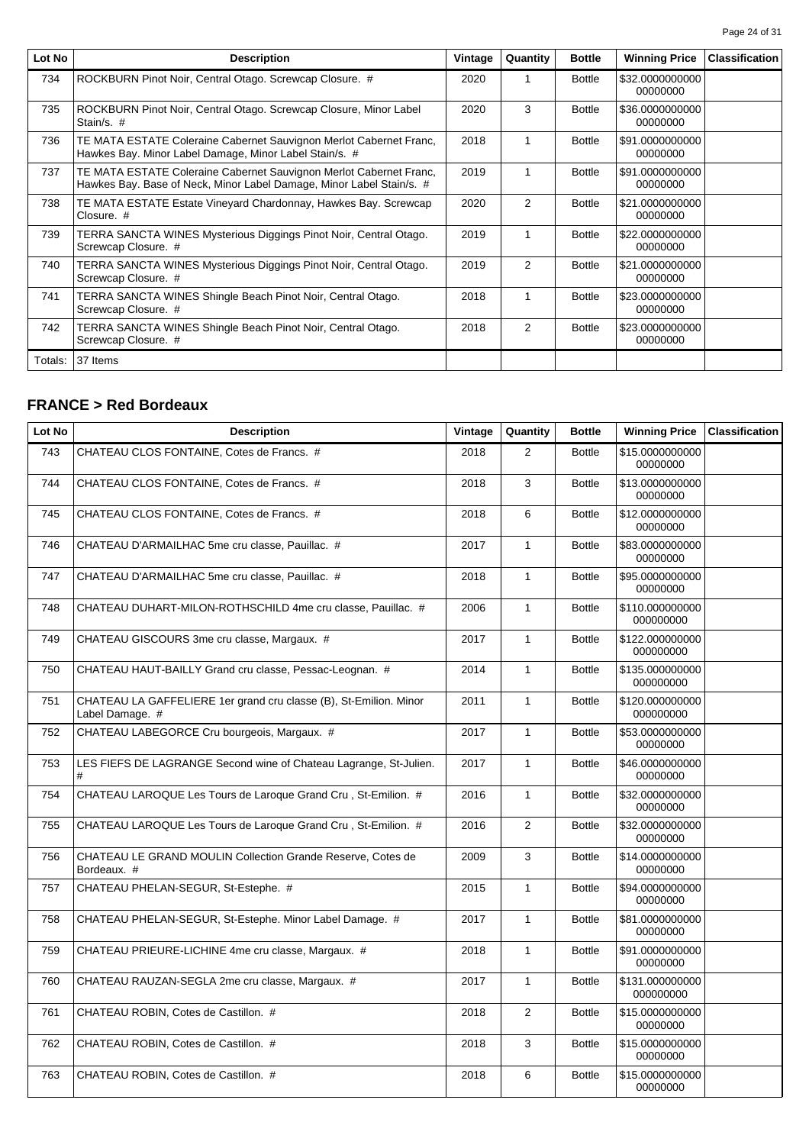| Lot No  | <b>Description</b>                                                                                                                         | Vintage | Quantity | <b>Bottle</b> | <b>Winning Price</b>        | <b>Classification</b> |
|---------|--------------------------------------------------------------------------------------------------------------------------------------------|---------|----------|---------------|-----------------------------|-----------------------|
| 734     | ROCKBURN Pinot Noir, Central Otago. Screwcap Closure. #                                                                                    | 2020    | 1        | <b>Bottle</b> | \$32.0000000000<br>00000000 |                       |
| 735     | ROCKBURN Pinot Noir, Central Otago. Screwcap Closure, Minor Label<br>Stain/s. #                                                            | 2020    | 3        | <b>Bottle</b> | \$36,0000000000<br>00000000 |                       |
| 736     | TE MATA ESTATE Coleraine Cabernet Sauvignon Merlot Cabernet Franc,<br>Hawkes Bay. Minor Label Damage, Minor Label Stain/s. #               | 2018    | 1        | <b>Bottle</b> | \$91.0000000000<br>00000000 |                       |
| 737     | TE MATA ESTATE Coleraine Cabernet Sauvignon Merlot Cabernet Franc,<br>Hawkes Bay. Base of Neck, Minor Label Damage, Minor Label Stain/s. # | 2019    | 1        | <b>Bottle</b> | \$91.0000000000<br>00000000 |                       |
| 738     | TE MATA ESTATE Estate Vineyard Chardonnay, Hawkes Bay. Screwcap<br>Closure. #                                                              | 2020    | 2        | <b>Bottle</b> | \$21.0000000000<br>00000000 |                       |
| 739     | TERRA SANCTA WINES Mysterious Diggings Pinot Noir, Central Otago.<br>Screwcap Closure. #                                                   | 2019    | 1        | <b>Bottle</b> | \$22,0000000000<br>00000000 |                       |
| 740     | TERRA SANCTA WINES Mysterious Diggings Pinot Noir, Central Otago.<br>Screwcap Closure. #                                                   | 2019    | 2        | <b>Bottle</b> | \$21.0000000000<br>00000000 |                       |
| 741     | TERRA SANCTA WINES Shingle Beach Pinot Noir, Central Otago.<br>Screwcap Closure. #                                                         | 2018    | 1        | <b>Bottle</b> | \$23.0000000000<br>00000000 |                       |
| 742     | TERRA SANCTA WINES Shingle Beach Pinot Noir, Central Otago.<br>Screwcap Closure. #                                                         | 2018    | 2        | <b>Bottle</b> | \$23.0000000000<br>00000000 |                       |
| Totals: | 37 Items                                                                                                                                   |         |          |               |                             |                       |

#### **FRANCE > Red Bordeaux**

| Lot No | <b>Description</b>                                                                   | Vintage | Quantity       | <b>Bottle</b> | <b>Winning Price</b>         | <b>Classification</b> |
|--------|--------------------------------------------------------------------------------------|---------|----------------|---------------|------------------------------|-----------------------|
| 743    | CHATEAU CLOS FONTAINE, Cotes de Francs. #                                            | 2018    | 2              | <b>Bottle</b> | \$15.0000000000<br>00000000  |                       |
| 744    | CHATEAU CLOS FONTAINE, Cotes de Francs. #                                            | 2018    | 3              | <b>Bottle</b> | \$13.0000000000<br>00000000  |                       |
| 745    | CHATEAU CLOS FONTAINE, Cotes de Francs. #                                            | 2018    | 6              | <b>Bottle</b> | \$12.0000000000<br>00000000  |                       |
| 746    | CHATEAU D'ARMAILHAC 5me cru classe, Pauillac. #                                      | 2017    | $\mathbf{1}$   | <b>Bottle</b> | \$83.0000000000<br>00000000  |                       |
| 747    | CHATEAU D'ARMAILHAC 5me cru classe, Pauillac. #                                      | 2018    | $\mathbf{1}$   | <b>Bottle</b> | \$95.0000000000<br>00000000  |                       |
| 748    | CHATEAU DUHART-MILON-ROTHSCHILD 4me cru classe, Pauillac. #                          | 2006    | $\mathbf{1}$   | <b>Bottle</b> | \$110.000000000<br>000000000 |                       |
| 749    | CHATEAU GISCOURS 3me cru classe, Margaux. #                                          | 2017    | $\mathbf{1}$   | <b>Bottle</b> | \$122.000000000<br>000000000 |                       |
| 750    | CHATEAU HAUT-BAILLY Grand cru classe, Pessac-Leognan. #                              | 2014    | $\mathbf{1}$   | <b>Bottle</b> | \$135.000000000<br>000000000 |                       |
| 751    | CHATEAU LA GAFFELIERE 1er grand cru classe (B), St-Emilion. Minor<br>Label Damage. # | 2011    | $\mathbf{1}$   | <b>Bottle</b> | \$120.000000000<br>000000000 |                       |
| 752    | CHATEAU LABEGORCE Cru bourgeois, Margaux. #                                          | 2017    | 1              | <b>Bottle</b> | \$53.0000000000<br>00000000  |                       |
| 753    | LES FIEFS DE LAGRANGE Second wine of Chateau Lagrange, St-Julien.<br>#               | 2017    | $\mathbf{1}$   | <b>Bottle</b> | \$46.0000000000<br>00000000  |                       |
| 754    | CHATEAU LAROQUE Les Tours de Laroque Grand Cru, St-Emilion. #                        | 2016    | $\mathbf{1}$   | <b>Bottle</b> | \$32.0000000000<br>00000000  |                       |
| 755    | CHATEAU LAROQUE Les Tours de Laroque Grand Cru, St-Emilion. #                        | 2016    | $\overline{2}$ | <b>Bottle</b> | \$32.0000000000<br>00000000  |                       |
| 756    | CHATEAU LE GRAND MOULIN Collection Grande Reserve, Cotes de<br>Bordeaux. #           | 2009    | 3              | <b>Bottle</b> | \$14.0000000000<br>00000000  |                       |
| 757    | CHATEAU PHELAN-SEGUR, St-Estephe. #                                                  | 2015    | $\mathbf{1}$   | <b>Bottle</b> | \$94.0000000000<br>00000000  |                       |
| 758    | CHATEAU PHELAN-SEGUR, St-Estephe. Minor Label Damage. #                              | 2017    | $\mathbf{1}$   | <b>Bottle</b> | \$81.0000000000<br>00000000  |                       |
| 759    | CHATEAU PRIEURE-LICHINE 4me cru classe, Margaux. #                                   | 2018    | $\mathbf{1}$   | <b>Bottle</b> | \$91.0000000000<br>00000000  |                       |
| 760    | CHATEAU RAUZAN-SEGLA 2me cru classe, Margaux. #                                      | 2017    | $\mathbf{1}$   | <b>Bottle</b> | \$131.000000000<br>000000000 |                       |
| 761    | CHATEAU ROBIN, Cotes de Castillon. #                                                 | 2018    | 2              | <b>Bottle</b> | \$15.0000000000<br>00000000  |                       |
| 762    | CHATEAU ROBIN, Cotes de Castillon. #                                                 | 2018    | 3              | <b>Bottle</b> | \$15.0000000000<br>00000000  |                       |
| 763    | CHATEAU ROBIN, Cotes de Castillon. #                                                 | 2018    | 6              | <b>Bottle</b> | \$15.0000000000<br>00000000  |                       |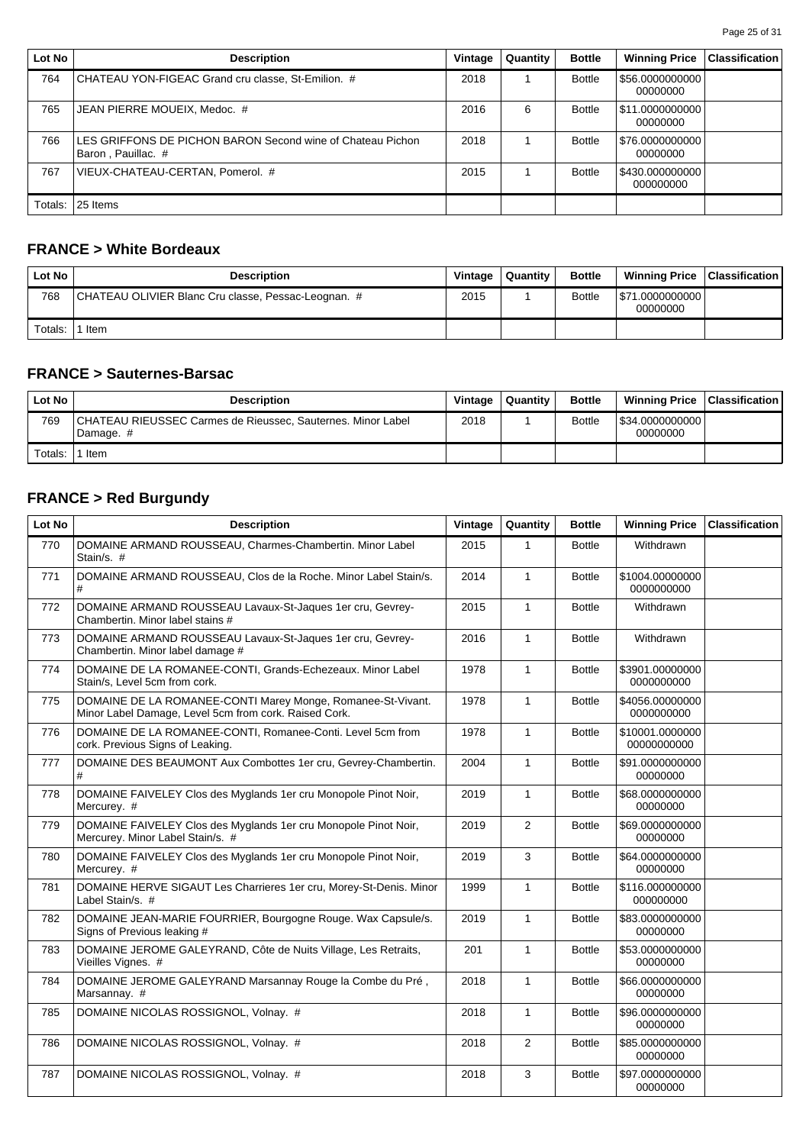| Lot No  | <b>Description</b>                                                               | Vintage | Quantity | <b>Bottle</b> | <b>Winning Price</b>           | <b>Classification</b> |
|---------|----------------------------------------------------------------------------------|---------|----------|---------------|--------------------------------|-----------------------|
| 764     | CHATEAU YON-FIGEAC Grand cru classe, St-Emilion. #                               | 2018    |          | <b>Bottle</b> | \$56.0000000000<br>00000000    |                       |
| 765     | JEAN PIERRE MOUEIX, Medoc. #                                                     | 2016    | 6        | <b>Bottle</b> | \$11.0000000000 <br>00000000   |                       |
| 766     | LES GRIFFONS DE PICHON BARON Second wine of Chateau Pichon<br>Baron, Pauillac. # | 2018    |          | <b>Bottle</b> | \$76.0000000000  <br>00000000  |                       |
| 767     | VIEUX-CHATEAU-CERTAN, Pomerol. #                                                 | 2015    |          | <b>Bottle</b> | \$430.000000000  <br>000000000 |                       |
| Totals: | 25 Items                                                                         |         |          |               |                                |                       |

# **FRANCE > White Bordeaux**

| Lot No  | <b>Description</b>                                  | Vintage | Quantity | <b>Bottle</b> | Winning Price   Classification |  |
|---------|-----------------------------------------------------|---------|----------|---------------|--------------------------------|--|
| 768     | CHATEAU OLIVIER Blanc Cru classe, Pessac-Leognan. # | 2015    |          | <b>Bottle</b> | \$71.0000000000  <br>00000000  |  |
| Totals: | ' Item                                              |         |          |               |                                |  |

## **FRANCE > Sauternes-Barsac**

| Lot No  | <b>Description</b>                                                       | Vintage | Quantity | <b>Bottle</b> | <b>Winning Price</b>          | $ $ Classification $ $ |
|---------|--------------------------------------------------------------------------|---------|----------|---------------|-------------------------------|------------------------|
| 769     | CHATEAU RIEUSSEC Carmes de Rieussec, Sauternes. Minor Label<br>Damage. # | 2018    |          | <b>Bottle</b> | \$34.0000000000  <br>00000000 |                        |
| Totals: | Item                                                                     |         |          |               |                               |                        |

# **FRANCE > Red Burgundy**

| Lot No | <b>Description</b>                                                                                                   | Vintage | Quantity       | <b>Bottle</b> | <b>Winning Price</b>           | <b>Classification</b> |
|--------|----------------------------------------------------------------------------------------------------------------------|---------|----------------|---------------|--------------------------------|-----------------------|
| 770    | DOMAINE ARMAND ROUSSEAU, Charmes-Chambertin. Minor Label<br>Stain/s. #                                               | 2015    | $\mathbf{1}$   | <b>Bottle</b> | Withdrawn                      |                       |
| 771    | DOMAINE ARMAND ROUSSEAU, Clos de la Roche. Minor Label Stain/s.                                                      | 2014    | $\mathbf{1}$   | <b>Bottle</b> | \$1004.00000000<br>0000000000  |                       |
| 772    | DOMAINE ARMAND ROUSSEAU Lavaux-St-Jaques 1er cru, Gevrey-<br>Chambertin. Minor label stains #                        | 2015    | $\mathbf{1}$   | <b>Bottle</b> | Withdrawn                      |                       |
| 773    | DOMAINE ARMAND ROUSSEAU Lavaux-St-Jaques 1er cru, Gevrey-<br>Chambertin. Minor label damage #                        | 2016    | $\mathbf{1}$   | <b>Bottle</b> | Withdrawn                      |                       |
| 774    | DOMAINE DE LA ROMANEE-CONTI, Grands-Echezeaux. Minor Label<br>Stain/s, Level 5cm from cork.                          | 1978    | $\mathbf{1}$   | <b>Bottle</b> | \$3901.00000000<br>0000000000  |                       |
| 775    | DOMAINE DE LA ROMANEE-CONTI Marey Monge, Romanee-St-Vivant.<br>Minor Label Damage, Level 5cm from cork. Raised Cork. | 1978    | $\mathbf{1}$   | <b>Bottle</b> | \$4056.00000000<br>0000000000  |                       |
| 776    | DOMAINE DE LA ROMANEE-CONTI, Romanee-Conti. Level 5cm from<br>cork. Previous Signs of Leaking.                       | 1978    | $\mathbf{1}$   | <b>Bottle</b> | \$10001.0000000<br>00000000000 |                       |
| 777    | DOMAINE DES BEAUMONT Aux Combottes 1er cru, Gevrey-Chambertin.<br>#                                                  | 2004    | $\mathbf{1}$   | <b>Bottle</b> | \$91.0000000000<br>00000000    |                       |
| 778    | DOMAINE FAIVELEY Clos des Myglands 1er cru Monopole Pinot Noir,<br>Mercurey. #                                       | 2019    | $\mathbf{1}$   | <b>Bottle</b> | \$68.0000000000<br>00000000    |                       |
| 779    | DOMAINE FAIVELEY Clos des Myglands 1er cru Monopole Pinot Noir,<br>Mercurey. Minor Label Stain/s. #                  | 2019    | $\overline{2}$ | <b>Bottle</b> | \$69.0000000000<br>00000000    |                       |
| 780    | DOMAINE FAIVELEY Clos des Myglands 1er cru Monopole Pinot Noir,<br>Mercurey. #                                       | 2019    | 3              | <b>Bottle</b> | \$64.0000000000<br>00000000    |                       |
| 781    | DOMAINE HERVE SIGAUT Les Charrieres 1er cru, Morey-St-Denis. Minor<br>Label Stain/s. #                               | 1999    | $\mathbf{1}$   | <b>Bottle</b> | \$116.000000000<br>000000000   |                       |
| 782    | DOMAINE JEAN-MARIE FOURRIER, Bourgogne Rouge. Wax Capsule/s.<br>Signs of Previous leaking #                          | 2019    | $\mathbf{1}$   | <b>Bottle</b> | \$83.0000000000<br>00000000    |                       |
| 783    | DOMAINE JEROME GALEYRAND, Côte de Nuits Village, Les Retraits,<br>Vieilles Vignes. #                                 | 201     | $\mathbf{1}$   | <b>Bottle</b> | \$53.0000000000<br>00000000    |                       |
| 784    | DOMAINE JEROME GALEYRAND Marsannay Rouge la Combe du Pré,<br>Marsannay. #                                            | 2018    | $\mathbf{1}$   | <b>Bottle</b> | \$66.0000000000<br>00000000    |                       |
| 785    | DOMAINE NICOLAS ROSSIGNOL, Volnay. #                                                                                 | 2018    | $\mathbf{1}$   | <b>Bottle</b> | \$96.0000000000<br>00000000    |                       |
| 786    | DOMAINE NICOLAS ROSSIGNOL, Volnay. #                                                                                 | 2018    | 2              | <b>Bottle</b> | \$85.0000000000<br>00000000    |                       |
| 787    | DOMAINE NICOLAS ROSSIGNOL, Volnay. #                                                                                 | 2018    | 3              | <b>Bottle</b> | \$97.0000000000<br>00000000    |                       |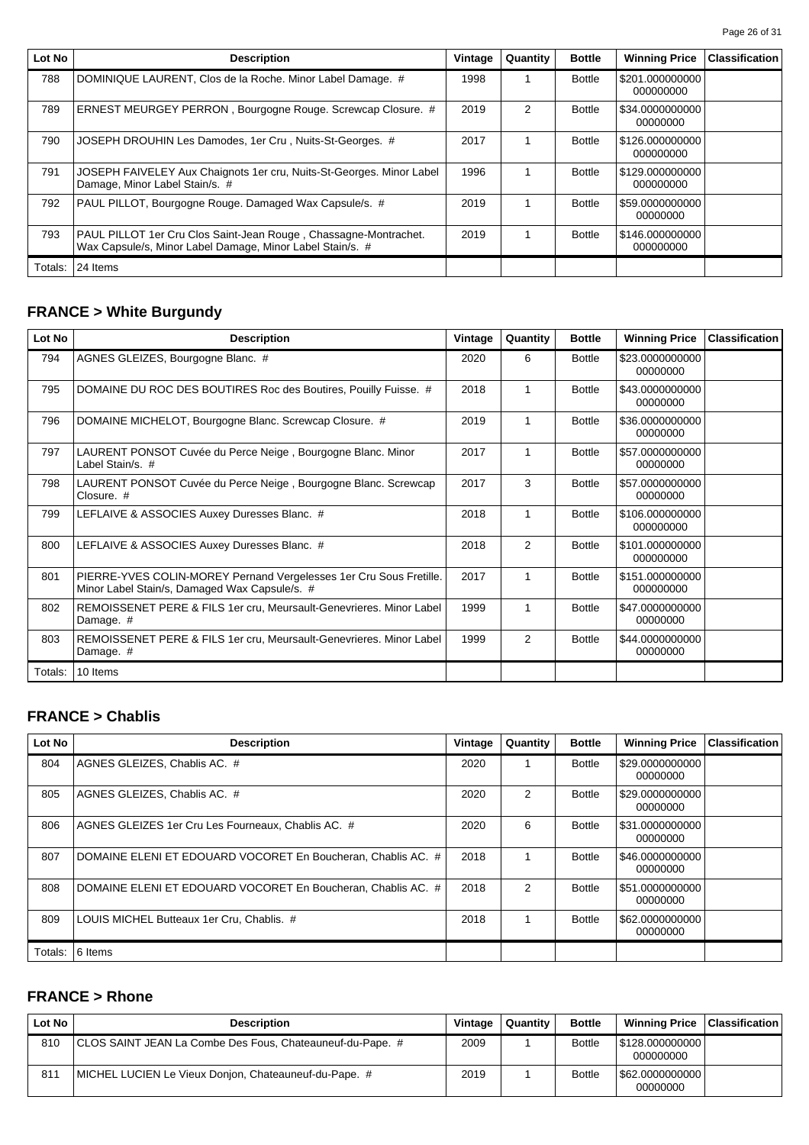| Lot No  | <b>Description</b>                                                                                                            | Vintage | Quantity | <b>Bottle</b> | <b>Winning Price</b>         | <b>Classification</b> |
|---------|-------------------------------------------------------------------------------------------------------------------------------|---------|----------|---------------|------------------------------|-----------------------|
| 788     | DOMINIQUE LAURENT, Clos de la Roche. Minor Label Damage. #                                                                    | 1998    | 1        | <b>Bottle</b> | \$201.000000000<br>000000000 |                       |
| 789     | ERNEST MEURGEY PERRON, Bourgogne Rouge. Screwcap Closure. #                                                                   | 2019    | 2        | <b>Bottle</b> | \$34.0000000000<br>00000000  |                       |
| 790     | JOSEPH DROUHIN Les Damodes, 1er Cru, Nuits-St-Georges. #                                                                      | 2017    |          | <b>Bottle</b> | \$126.000000000<br>000000000 |                       |
| 791     | JOSEPH FAIVELEY Aux Chaignots 1er cru, Nuits-St-Georges. Minor Label<br>Damage, Minor Label Stain/s. #                        | 1996    | 1        | <b>Bottle</b> | \$129.000000000<br>000000000 |                       |
| 792     | PAUL PILLOT, Bourgogne Rouge. Damaged Wax Capsule/s. #                                                                        | 2019    | 1        | <b>Bottle</b> | \$59.0000000000<br>00000000  |                       |
| 793     | PAUL PILLOT 1er Cru Clos Saint-Jean Rouge, Chassagne-Montrachet.<br>Wax Capsule/s, Minor Label Damage, Minor Label Stain/s. # | 2019    | 1        | <b>Bottle</b> | \$146.000000000<br>000000000 |                       |
| Totals: | 24 Items                                                                                                                      |         |          |               |                              |                       |

# **FRANCE > White Burgundy**

| Lot No  | <b>Description</b>                                                                                                  | Vintage | Quantity       | <b>Bottle</b> | <b>Winning Price</b>         | <b>Classification</b> |
|---------|---------------------------------------------------------------------------------------------------------------------|---------|----------------|---------------|------------------------------|-----------------------|
| 794     | AGNES GLEIZES, Bourgogne Blanc. #                                                                                   | 2020    | 6              | <b>Bottle</b> | \$23.0000000000<br>00000000  |                       |
| 795     | DOMAINE DU ROC DES BOUTIRES Roc des Boutires, Pouilly Fuisse. #                                                     | 2018    | 1              | <b>Bottle</b> | \$43,0000000000<br>00000000  |                       |
| 796     | DOMAINE MICHELOT, Bourgogne Blanc. Screwcap Closure. #                                                              | 2019    | 1              | <b>Bottle</b> | \$36.0000000000<br>00000000  |                       |
| 797     | LAURENT PONSOT Cuvée du Perce Neige, Bourgogne Blanc. Minor<br>Label Stain/s. #                                     | 2017    | 1              | <b>Bottle</b> | \$57.0000000000<br>00000000  |                       |
| 798     | LAURENT PONSOT Cuvée du Perce Neige, Bourgogne Blanc. Screwcap<br>Closure. #                                        | 2017    | 3              | <b>Bottle</b> | \$57.0000000000<br>00000000  |                       |
| 799     | LEFLAIVE & ASSOCIES Auxey Duresses Blanc. #                                                                         | 2018    | 1              | <b>Bottle</b> | \$106.000000000<br>000000000 |                       |
| 800     | LEFLAIVE & ASSOCIES Auxey Duresses Blanc. #                                                                         | 2018    | $\overline{2}$ | <b>Bottle</b> | \$101.000000000<br>000000000 |                       |
| 801     | PIERRE-YVES COLIN-MOREY Pernand Vergelesses 1er Cru Sous Fretille.<br>Minor Label Stain/s, Damaged Wax Capsule/s. # | 2017    | 1              | <b>Bottle</b> | \$151.000000000<br>000000000 |                       |
| 802     | REMOISSENET PERE & FILS 1er cru, Meursault-Genevrieres. Minor Label<br>Damage. #                                    | 1999    | 1              | <b>Bottle</b> | \$47.0000000000<br>00000000  |                       |
| 803     | REMOISSENET PERE & FILS 1er cru, Meursault-Genevrieres. Minor Label<br>Damage. #                                    | 1999    | 2              | <b>Bottle</b> | \$44.0000000000<br>00000000  |                       |
| Totals: | 10 Items                                                                                                            |         |                |               |                              |                       |

# **FRANCE > Chablis**

| Lot No  | <b>Description</b>                                           | Vintage | Quantity | <b>Bottle</b> | <b>Winning Price</b>          | <b>Classification</b> |
|---------|--------------------------------------------------------------|---------|----------|---------------|-------------------------------|-----------------------|
| 804     | AGNES GLEIZES, Chablis AC. #                                 | 2020    |          | <b>Bottle</b> | \$29.0000000000<br>00000000   |                       |
| 805     | AGNES GLEIZES, Chablis AC. #                                 | 2020    | 2        | <b>Bottle</b> | \$29.0000000000<br>00000000   |                       |
| 806     | AGNES GLEIZES 1er Cru Les Fourneaux, Chablis AC. #           | 2020    | 6        | <b>Bottle</b> | \$31.0000000000<br>00000000   |                       |
| 807     | DOMAINE ELENI ET EDOUARD VOCORET En Boucheran, Chablis AC, # | 2018    |          | <b>Bottle</b> | \$46.0000000000<br>00000000   |                       |
| 808     | DOMAINE ELENI ET EDOUARD VOCORET En Boucheran, Chablis AC. # | 2018    | 2        | <b>Bottle</b> | \$51.0000000000  <br>00000000 |                       |
| 809     | LOUIS MICHEL Butteaux 1er Cru, Chablis. #                    | 2018    |          | <b>Bottle</b> | \$62.0000000000  <br>00000000 |                       |
| Totals: | 6 Items                                                      |         |          |               |                               |                       |

## **FRANCE > Rhone**

| Lot No | <b>Description</b>                                        | Vintage | Quantity | <b>Bottle</b> | <b>Winning Price</b>           | Classification |
|--------|-----------------------------------------------------------|---------|----------|---------------|--------------------------------|----------------|
| 810    | CLOS SAINT JEAN La Combe Des Fous, Chateauneuf-du-Pape. # | 2009    |          | <b>Bottle</b> | \$128.000000000  <br>000000000 |                |
| 811    | MICHEL LUCIEN Le Vieux Donjon, Chateauneuf-du-Pape. #     | 2019    |          | <b>Bottle</b> | \$62.0000000000  <br>00000000  |                |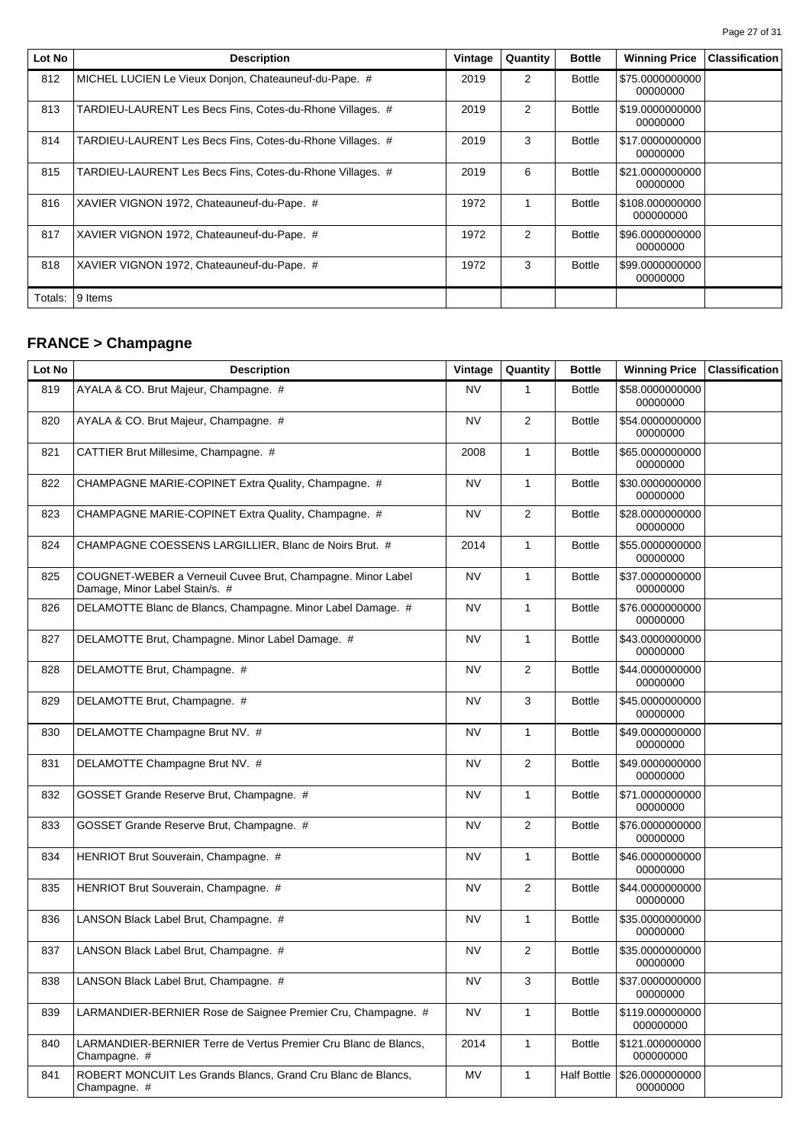| Lot No  | <b>Description</b>                                        | Vintage | Quantity       | <b>Bottle</b> | <b>Winning Price</b>         | <b>Classification</b> |
|---------|-----------------------------------------------------------|---------|----------------|---------------|------------------------------|-----------------------|
| 812     | MICHEL LUCIEN Le Vieux Donjon, Chateauneuf-du-Pape. #     | 2019    | 2              | <b>Bottle</b> | \$75.0000000000<br>00000000  |                       |
| 813     | TARDIEU-LAURENT Les Becs Fins, Cotes-du-Rhone Villages. # | 2019    | $\overline{2}$ | <b>Bottle</b> | \$19.0000000000<br>00000000  |                       |
| 814     | TARDIEU-LAURENT Les Becs Fins, Cotes-du-Rhone Villages. # | 2019    | 3              | <b>Bottle</b> | \$17.0000000000<br>00000000  |                       |
| 815     | TARDIEU-LAURENT Les Becs Fins, Cotes-du-Rhone Villages. # | 2019    | 6              | <b>Bottle</b> | \$21.0000000000<br>00000000  |                       |
| 816     | XAVIER VIGNON 1972, Chateauneuf-du-Pape. #                | 1972    | 1              | <b>Bottle</b> | \$108.000000000<br>000000000 |                       |
| 817     | XAVIER VIGNON 1972, Chateauneuf-du-Pape. #                | 1972    | 2              | <b>Bottle</b> | \$96.0000000000<br>00000000  |                       |
| 818     | XAVIER VIGNON 1972, Chateauneuf-du-Pape. #                | 1972    | 3              | <b>Bottle</b> | \$99.0000000000<br>00000000  |                       |
| Totals: | 9 Items                                                   |         |                |               |                              |                       |

# **FRANCE > Champagne**

| Lot No | <b>Description</b>                                                                            | Vintage   | Quantity       | <b>Bottle</b>      | <b>Winning Price</b>         | <b>Classification</b> |
|--------|-----------------------------------------------------------------------------------------------|-----------|----------------|--------------------|------------------------------|-----------------------|
| 819    | AYALA & CO. Brut Majeur, Champagne. #                                                         | <b>NV</b> | 1              | <b>Bottle</b>      | \$58.0000000000<br>00000000  |                       |
| 820    | AYALA & CO. Brut Majeur, Champagne. #                                                         | <b>NV</b> | 2              | <b>Bottle</b>      | \$54.0000000000<br>00000000  |                       |
| 821    | CATTIER Brut Millesime, Champagne. #                                                          | 2008      | $\mathbf{1}$   | <b>Bottle</b>      | \$65.0000000000<br>00000000  |                       |
| 822    | CHAMPAGNE MARIE-COPINET Extra Quality, Champagne. #                                           | <b>NV</b> | $\mathbf{1}$   | <b>Bottle</b>      | \$30.0000000000<br>00000000  |                       |
| 823    | CHAMPAGNE MARIE-COPINET Extra Quality, Champagne. #                                           | NV        | $\overline{2}$ | <b>Bottle</b>      | \$28.0000000000<br>00000000  |                       |
| 824    | CHAMPAGNE COESSENS LARGILLIER, Blanc de Noirs Brut. #                                         | 2014      | $\mathbf{1}$   | <b>Bottle</b>      | \$55.0000000000<br>00000000  |                       |
| 825    | COUGNET-WEBER a Verneuil Cuvee Brut, Champagne. Minor Label<br>Damage, Minor Label Stain/s. # | <b>NV</b> | $\mathbf{1}$   | <b>Bottle</b>      | \$37.0000000000<br>00000000  |                       |
| 826    | DELAMOTTE Blanc de Blancs, Champagne. Minor Label Damage. #                                   | <b>NV</b> | $\mathbf{1}$   | <b>Bottle</b>      | \$76.0000000000<br>00000000  |                       |
| 827    | DELAMOTTE Brut, Champagne. Minor Label Damage. #                                              | <b>NV</b> | $\mathbf{1}$   | <b>Bottle</b>      | \$43.0000000000<br>00000000  |                       |
| 828    | DELAMOTTE Brut, Champagne. #                                                                  | NV        | 2              | <b>Bottle</b>      | \$44.0000000000<br>00000000  |                       |
| 829    | DELAMOTTE Brut, Champagne. #                                                                  | <b>NV</b> | 3              | <b>Bottle</b>      | \$45.0000000000<br>00000000  |                       |
| 830    | DELAMOTTE Champagne Brut NV. #                                                                | <b>NV</b> | $\mathbf{1}$   | <b>Bottle</b>      | \$49.0000000000<br>00000000  |                       |
| 831    | DELAMOTTE Champagne Brut NV. #                                                                | <b>NV</b> | 2              | <b>Bottle</b>      | \$49.0000000000<br>00000000  |                       |
| 832    | GOSSET Grande Reserve Brut, Champagne. #                                                      | <b>NV</b> | $\mathbf{1}$   | <b>Bottle</b>      | \$71.0000000000<br>00000000  |                       |
| 833    | GOSSET Grande Reserve Brut, Champagne. #                                                      | <b>NV</b> | $\overline{2}$ | <b>Bottle</b>      | \$76.0000000000<br>00000000  |                       |
| 834    | HENRIOT Brut Souverain, Champagne. #                                                          | NV        | 1              | <b>Bottle</b>      | \$46.0000000000<br>00000000  |                       |
| 835    | HENRIOT Brut Souverain, Champagne. #                                                          | <b>NV</b> | 2              | <b>Bottle</b>      | \$44.0000000000<br>00000000  |                       |
| 836    | LANSON Black Label Brut, Champagne. #                                                         | <b>NV</b> | $\mathbf{1}$   | <b>Bottle</b>      | \$35.0000000000<br>00000000  |                       |
| 837    | LANSON Black Label Brut, Champagne. #                                                         | NV        | $\overline{2}$ | <b>Bottle</b>      | \$35.0000000000<br>00000000  |                       |
| 838    | LANSON Black Label Brut, Champagne. #                                                         | <b>NV</b> | 3              | <b>Bottle</b>      | \$37.0000000000<br>00000000  |                       |
| 839    | LARMANDIER-BERNIER Rose de Saignee Premier Cru, Champagne. #                                  | <b>NV</b> | 1              | <b>Bottle</b>      | \$119.000000000<br>000000000 |                       |
| 840    | LARMANDIER-BERNIER Terre de Vertus Premier Cru Blanc de Blancs,<br>Champagne. #               | 2014      | $\mathbf{1}$   | <b>Bottle</b>      | \$121.000000000<br>000000000 |                       |
| 841    | ROBERT MONCUIT Les Grands Blancs, Grand Cru Blanc de Blancs,<br>Champagne. #                  | MV        | $\mathbf{1}$   | <b>Half Bottle</b> | \$26.0000000000<br>00000000  |                       |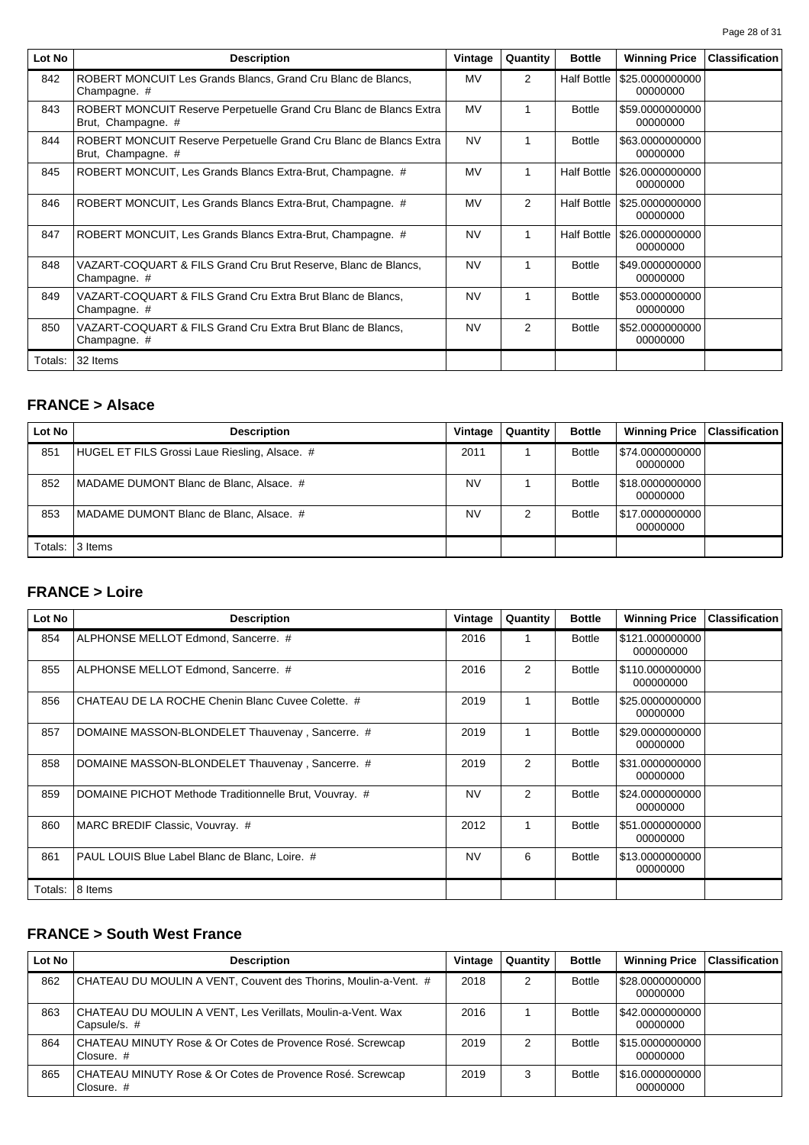| Lot No  | <b>Description</b>                                                                       | Vintage   | Quantity       | <b>Bottle</b>      | <b>Winning Price</b>        | <b>Classification</b> |
|---------|------------------------------------------------------------------------------------------|-----------|----------------|--------------------|-----------------------------|-----------------------|
| 842     | ROBERT MONCUIT Les Grands Blancs, Grand Cru Blanc de Blancs,<br>Champagne. #             | MV        | $\overline{2}$ | <b>Half Bottle</b> | \$25.0000000000<br>00000000 |                       |
| 843     | ROBERT MONCUIT Reserve Perpetuelle Grand Cru Blanc de Blancs Extra<br>Brut, Champagne. # | <b>MV</b> | 1              | <b>Bottle</b>      | \$59,0000000000<br>00000000 |                       |
| 844     | ROBERT MONCUIT Reserve Perpetuelle Grand Cru Blanc de Blancs Extra<br>Brut, Champagne. # | <b>NV</b> | 1              | <b>Bottle</b>      | \$63.0000000000<br>00000000 |                       |
| 845     | ROBERT MONCUIT, Les Grands Blancs Extra-Brut, Champagne. #                               | MV        |                | <b>Half Bottle</b> | \$26.0000000000<br>00000000 |                       |
| 846     | ROBERT MONCUIT, Les Grands Blancs Extra-Brut, Champagne. #                               | <b>MV</b> | $\overline{2}$ | <b>Half Bottle</b> | \$25.0000000000<br>00000000 |                       |
| 847     | ROBERT MONCUIT, Les Grands Blancs Extra-Brut, Champagne. #                               | <b>NV</b> | 1              | <b>Half Bottle</b> | \$26.0000000000<br>00000000 |                       |
| 848     | VAZART-COQUART & FILS Grand Cru Brut Reserve, Blanc de Blancs,<br>Champagne. #           | <b>NV</b> | 1              | <b>Bottle</b>      | \$49,0000000000<br>00000000 |                       |
| 849     | VAZART-COQUART & FILS Grand Cru Extra Brut Blanc de Blancs.<br>Champagne. #              | <b>NV</b> |                | <b>Bottle</b>      | \$53.0000000000<br>00000000 |                       |
| 850     | VAZART-COQUART & FILS Grand Cru Extra Brut Blanc de Blancs.<br>Champagne. #              | <b>NV</b> | $\overline{2}$ | <b>Bottle</b>      | \$52,0000000000<br>00000000 |                       |
| Totals: | 32 Items                                                                                 |           |                |                    |                             |                       |

## **FRANCE > Alsace**

| Lot No  | <b>Description</b>                            | Vintage   | Quantity | <b>Bottle</b> | <b>Winning Price   Classification  </b> |  |
|---------|-----------------------------------------------|-----------|----------|---------------|-----------------------------------------|--|
| 851     | HUGEL ET FILS Grossi Laue Riesling, Alsace. # | 2011      |          | <b>Bottle</b> | \$74.0000000000  <br>00000000           |  |
| 852     | MADAME DUMONT Blanc de Blanc, Alsace. #       | NV        |          | <b>Bottle</b> | \$18.0000000000  <br>00000000           |  |
| 853     | MADAME DUMONT Blanc de Blanc, Alsace. #       | <b>NV</b> |          | <b>Bottle</b> | \$17.0000000000  <br>00000000           |  |
| Totals: | 3 Items                                       |           |          |               |                                         |  |

### **FRANCE > Loire**

| Lot No  | <b>Description</b>                                     | Vintage   | Quantity       | <b>Bottle</b> | <b>Winning Price</b>         | <b>Classification</b> |
|---------|--------------------------------------------------------|-----------|----------------|---------------|------------------------------|-----------------------|
| 854     | ALPHONSE MELLOT Edmond, Sancerre. #                    | 2016      | 1              | <b>Bottle</b> | \$121.000000000<br>000000000 |                       |
| 855     | ALPHONSE MELLOT Edmond, Sancerre. #                    | 2016      | $\overline{2}$ | <b>Bottle</b> | \$110.000000000<br>000000000 |                       |
| 856     | CHATEAU DE LA ROCHE Chenin Blanc Cuvee Colette. #      | 2019      | 1              | <b>Bottle</b> | \$25,0000000000<br>00000000  |                       |
| 857     | DOMAINE MASSON-BLONDELET Thauvenay, Sancerre. #        | 2019      | 1              | <b>Bottle</b> | \$29.0000000000<br>00000000  |                       |
| 858     | DOMAINE MASSON-BLONDELET Thauvenay, Sancerre. #        | 2019      | $\overline{2}$ | <b>Bottle</b> | \$31.0000000000<br>00000000  |                       |
| 859     | DOMAINE PICHOT Methode Traditionnelle Brut, Vouvray. # | <b>NV</b> | $\overline{2}$ | <b>Bottle</b> | \$24.0000000000<br>00000000  |                       |
| 860     | MARC BREDIF Classic, Vouvray. #                        | 2012      | 1              | <b>Bottle</b> | \$51,0000000000<br>00000000  |                       |
| 861     | PAUL LOUIS Blue Label Blanc de Blanc, Loire. #         | <b>NV</b> | 6              | <b>Bottle</b> | \$13,0000000000<br>00000000  |                       |
| Totals: | 8 Items                                                |           |                |               |                              |                       |

# **FRANCE > South West France**

| Lot No | <b>Description</b>                                                          | Vintage | Quantity | <b>Bottle</b> | <b>Winning Price</b>          | <b>Classification</b> |
|--------|-----------------------------------------------------------------------------|---------|----------|---------------|-------------------------------|-----------------------|
| 862    | CHATEAU DU MOULIN A VENT, Couvent des Thorins, Moulin-a-Vent. #             | 2018    | 2        | <b>Bottle</b> | \$28.0000000000<br>00000000   |                       |
| 863    | CHATEAU DU MOULIN A VENT, Les Verillats, Moulin-a-Vent. Wax<br>Capsule/s. # | 2016    |          | <b>Bottle</b> | \$42,0000000000<br>00000000   |                       |
| 864    | CHATEAU MINUTY Rose & Or Cotes de Provence Rosé. Screwcap<br>Closure. $#$   | 2019    | 2        | <b>Bottle</b> | \$15.0000000000  <br>00000000 |                       |
| 865    | CHATEAU MINUTY Rose & Or Cotes de Provence Rosé. Screwcap<br>Closure. $#$   | 2019    |          | <b>Bottle</b> | \$16.0000000000<br>00000000   |                       |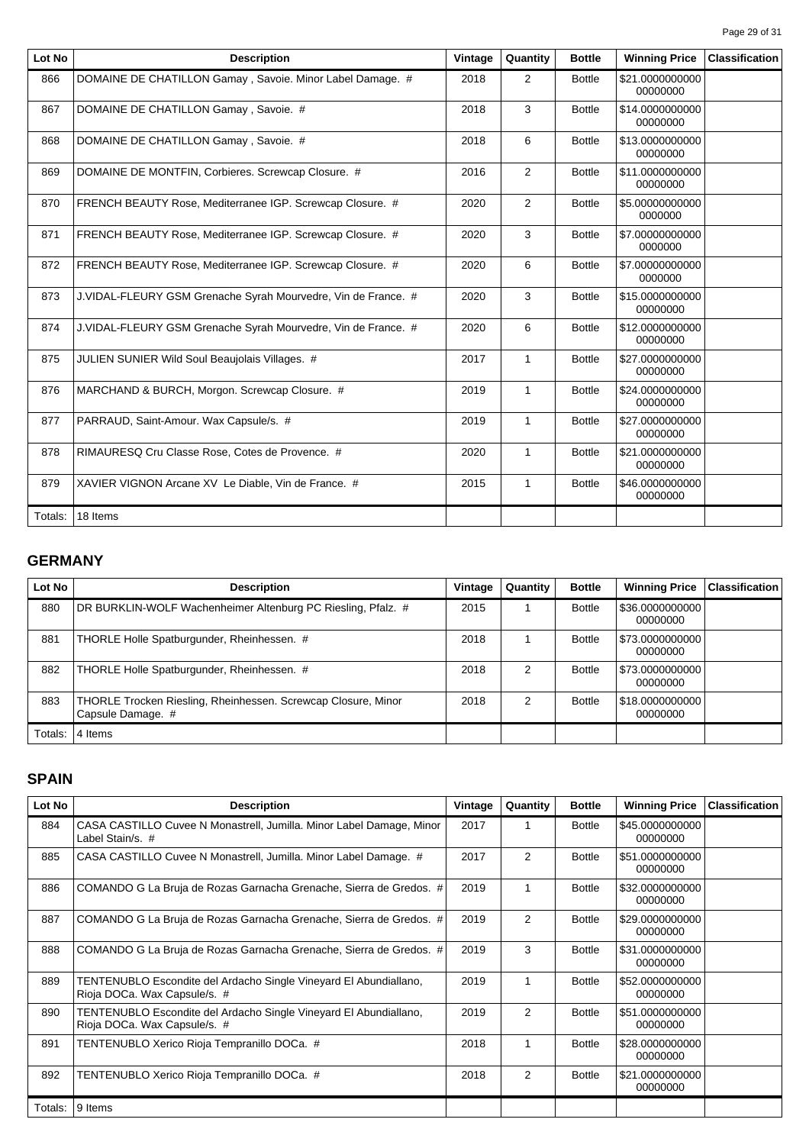| Lot No  | <b>Description</b>                                            | Vintage | Quantity       | <b>Bottle</b> | <b>Winning Price</b>        | <b>Classification</b> |
|---------|---------------------------------------------------------------|---------|----------------|---------------|-----------------------------|-----------------------|
| 866     | DOMAINE DE CHATILLON Gamay, Savoie. Minor Label Damage. #     | 2018    | 2              | <b>Bottle</b> | \$21.0000000000<br>00000000 |                       |
| 867     | DOMAINE DE CHATILLON Gamay, Savoie. #                         | 2018    | 3              | <b>Bottle</b> | \$14.0000000000<br>00000000 |                       |
| 868     | DOMAINE DE CHATILLON Gamay, Savoie. #                         | 2018    | 6              | <b>Bottle</b> | \$13.0000000000<br>00000000 |                       |
| 869     | DOMAINE DE MONTFIN, Corbieres. Screwcap Closure. #            | 2016    | 2              | <b>Bottle</b> | \$11.0000000000<br>00000000 |                       |
| 870     | FRENCH BEAUTY Rose, Mediterranee IGP. Screwcap Closure. #     | 2020    | 2              | <b>Bottle</b> | \$5.00000000000<br>0000000  |                       |
| 871     | FRENCH BEAUTY Rose, Mediterranee IGP. Screwcap Closure. #     | 2020    | 3              | <b>Bottle</b> | \$7.00000000000<br>0000000  |                       |
| 872     | FRENCH BEAUTY Rose, Mediterranee IGP. Screwcap Closure. #     | 2020    | 6              | <b>Bottle</b> | \$7.00000000000<br>0000000  |                       |
| 873     | J.VIDAL-FLEURY GSM Grenache Syrah Mourvedre, Vin de France. # | 2020    | 3              | <b>Bottle</b> | \$15.0000000000<br>00000000 |                       |
| 874     | J.VIDAL-FLEURY GSM Grenache Syrah Mourvedre, Vin de France. # | 2020    | 6              | <b>Bottle</b> | \$12.0000000000<br>00000000 |                       |
| 875     | JULIEN SUNIER Wild Soul Beaujolais Villages. #                | 2017    | $\mathbf{1}$   | <b>Bottle</b> | \$27.0000000000<br>00000000 |                       |
| 876     | MARCHAND & BURCH, Morgon. Screwcap Closure. #                 | 2019    | $\mathbf{1}$   | <b>Bottle</b> | \$24.0000000000<br>00000000 |                       |
| 877     | PARRAUD, Saint-Amour. Wax Capsule/s. #                        | 2019    | 1              | <b>Bottle</b> | \$27,0000000000<br>00000000 |                       |
| 878     | RIMAURESQ Cru Classe Rose, Cotes de Provence. #               | 2020    | $\overline{1}$ | <b>Bottle</b> | \$21.0000000000<br>00000000 |                       |
| 879     | XAVIER VIGNON Arcane XV Le Diable, Vin de France. #           | 2015    | $\mathbf{1}$   | <b>Bottle</b> | \$46.0000000000<br>00000000 |                       |
| Totals: | 18 Items                                                      |         |                |               |                             |                       |

# **GERMANY**

| Lot No  | <b>Description</b>                                                                 | Vintage | Quantity | <b>Bottle</b> | <b>Winning Price</b>          | <b>Classification</b> |
|---------|------------------------------------------------------------------------------------|---------|----------|---------------|-------------------------------|-----------------------|
| 880     | DR BURKLIN-WOLF Wachenheimer Altenburg PC Riesling, Pfalz. #                       | 2015    |          | <b>Bottle</b> | \$36.0000000000 <br>00000000  |                       |
| 881     | THORLE Holle Spatburgunder, Rheinhessen. #                                         | 2018    |          | <b>Bottle</b> | \$73.0000000000  <br>00000000 |                       |
| 882     | THORLE Holle Spatburgunder, Rheinhessen. #                                         | 2018    | 2        | <b>Bottle</b> | \$73.0000000000  <br>00000000 |                       |
| 883     | THORLE Trocken Riesling, Rheinhessen. Screwcap Closure, Minor<br>Capsule Damage. # | 2018    | 2        | <b>Bottle</b> | \$18.0000000000  <br>00000000 |                       |
| Totals: | 4 Items                                                                            |         |          |               |                               |                       |

#### **SPAIN**

| Lot No  | <b>Description</b>                                                                                | Vintage | Quantity       | <b>Bottle</b> | <b>Winning Price</b>        | <b>Classification</b> |
|---------|---------------------------------------------------------------------------------------------------|---------|----------------|---------------|-----------------------------|-----------------------|
| 884     | CASA CASTILLO Cuvee N Monastrell, Jumilla. Minor Label Damage, Minor<br>Label Stain/s. #          | 2017    | 1              | <b>Bottle</b> | \$45.0000000000<br>00000000 |                       |
| 885     | CASA CASTILLO Cuvee N Monastrell, Jumilla. Minor Label Damage. #                                  | 2017    | 2              | <b>Bottle</b> | \$51.0000000000<br>00000000 |                       |
| 886     | COMANDO G La Bruja de Rozas Garnacha Grenache, Sierra de Gredos. #                                | 2019    | 1              | <b>Bottle</b> | \$32.0000000000<br>00000000 |                       |
| 887     | COMANDO G La Bruja de Rozas Garnacha Grenache, Sierra de Gredos. #                                | 2019    | 2              | <b>Bottle</b> | \$29.0000000000<br>00000000 |                       |
| 888     | COMANDO G La Bruja de Rozas Garnacha Grenache, Sierra de Gredos. #                                | 2019    | 3              | <b>Bottle</b> | \$31.0000000000<br>00000000 |                       |
| 889     | TENTENUBLO Escondite del Ardacho Single Vineyard El Abundiallano,<br>Rioja DOCa. Wax Capsule/s. # | 2019    | 1              | <b>Bottle</b> | \$52,0000000000<br>00000000 |                       |
| 890     | TENTENUBLO Escondite del Ardacho Single Vineyard El Abundiallano,<br>Rioja DOCa. Wax Capsule/s. # | 2019    | $\overline{2}$ | <b>Bottle</b> | \$51.0000000000<br>00000000 |                       |
| 891     | TENTENUBLO Xerico Rioja Tempranillo DOCa. #                                                       | 2018    | 1              | <b>Bottle</b> | \$28.0000000000<br>00000000 |                       |
| 892     | TENTENUBLO Xerico Rioja Tempranillo DOCa. #                                                       | 2018    | 2              | <b>Bottle</b> | \$21,0000000000<br>00000000 |                       |
| Totals: | 9 Items                                                                                           |         |                |               |                             |                       |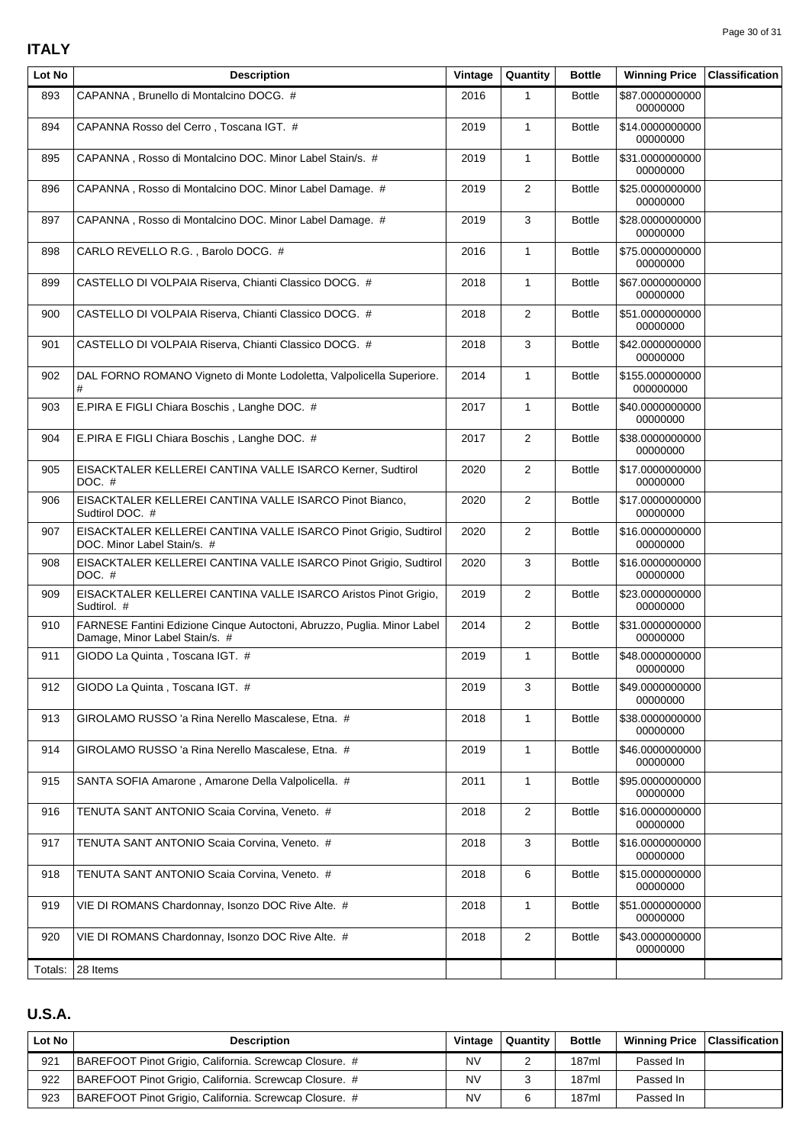### **ITALY**

| Lot No  | <b>Description</b>                                                                                        | Vintage | Quantity       | <b>Bottle</b> | <b>Winning Price</b>         | <b>Classification</b> |
|---------|-----------------------------------------------------------------------------------------------------------|---------|----------------|---------------|------------------------------|-----------------------|
| 893     | CAPANNA, Brunello di Montalcino DOCG. #                                                                   | 2016    | $\mathbf{1}$   | <b>Bottle</b> | \$87.0000000000<br>00000000  |                       |
| 894     | CAPANNA Rosso del Cerro, Toscana IGT. #                                                                   | 2019    | $\mathbf{1}$   | <b>Bottle</b> | \$14.0000000000<br>00000000  |                       |
| 895     | CAPANNA, Rosso di Montalcino DOC. Minor Label Stain/s. #                                                  | 2019    | $\mathbf{1}$   | <b>Bottle</b> | \$31.0000000000<br>00000000  |                       |
| 896     | CAPANNA, Rosso di Montalcino DOC. Minor Label Damage. #                                                   | 2019    | $\overline{2}$ | <b>Bottle</b> | \$25.0000000000<br>00000000  |                       |
| 897     | CAPANNA, Rosso di Montalcino DOC. Minor Label Damage. #                                                   | 2019    | 3              | <b>Bottle</b> | \$28.0000000000<br>00000000  |                       |
| 898     | CARLO REVELLO R.G., Barolo DOCG. #                                                                        | 2016    | $\mathbf{1}$   | <b>Bottle</b> | \$75.0000000000<br>00000000  |                       |
| 899     | CASTELLO DI VOLPAIA Riserva, Chianti Classico DOCG. #                                                     | 2018    | $\mathbf{1}$   | <b>Bottle</b> | \$67.0000000000<br>00000000  |                       |
| 900     | CASTELLO DI VOLPAIA Riserva, Chianti Classico DOCG. #                                                     | 2018    | $\overline{2}$ | <b>Bottle</b> | \$51.0000000000<br>00000000  |                       |
| 901     | CASTELLO DI VOLPAIA Riserva, Chianti Classico DOCG. #                                                     | 2018    | 3              | <b>Bottle</b> | \$42.0000000000<br>00000000  |                       |
| 902     | DAL FORNO ROMANO Vigneto di Monte Lodoletta, Valpolicella Superiore.<br>#                                 | 2014    | $\mathbf{1}$   | <b>Bottle</b> | \$155.000000000<br>000000000 |                       |
| 903     | E.PIRA E FIGLI Chiara Boschis, Langhe DOC. #                                                              | 2017    | $\mathbf{1}$   | <b>Bottle</b> | \$40.0000000000<br>00000000  |                       |
| 904     | E.PIRA E FIGLI Chiara Boschis, Langhe DOC. #                                                              | 2017    | $\overline{2}$ | <b>Bottle</b> | \$38.0000000000<br>00000000  |                       |
| 905     | EISACKTALER KELLEREI CANTINA VALLE ISARCO Kerner, Sudtirol<br>$DOC. \#$                                   | 2020    | $\overline{2}$ | <b>Bottle</b> | \$17.0000000000<br>00000000  |                       |
| 906     | EISACKTALER KELLEREI CANTINA VALLE ISARCO Pinot Bianco,<br>Sudtirol DOC. #                                | 2020    | 2              | <b>Bottle</b> | \$17.0000000000<br>00000000  |                       |
| 907     | EISACKTALER KELLEREI CANTINA VALLE ISARCO Pinot Grigio, Sudtirol<br>DOC. Minor Label Stain/s. #           | 2020    | $\overline{2}$ | <b>Bottle</b> | \$16.0000000000<br>00000000  |                       |
| 908     | EISACKTALER KELLEREI CANTINA VALLE ISARCO Pinot Grigio, Sudtirol<br>DOC. $#$                              | 2020    | 3              | <b>Bottle</b> | \$16.0000000000<br>00000000  |                       |
| 909     | EISACKTALER KELLEREI CANTINA VALLE ISARCO Aristos Pinot Grigio,<br>Sudtirol. #                            | 2019    | $\overline{2}$ | <b>Bottle</b> | \$23.0000000000<br>00000000  |                       |
| 910     | FARNESE Fantini Edizione Cinque Autoctoni, Abruzzo, Puglia. Minor Label<br>Damage, Minor Label Stain/s. # | 2014    | $\overline{2}$ | <b>Bottle</b> | \$31.0000000000<br>00000000  |                       |
| 911     | GIODO La Quinta, Toscana IGT. #                                                                           | 2019    | $\mathbf{1}$   | <b>Bottle</b> | \$48.0000000000<br>00000000  |                       |
| 912     | GIODO La Quinta, Toscana IGT. #                                                                           | 2019    | 3              | <b>Bottle</b> | \$49.0000000000<br>00000000  |                       |
| 913     | GIROLAMO RUSSO 'a Rina Nerello Mascalese, Etna. #                                                         | 2018    | $\mathbf{1}$   | <b>Bottle</b> | \$38.0000000000<br>00000000  |                       |
| 914     | GIROLAMO RUSSO 'a Rina Nerello Mascalese, Etna. #                                                         | 2019    | $\mathbf{1}$   | <b>Bottle</b> | \$46.0000000000<br>00000000  |                       |
| 915     | SANTA SOFIA Amarone, Amarone Della Valpolicella. #                                                        | 2011    | $\mathbf{1}$   | <b>Bottle</b> | \$95.0000000000<br>00000000  |                       |
| 916     | TENUTA SANT ANTONIO Scaia Corvina, Veneto. #                                                              | 2018    | $\overline{2}$ | <b>Bottle</b> | \$16.0000000000<br>00000000  |                       |
| 917     | TENUTA SANT ANTONIO Scaia Corvina, Veneto. #                                                              | 2018    | 3              | <b>Bottle</b> | \$16.0000000000<br>00000000  |                       |
| 918     | TENUTA SANT ANTONIO Scaia Corvina, Veneto. #                                                              | 2018    | 6              | <b>Bottle</b> | \$15.0000000000<br>00000000  |                       |
| 919     | VIE DI ROMANS Chardonnay, Isonzo DOC Rive Alte. #                                                         | 2018    | $\mathbf{1}$   | <b>Bottle</b> | \$51.0000000000<br>00000000  |                       |
| 920     | VIE DI ROMANS Chardonnay, Isonzo DOC Rive Alte. #                                                         | 2018    | $\overline{2}$ | <b>Bottle</b> | \$43.0000000000<br>00000000  |                       |
| Totals: | 28 Items                                                                                                  |         |                |               |                              |                       |

# **U.S.A.**

| Lot No | Description                                            | Vintage | Quantity | <b>Bottle</b> | Winning Price   Classification |  |
|--------|--------------------------------------------------------|---------|----------|---------------|--------------------------------|--|
| 921    | BAREFOOT Pinot Grigio, California. Screwcap Closure. # | NV      |          | 187ml         | Passed In                      |  |
| 922    | BAREFOOT Pinot Grigio, California. Screwcap Closure. # | NV      |          | 187ml         | Passed In                      |  |
| 923    | BAREFOOT Pinot Grigio, California. Screwcap Closure. # | NV      |          | 187ml         | Passed In                      |  |